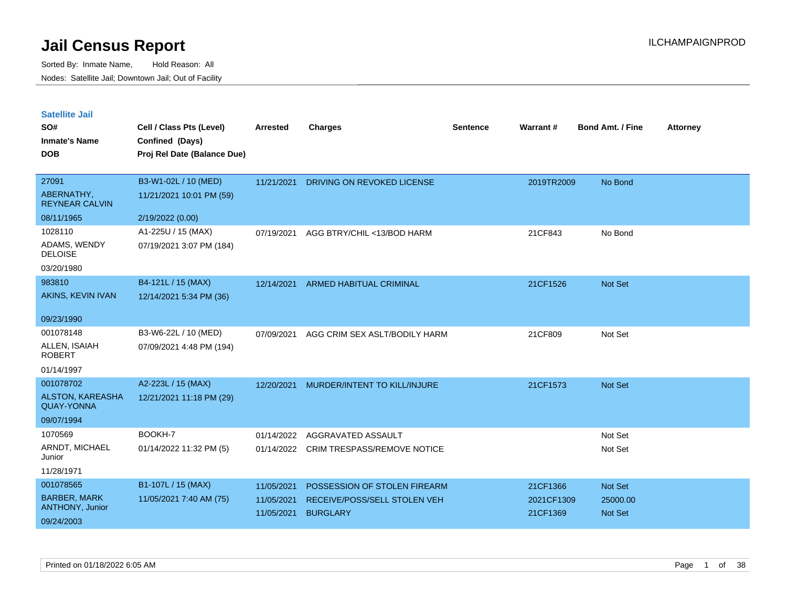| <b>Satellite Jail</b> |  |
|-----------------------|--|
|                       |  |

| SO#<br><b>Inmate's Name</b><br><b>DOB</b> | Cell / Class Pts (Level)<br>Confined (Days)<br>Proj Rel Date (Balance Due) | Arrested   | <b>Charges</b>                     | Sentence | Warrant#   | <b>Bond Amt. / Fine</b> | <b>Attorney</b> |
|-------------------------------------------|----------------------------------------------------------------------------|------------|------------------------------------|----------|------------|-------------------------|-----------------|
|                                           |                                                                            |            |                                    |          |            |                         |                 |
| 27091                                     | B3-W1-02L / 10 (MED)                                                       | 11/21/2021 | DRIVING ON REVOKED LICENSE         |          | 2019TR2009 | No Bond                 |                 |
| ABERNATHY,<br><b>REYNEAR CALVIN</b>       | 11/21/2021 10:01 PM (59)                                                   |            |                                    |          |            |                         |                 |
| 08/11/1965                                | 2/19/2022 (0.00)                                                           |            |                                    |          |            |                         |                 |
| 1028110                                   | A1-225U / 15 (MAX)                                                         | 07/19/2021 | AGG BTRY/CHIL <13/BOD HARM         |          | 21CF843    | No Bond                 |                 |
| ADAMS, WENDY<br><b>DELOISE</b>            | 07/19/2021 3:07 PM (184)                                                   |            |                                    |          |            |                         |                 |
| 03/20/1980                                |                                                                            |            |                                    |          |            |                         |                 |
| 983810                                    | B4-121L / 15 (MAX)                                                         | 12/14/2021 | <b>ARMED HABITUAL CRIMINAL</b>     |          | 21CF1526   | Not Set                 |                 |
| AKINS, KEVIN IVAN                         | 12/14/2021 5:34 PM (36)                                                    |            |                                    |          |            |                         |                 |
| 09/23/1990                                |                                                                            |            |                                    |          |            |                         |                 |
| 001078148                                 | B3-W6-22L / 10 (MED)                                                       | 07/09/2021 | AGG CRIM SEX ASLT/BODILY HARM      |          | 21CF809    | Not Set                 |                 |
| ALLEN, ISAIAH<br><b>ROBERT</b>            | 07/09/2021 4:48 PM (194)                                                   |            |                                    |          |            |                         |                 |
| 01/14/1997                                |                                                                            |            |                                    |          |            |                         |                 |
| 001078702                                 | A2-223L / 15 (MAX)                                                         | 12/20/2021 | MURDER/INTENT TO KILL/INJURE       |          | 21CF1573   | Not Set                 |                 |
| ALSTON, KAREASHA<br><b>QUAY-YONNA</b>     | 12/21/2021 11:18 PM (29)                                                   |            |                                    |          |            |                         |                 |
| 09/07/1994                                |                                                                            |            |                                    |          |            |                         |                 |
| 1070569                                   | BOOKH-7                                                                    | 01/14/2022 | AGGRAVATED ASSAULT                 |          |            | Not Set                 |                 |
| ARNDT, MICHAEL<br>Junior                  | 01/14/2022 11:32 PM (5)                                                    | 01/14/2022 | <b>CRIM TRESPASS/REMOVE NOTICE</b> |          |            | Not Set                 |                 |
| 11/28/1971                                |                                                                            |            |                                    |          |            |                         |                 |
| 001078565                                 | B1-107L / 15 (MAX)                                                         | 11/05/2021 | POSSESSION OF STOLEN FIREARM       |          | 21CF1366   | Not Set                 |                 |
| <b>BARBER, MARK</b>                       | 11/05/2021 7:40 AM (75)                                                    | 11/05/2021 | RECEIVE/POSS/SELL STOLEN VEH       |          | 2021CF1309 | 25000.00                |                 |
| <b>ANTHONY, Junior</b>                    |                                                                            | 11/05/2021 | <b>BURGLARY</b>                    |          | 21CF1369   | <b>Not Set</b>          |                 |
| 09/24/2003                                |                                                                            |            |                                    |          |            |                         |                 |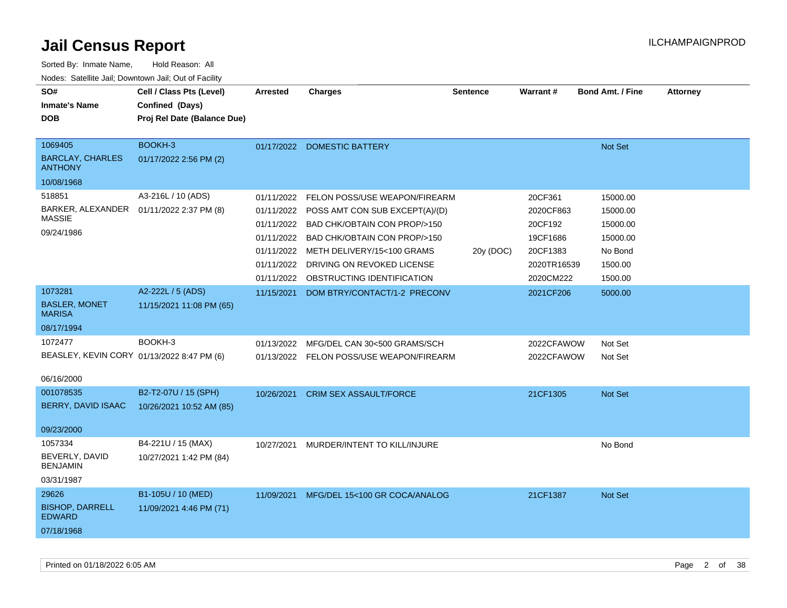| Sorted By: Inmate Name,                               | Hold Reason: All            |                 |                                           |                 |             |                         |                 |
|-------------------------------------------------------|-----------------------------|-----------------|-------------------------------------------|-----------------|-------------|-------------------------|-----------------|
| Nodes: Satellite Jail; Downtown Jail; Out of Facility |                             |                 |                                           |                 |             |                         |                 |
| SO#                                                   | Cell / Class Pts (Level)    | <b>Arrested</b> | <b>Charges</b>                            | <b>Sentence</b> | Warrant#    | <b>Bond Amt. / Fine</b> | <b>Attorney</b> |
| <b>Inmate's Name</b>                                  | Confined (Days)             |                 |                                           |                 |             |                         |                 |
| <b>DOB</b>                                            | Proj Rel Date (Balance Due) |                 |                                           |                 |             |                         |                 |
|                                                       |                             |                 |                                           |                 |             |                         |                 |
| 1069405                                               | BOOKH-3                     |                 | 01/17/2022 DOMESTIC BATTERY               |                 |             | Not Set                 |                 |
| <b>BARCLAY, CHARLES</b><br><b>ANTHONY</b>             | 01/17/2022 2:56 PM (2)      |                 |                                           |                 |             |                         |                 |
| 10/08/1968                                            |                             |                 |                                           |                 |             |                         |                 |
| 518851                                                | A3-216L / 10 (ADS)          | 01/11/2022      | FELON POSS/USE WEAPON/FIREARM             |                 | 20CF361     | 15000.00                |                 |
| BARKER, ALEXANDER                                     | 01/11/2022 2:37 PM (8)      |                 | 01/11/2022 POSS AMT CON SUB EXCEPT(A)/(D) |                 | 2020CF863   | 15000.00                |                 |
| <b>MASSIE</b>                                         |                             |                 | 01/11/2022 BAD CHK/OBTAIN CON PROP/>150   |                 | 20CF192     | 15000.00                |                 |
| 09/24/1986                                            |                             |                 | 01/11/2022 BAD CHK/OBTAIN CON PROP/>150   |                 | 19CF1686    | 15000.00                |                 |
|                                                       |                             |                 | 01/11/2022 METH DELIVERY/15<100 GRAMS     | 20y (DOC)       | 20CF1383    | No Bond                 |                 |
|                                                       |                             | 01/11/2022      | DRIVING ON REVOKED LICENSE                |                 | 2020TR16539 | 1500.00                 |                 |
|                                                       |                             |                 | 01/11/2022 OBSTRUCTING IDENTIFICATION     |                 | 2020CM222   | 1500.00                 |                 |
| 1073281                                               | A2-222L / 5 (ADS)           | 11/15/2021      | DOM BTRY/CONTACT/1-2 PRECONV              |                 | 2021CF206   | 5000.00                 |                 |
| <b>BASLER, MONET</b><br><b>MARISA</b>                 | 11/15/2021 11:08 PM (65)    |                 |                                           |                 |             |                         |                 |
| 08/17/1994                                            |                             |                 |                                           |                 |             |                         |                 |
| 1072477                                               | BOOKH-3                     | 01/13/2022      | MFG/DEL CAN 30<500 GRAMS/SCH              |                 | 2022CFAWOW  | Not Set                 |                 |
| BEASLEY, KEVIN CORY 01/13/2022 8:47 PM (6)            |                             |                 | 01/13/2022 FELON POSS/USE WEAPON/FIREARM  |                 | 2022CFAWOW  | Not Set                 |                 |
|                                                       |                             |                 |                                           |                 |             |                         |                 |
| 06/16/2000                                            |                             |                 |                                           |                 |             |                         |                 |
| 001078535                                             | B2-T2-07U / 15 (SPH)        | 10/26/2021      | <b>CRIM SEX ASSAULT/FORCE</b>             |                 | 21CF1305    | Not Set                 |                 |
| BERRY, DAVID ISAAC                                    | 10/26/2021 10:52 AM (85)    |                 |                                           |                 |             |                         |                 |
|                                                       |                             |                 |                                           |                 |             |                         |                 |
| 09/23/2000                                            |                             |                 |                                           |                 |             |                         |                 |
| 1057334<br>BEVERLY, DAVID                             | B4-221U / 15 (MAX)          | 10/27/2021      | MURDER/INTENT TO KILL/INJURE              |                 |             | No Bond                 |                 |
| <b>BENJAMIN</b>                                       | 10/27/2021 1:42 PM (84)     |                 |                                           |                 |             |                         |                 |
| 03/31/1987                                            |                             |                 |                                           |                 |             |                         |                 |
| 29626                                                 | B1-105U / 10 (MED)          | 11/09/2021      | MFG/DEL 15<100 GR COCA/ANALOG             |                 | 21CF1387    | Not Set                 |                 |
| <b>BISHOP, DARRELL</b><br><b>EDWARD</b>               | 11/09/2021 4:46 PM (71)     |                 |                                           |                 |             |                         |                 |
| 07/18/1968                                            |                             |                 |                                           |                 |             |                         |                 |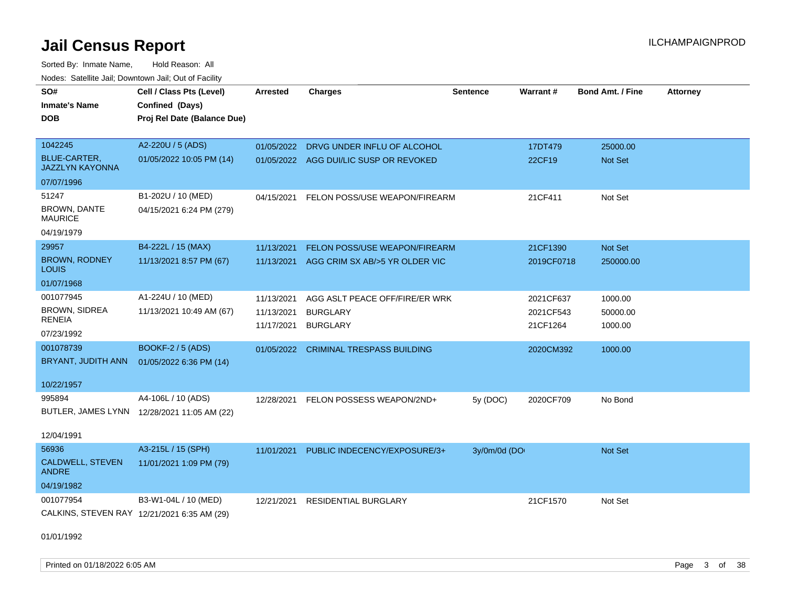Sorted By: Inmate Name, Hold Reason: All Nodes: Satellite Jail; Downtown Jail; Out of Facility

| ivuutos. Saltiilit Jali, Duwilluwii Jali, Oul of Facility |                                             |            |                                        |              |            |                         |                 |
|-----------------------------------------------------------|---------------------------------------------|------------|----------------------------------------|--------------|------------|-------------------------|-----------------|
| SO#                                                       | Cell / Class Pts (Level)                    | Arrested   | <b>Charges</b>                         | Sentence     | Warrant#   | <b>Bond Amt. / Fine</b> | <b>Attorney</b> |
| <b>Inmate's Name</b>                                      | Confined (Days)                             |            |                                        |              |            |                         |                 |
| <b>DOB</b>                                                | Proj Rel Date (Balance Due)                 |            |                                        |              |            |                         |                 |
|                                                           |                                             |            |                                        |              |            |                         |                 |
| 1042245                                                   | A2-220U / 5 (ADS)                           | 01/05/2022 | DRVG UNDER INFLU OF ALCOHOL            |              | 17DT479    | 25000.00                |                 |
| BLUE-CARTER,<br><b>JAZZLYN KAYONNA</b>                    | 01/05/2022 10:05 PM (14)                    |            | 01/05/2022 AGG DUI/LIC SUSP OR REVOKED |              | 22CF19     | <b>Not Set</b>          |                 |
| 07/07/1996                                                |                                             |            |                                        |              |            |                         |                 |
| 51247                                                     | B1-202U / 10 (MED)                          | 04/15/2021 | FELON POSS/USE WEAPON/FIREARM          |              | 21CF411    | Not Set                 |                 |
| BROWN, DANTE<br><b>MAURICE</b>                            | 04/15/2021 6:24 PM (279)                    |            |                                        |              |            |                         |                 |
| 04/19/1979                                                |                                             |            |                                        |              |            |                         |                 |
| 29957                                                     | B4-222L / 15 (MAX)                          | 11/13/2021 | FELON POSS/USE WEAPON/FIREARM          |              | 21CF1390   | Not Set                 |                 |
| <b>BROWN, RODNEY</b><br>LOUIS                             | 11/13/2021 8:57 PM (67)                     | 11/13/2021 | AGG CRIM SX AB/>5 YR OLDER VIC         |              | 2019CF0718 | 250000.00               |                 |
| 01/07/1968                                                |                                             |            |                                        |              |            |                         |                 |
| 001077945                                                 | A1-224U / 10 (MED)                          | 11/13/2021 | AGG ASLT PEACE OFF/FIRE/ER WRK         |              | 2021CF637  | 1000.00                 |                 |
| <b>BROWN, SIDREA</b>                                      | 11/13/2021 10:49 AM (67)                    | 11/13/2021 | <b>BURGLARY</b>                        |              | 2021CF543  | 50000.00                |                 |
| RENEIA                                                    |                                             | 11/17/2021 | <b>BURGLARY</b>                        |              | 21CF1264   | 1000.00                 |                 |
| 07/23/1992                                                |                                             |            |                                        |              |            |                         |                 |
| 001078739                                                 | <b>BOOKF-2 / 5 (ADS)</b>                    | 01/05/2022 | <b>CRIMINAL TRESPASS BUILDING</b>      |              | 2020CM392  | 1000.00                 |                 |
| BRYANT, JUDITH ANN                                        | 01/05/2022 6:36 PM (14)                     |            |                                        |              |            |                         |                 |
| 10/22/1957                                                |                                             |            |                                        |              |            |                         |                 |
| 995894                                                    | A4-106L / 10 (ADS)                          | 12/28/2021 | FELON POSSESS WEAPON/2ND+              | 5y (DOC)     | 2020CF709  | No Bond                 |                 |
|                                                           | BUTLER, JAMES LYNN 12/28/2021 11:05 AM (22) |            |                                        |              |            |                         |                 |
|                                                           |                                             |            |                                        |              |            |                         |                 |
| 12/04/1991                                                |                                             |            |                                        |              |            |                         |                 |
| 56936                                                     | A3-215L / 15 (SPH)                          | 11/01/2021 | PUBLIC INDECENCY/EXPOSURE/3+           | 3y/0m/0d (DO |            | Not Set                 |                 |
| <b>CALDWELL, STEVEN</b><br><b>ANDRE</b>                   | 11/01/2021 1:09 PM (79)                     |            |                                        |              |            |                         |                 |
| 04/19/1982                                                |                                             |            |                                        |              |            |                         |                 |
| 001077954                                                 | B3-W1-04L / 10 (MED)                        | 12/21/2021 | <b>RESIDENTIAL BURGLARY</b>            |              | 21CF1570   | Not Set                 |                 |
|                                                           | CALKINS, STEVEN RAY 12/21/2021 6:35 AM (29) |            |                                        |              |            |                         |                 |
|                                                           |                                             |            |                                        |              |            |                         |                 |
| 01/01/1992                                                |                                             |            |                                        |              |            |                         |                 |

Printed on 01/18/2022 6:05 AM **Page 3 of 38**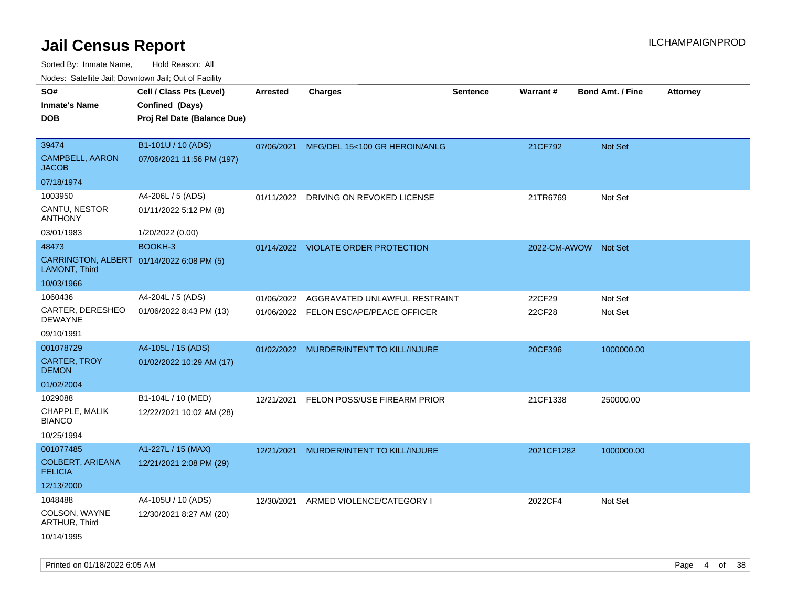| roaco. Calcinio dan, Downtown dan, Cal or Fability         |                             |                 |                                         |                 |                      |                         |                 |
|------------------------------------------------------------|-----------------------------|-----------------|-----------------------------------------|-----------------|----------------------|-------------------------|-----------------|
| SO#                                                        | Cell / Class Pts (Level)    | <b>Arrested</b> | <b>Charges</b>                          | <b>Sentence</b> | Warrant#             | <b>Bond Amt. / Fine</b> | <b>Attorney</b> |
| <b>Inmate's Name</b>                                       | Confined (Days)             |                 |                                         |                 |                      |                         |                 |
| DOB                                                        | Proj Rel Date (Balance Due) |                 |                                         |                 |                      |                         |                 |
|                                                            |                             |                 |                                         |                 |                      |                         |                 |
| 39474                                                      | B1-101U / 10 (ADS)          | 07/06/2021      | MFG/DEL 15<100 GR HEROIN/ANLG           |                 | 21CF792              | <b>Not Set</b>          |                 |
| <b>CAMPBELL, AARON</b><br>JACOB                            | 07/06/2021 11:56 PM (197)   |                 |                                         |                 |                      |                         |                 |
| 07/18/1974                                                 |                             |                 |                                         |                 |                      |                         |                 |
| 1003950                                                    | A4-206L / 5 (ADS)           | 01/11/2022      | DRIVING ON REVOKED LICENSE              |                 | 21TR6769             | Not Set                 |                 |
| CANTU, NESTOR<br>ANTHONY                                   | 01/11/2022 5:12 PM (8)      |                 |                                         |                 |                      |                         |                 |
| 03/01/1983                                                 | 1/20/2022 (0.00)            |                 |                                         |                 |                      |                         |                 |
| 48473                                                      | BOOKH-3                     |                 | 01/14/2022 VIOLATE ORDER PROTECTION     |                 | 2022-CM-AWOW Not Set |                         |                 |
| CARRINGTON, ALBERT 01/14/2022 6:08 PM (5)<br>LAMONT, Third |                             |                 |                                         |                 |                      |                         |                 |
| 10/03/1966                                                 |                             |                 |                                         |                 |                      |                         |                 |
| 1060436                                                    | A4-204L / 5 (ADS)           | 01/06/2022      | AGGRAVATED UNLAWFUL RESTRAINT           |                 | 22CF29               | Not Set                 |                 |
| CARTER, DERESHEO<br>DEWAYNE                                | 01/06/2022 8:43 PM (13)     |                 | 01/06/2022 FELON ESCAPE/PEACE OFFICER   |                 | 22CF28               | Not Set                 |                 |
| 09/10/1991                                                 |                             |                 |                                         |                 |                      |                         |                 |
| 001078729                                                  | A4-105L / 15 (ADS)          |                 | 01/02/2022 MURDER/INTENT TO KILL/INJURE |                 | 20CF396              | 1000000.00              |                 |
| CARTER, TROY<br><b>DEMON</b>                               | 01/02/2022 10:29 AM (17)    |                 |                                         |                 |                      |                         |                 |
| 01/02/2004                                                 |                             |                 |                                         |                 |                      |                         |                 |
| 1029088                                                    | B1-104L / 10 (MED)          | 12/21/2021      | FELON POSS/USE FIREARM PRIOR            |                 | 21CF1338             | 250000.00               |                 |
| CHAPPLE, MALIK<br><b>BIANCO</b>                            | 12/22/2021 10:02 AM (28)    |                 |                                         |                 |                      |                         |                 |
| 10/25/1994                                                 |                             |                 |                                         |                 |                      |                         |                 |
| 001077485                                                  | A1-227L / 15 (MAX)          | 12/21/2021      | MURDER/INTENT TO KILL/INJURE            |                 | 2021CF1282           | 1000000.00              |                 |
| <b>COLBERT, ARIEANA</b><br><b>FELICIA</b>                  | 12/21/2021 2:08 PM (29)     |                 |                                         |                 |                      |                         |                 |
| 12/13/2000                                                 |                             |                 |                                         |                 |                      |                         |                 |
| 1048488                                                    | A4-105U / 10 (ADS)          | 12/30/2021      | ARMED VIOLENCE/CATEGORY I               |                 | 2022CF4              | Not Set                 |                 |
| COLSON, WAYNE<br>ARTHUR, Third                             | 12/30/2021 8:27 AM (20)     |                 |                                         |                 |                      |                         |                 |
| 10/14/1995                                                 |                             |                 |                                         |                 |                      |                         |                 |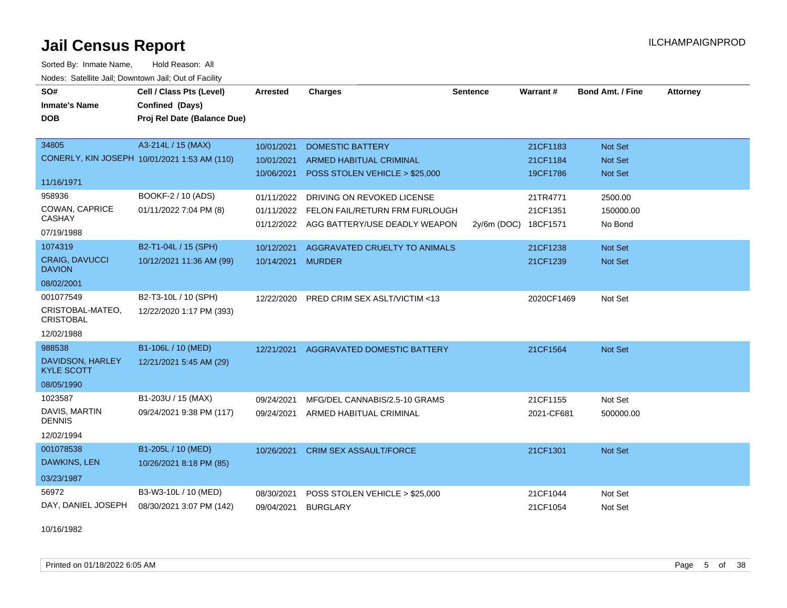Sorted By: Inmate Name, Hold Reason: All Nodes: Satellite Jail; Downtown Jail; Out of Facility

| SO#<br><b>Inmate's Name</b>            | Cell / Class Pts (Level)<br>Confined (Days)  | <b>Arrested</b>   | <b>Charges</b>                           | <b>Sentence</b> | Warrant#   | <b>Bond Amt. / Fine</b> | <b>Attorney</b> |
|----------------------------------------|----------------------------------------------|-------------------|------------------------------------------|-----------------|------------|-------------------------|-----------------|
| <b>DOB</b>                             | Proj Rel Date (Balance Due)                  |                   |                                          |                 |            |                         |                 |
|                                        |                                              |                   |                                          |                 |            |                         |                 |
| 34805                                  | A3-214L / 15 (MAX)                           | 10/01/2021        | <b>DOMESTIC BATTERY</b>                  |                 | 21CF1183   | Not Set                 |                 |
|                                        | CONERLY, KIN JOSEPH 10/01/2021 1:53 AM (110) | 10/01/2021        | ARMED HABITUAL CRIMINAL                  |                 | 21CF1184   | <b>Not Set</b>          |                 |
| 11/16/1971                             |                                              | 10/06/2021        | POSS STOLEN VEHICLE > \$25,000           |                 | 19CF1786   | Not Set                 |                 |
| 958936                                 | BOOKF-2 / 10 (ADS)                           | 01/11/2022        | DRIVING ON REVOKED LICENSE               |                 | 21TR4771   | 2500.00                 |                 |
| COWAN, CAPRICE<br><b>CASHAY</b>        | 01/11/2022 7:04 PM (8)                       | 01/11/2022        | FELON FAIL/RETURN FRM FURLOUGH           |                 | 21CF1351   | 150000.00               |                 |
| 07/19/1988                             |                                              |                   | 01/12/2022 AGG BATTERY/USE DEADLY WEAPON | 2y/6m (DOC)     | 18CF1571   | No Bond                 |                 |
| 1074319                                | B2-T1-04L / 15 (SPH)                         | 10/12/2021        | AGGRAVATED CRUELTY TO ANIMALS            |                 | 21CF1238   | Not Set                 |                 |
| <b>CRAIG, DAVUCCI</b><br><b>DAVION</b> | 10/12/2021 11:36 AM (99)                     | 10/14/2021 MURDER |                                          |                 | 21CF1239   | <b>Not Set</b>          |                 |
| 08/02/2001                             |                                              |                   |                                          |                 |            |                         |                 |
| 001077549                              | B2-T3-10L / 10 (SPH)                         | 12/22/2020        | PRED CRIM SEX ASLT/VICTIM <13            |                 | 2020CF1469 | Not Set                 |                 |
| CRISTOBAL-MATEO,<br><b>CRISTOBAL</b>   | 12/22/2020 1:17 PM (393)                     |                   |                                          |                 |            |                         |                 |
| 12/02/1988                             |                                              |                   |                                          |                 |            |                         |                 |
| 988538                                 | B1-106L / 10 (MED)                           | 12/21/2021        | AGGRAVATED DOMESTIC BATTERY              |                 | 21CF1564   | Not Set                 |                 |
| DAVIDSON, HARLEY<br><b>KYLE SCOTT</b>  | 12/21/2021 5:45 AM (29)                      |                   |                                          |                 |            |                         |                 |
| 08/05/1990                             |                                              |                   |                                          |                 |            |                         |                 |
| 1023587                                | B1-203U / 15 (MAX)                           | 09/24/2021        | MFG/DEL CANNABIS/2.5-10 GRAMS            |                 | 21CF1155   | Not Set                 |                 |
| DAVIS, MARTIN<br><b>DENNIS</b>         | 09/24/2021 9:38 PM (117)                     | 09/24/2021        | ARMED HABITUAL CRIMINAL                  |                 | 2021-CF681 | 500000.00               |                 |
| 12/02/1994                             |                                              |                   |                                          |                 |            |                         |                 |
| 001078538                              | B1-205L / 10 (MED)                           | 10/26/2021        | <b>CRIM SEX ASSAULT/FORCE</b>            |                 | 21CF1301   | Not Set                 |                 |
| DAWKINS, LEN                           | 10/26/2021 8:18 PM (85)                      |                   |                                          |                 |            |                         |                 |
| 03/23/1987                             |                                              |                   |                                          |                 |            |                         |                 |
| 56972                                  | B3-W3-10L / 10 (MED)                         | 08/30/2021        | POSS STOLEN VEHICLE > \$25,000           |                 | 21CF1044   | Not Set                 |                 |
| DAY, DANIEL JOSEPH                     | 08/30/2021 3:07 PM (142)                     | 09/04/2021        | <b>BURGLARY</b>                          |                 | 21CF1054   | Not Set                 |                 |

10/16/1982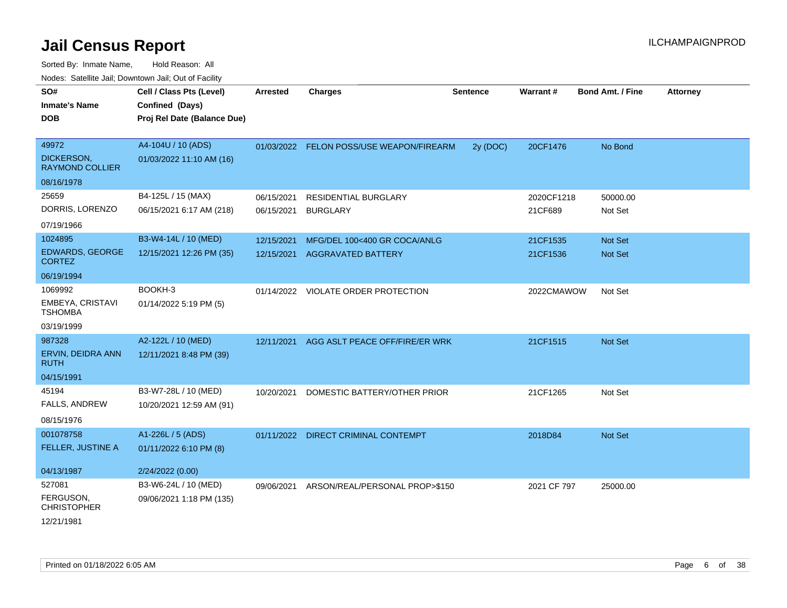| SO#<br><b>Inmate's Name</b><br><b>DOB</b>     | Cell / Class Pts (Level)<br>Confined (Days)<br>Proj Rel Date (Balance Due) | <b>Arrested</b> | <b>Charges</b>                           | <b>Sentence</b> | Warrant#    | <b>Bond Amt. / Fine</b> | Attorney |
|-----------------------------------------------|----------------------------------------------------------------------------|-----------------|------------------------------------------|-----------------|-------------|-------------------------|----------|
| 49972<br>DICKERSON,<br><b>RAYMOND COLLIER</b> | A4-104U / 10 (ADS)<br>01/03/2022 11:10 AM (16)                             |                 | 01/03/2022 FELON POSS/USE WEAPON/FIREARM | 2y (DOC)        | 20CF1476    | No Bond                 |          |
| 08/16/1978                                    |                                                                            |                 |                                          |                 |             |                         |          |
| 25659                                         | B4-125L / 15 (MAX)                                                         | 06/15/2021      | RESIDENTIAL BURGLARY                     |                 | 2020CF1218  | 50000.00                |          |
| DORRIS, LORENZO                               | 06/15/2021 6:17 AM (218)                                                   | 06/15/2021      | <b>BURGLARY</b>                          |                 | 21CF689     | Not Set                 |          |
| 07/19/1966                                    |                                                                            |                 |                                          |                 |             |                         |          |
| 1024895                                       | B3-W4-14L / 10 (MED)                                                       | 12/15/2021      | MFG/DEL 100<400 GR COCA/ANLG             |                 | 21CF1535    | Not Set                 |          |
| EDWARDS, GEORGE<br><b>CORTEZ</b>              | 12/15/2021 12:26 PM (35)                                                   | 12/15/2021      | <b>AGGRAVATED BATTERY</b>                |                 | 21CF1536    | <b>Not Set</b>          |          |
| 06/19/1994                                    |                                                                            |                 |                                          |                 |             |                         |          |
| 1069992<br>EMBEYA, CRISTAVI<br><b>TSHOMBA</b> | BOOKH-3<br>01/14/2022 5:19 PM (5)                                          |                 | 01/14/2022 VIOLATE ORDER PROTECTION      |                 | 2022CMAWOW  | Not Set                 |          |
| 03/19/1999                                    |                                                                            |                 |                                          |                 |             |                         |          |
| 987328                                        | A2-122L / 10 (MED)                                                         | 12/11/2021      | AGG ASLT PEACE OFF/FIRE/ER WRK           |                 | 21CF1515    | Not Set                 |          |
| ERVIN, DEIDRA ANN<br><b>RUTH</b>              | 12/11/2021 8:48 PM (39)                                                    |                 |                                          |                 |             |                         |          |
| 04/15/1991                                    |                                                                            |                 |                                          |                 |             |                         |          |
| 45194<br>FALLS, ANDREW<br>08/15/1976          | B3-W7-28L / 10 (MED)<br>10/20/2021 12:59 AM (91)                           | 10/20/2021      | DOMESTIC BATTERY/OTHER PRIOR             |                 | 21CF1265    | Not Set                 |          |
| 001078758<br>FELLER, JUSTINE A                | A1-226L / 5 (ADS)<br>01/11/2022 6:10 PM (8)                                | 01/11/2022      | <b>DIRECT CRIMINAL CONTEMPT</b>          |                 | 2018D84     | <b>Not Set</b>          |          |
| 04/13/1987                                    | 2/24/2022 (0.00)                                                           |                 |                                          |                 |             |                         |          |
| 527081                                        | B3-W6-24L / 10 (MED)                                                       | 09/06/2021      | ARSON/REAL/PERSONAL PROP>\$150           |                 | 2021 CF 797 | 25000.00                |          |
| FERGUSON,<br><b>CHRISTOPHER</b>               | 09/06/2021 1:18 PM (135)                                                   |                 |                                          |                 |             |                         |          |
| 12/21/1981                                    |                                                                            |                 |                                          |                 |             |                         |          |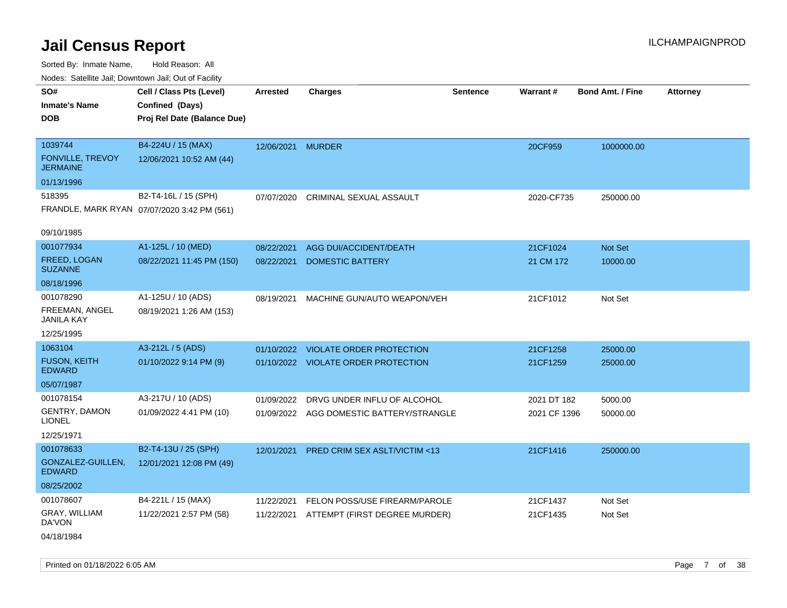Sorted By: Inmate Name, Hold Reason: All Nodes: Satellite Jail; Downtown Jail; Out of Facility

| Noues. Salemie Jan, Downlown Jan, Out of Facility |                                             |                   |                                          |                 |              |                         |                 |
|---------------------------------------------------|---------------------------------------------|-------------------|------------------------------------------|-----------------|--------------|-------------------------|-----------------|
| SO#                                               | Cell / Class Pts (Level)                    | <b>Arrested</b>   | <b>Charges</b>                           | <b>Sentence</b> | Warrant#     | <b>Bond Amt. / Fine</b> | <b>Attorney</b> |
| <b>Inmate's Name</b>                              | Confined (Days)                             |                   |                                          |                 |              |                         |                 |
| <b>DOB</b>                                        | Proj Rel Date (Balance Due)                 |                   |                                          |                 |              |                         |                 |
|                                                   |                                             |                   |                                          |                 |              |                         |                 |
| 1039744                                           | B4-224U / 15 (MAX)                          | 12/06/2021 MURDER |                                          |                 | 20CF959      | 1000000.00              |                 |
| <b>FONVILLE, TREVOY</b><br><b>JERMAINE</b>        | 12/06/2021 10:52 AM (44)                    |                   |                                          |                 |              |                         |                 |
| 01/13/1996                                        |                                             |                   |                                          |                 |              |                         |                 |
| 518395                                            | B2-T4-16L / 15 (SPH)                        | 07/07/2020        | CRIMINAL SEXUAL ASSAULT                  |                 | 2020-CF735   | 250000.00               |                 |
|                                                   | FRANDLE, MARK RYAN 07/07/2020 3:42 PM (561) |                   |                                          |                 |              |                         |                 |
|                                                   |                                             |                   |                                          |                 |              |                         |                 |
| 09/10/1985                                        |                                             |                   |                                          |                 |              |                         |                 |
| 001077934                                         | A1-125L / 10 (MED)                          | 08/22/2021        | AGG DUI/ACCIDENT/DEATH                   |                 | 21CF1024     | Not Set                 |                 |
| FREED, LOGAN<br><b>SUZANNE</b>                    | 08/22/2021 11:45 PM (150)                   | 08/22/2021        | <b>DOMESTIC BATTERY</b>                  |                 | 21 CM 172    | 10000.00                |                 |
| 08/18/1996                                        |                                             |                   |                                          |                 |              |                         |                 |
| 001078290                                         | A1-125U / 10 (ADS)                          | 08/19/2021        | MACHINE GUN/AUTO WEAPON/VEH              |                 | 21CF1012     | Not Set                 |                 |
| FREEMAN, ANGEL<br><b>JANILA KAY</b>               | 08/19/2021 1:26 AM (153)                    |                   |                                          |                 |              |                         |                 |
| 12/25/1995                                        |                                             |                   |                                          |                 |              |                         |                 |
| 1063104                                           | A3-212L / 5 (ADS)                           |                   | 01/10/2022 VIOLATE ORDER PROTECTION      |                 | 21CF1258     | 25000.00                |                 |
| <b>FUSON, KEITH</b><br><b>EDWARD</b>              | 01/10/2022 9:14 PM (9)                      |                   | 01/10/2022 VIOLATE ORDER PROTECTION      |                 | 21CF1259     | 25000.00                |                 |
| 05/07/1987                                        |                                             |                   |                                          |                 |              |                         |                 |
| 001078154                                         | A3-217U / 10 (ADS)                          | 01/09/2022        | DRVG UNDER INFLU OF ALCOHOL              |                 | 2021 DT 182  | 5000.00                 |                 |
| <b>GENTRY, DAMON</b><br><b>LIONEL</b>             | 01/09/2022 4:41 PM (10)                     |                   | 01/09/2022 AGG DOMESTIC BATTERY/STRANGLE |                 | 2021 CF 1396 | 50000.00                |                 |
| 12/25/1971                                        |                                             |                   |                                          |                 |              |                         |                 |
| 001078633                                         | B2-T4-13U / 25 (SPH)                        | 12/01/2021        | PRED CRIM SEX ASLT/VICTIM <13            |                 | 21CF1416     | 250000.00               |                 |
| GONZALEZ-GUILLEN,<br><b>EDWARD</b>                | 12/01/2021 12:08 PM (49)                    |                   |                                          |                 |              |                         |                 |
| 08/25/2002                                        |                                             |                   |                                          |                 |              |                         |                 |
| 001078607                                         | B4-221L / 15 (MAX)                          | 11/22/2021        | FELON POSS/USE FIREARM/PAROLE            |                 | 21CF1437     | Not Set                 |                 |
| GRAY, WILLIAM<br>DA'VON                           | 11/22/2021 2:57 PM (58)                     | 11/22/2021        | ATTEMPT (FIRST DEGREE MURDER)            |                 | 21CF1435     | Not Set                 |                 |
| 04/18/1984                                        |                                             |                   |                                          |                 |              |                         |                 |

Printed on 01/18/2022 6:05 AM **Page 7** of 38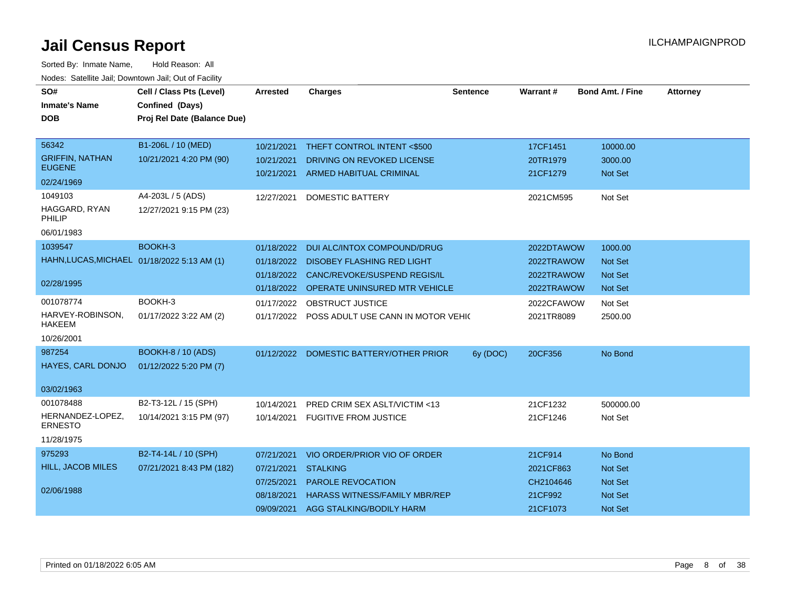| SO#                                         | Cell / Class Pts (Level)    | Arrested   | <b>Charges</b>                                | <b>Sentence</b> | Warrant#   | <b>Bond Amt. / Fine</b> | <b>Attorney</b> |
|---------------------------------------------|-----------------------------|------------|-----------------------------------------------|-----------------|------------|-------------------------|-----------------|
| <b>Inmate's Name</b>                        | Confined (Days)             |            |                                               |                 |            |                         |                 |
| <b>DOB</b>                                  | Proj Rel Date (Balance Due) |            |                                               |                 |            |                         |                 |
|                                             |                             |            |                                               |                 |            |                         |                 |
| 56342                                       | B1-206L / 10 (MED)          | 10/21/2021 | THEFT CONTROL INTENT <\$500                   |                 | 17CF1451   | 10000.00                |                 |
| <b>GRIFFIN, NATHAN</b><br><b>EUGENE</b>     | 10/21/2021 4:20 PM (90)     | 10/21/2021 | DRIVING ON REVOKED LICENSE                    |                 | 20TR1979   | 3000.00                 |                 |
| 02/24/1969                                  |                             | 10/21/2021 | ARMED HABITUAL CRIMINAL                       |                 | 21CF1279   | Not Set                 |                 |
| 1049103                                     | A4-203L / 5 (ADS)           | 12/27/2021 | <b>DOMESTIC BATTERY</b>                       |                 | 2021CM595  | Not Set                 |                 |
| HAGGARD, RYAN<br><b>PHILIP</b>              | 12/27/2021 9:15 PM (23)     |            |                                               |                 |            |                         |                 |
| 06/01/1983                                  |                             |            |                                               |                 |            |                         |                 |
| 1039547                                     | BOOKH-3                     | 01/18/2022 | DUI ALC/INTOX COMPOUND/DRUG                   |                 | 2022DTAWOW | 1000.00                 |                 |
| HAHN, LUCAS, MICHAEL 01/18/2022 5:13 AM (1) |                             |            | 01/18/2022 DISOBEY FLASHING RED LIGHT         |                 | 2022TRAWOW | Not Set                 |                 |
|                                             |                             |            | 01/18/2022 CANC/REVOKE/SUSPEND REGIS/IL       |                 | 2022TRAWOW | <b>Not Set</b>          |                 |
| 02/28/1995                                  |                             |            | 01/18/2022 OPERATE UNINSURED MTR VEHICLE      |                 | 2022TRAWOW | <b>Not Set</b>          |                 |
| 001078774                                   | BOOKH-3                     |            | 01/17/2022 OBSTRUCT JUSTICE                   |                 | 2022CFAWOW | Not Set                 |                 |
| HARVEY-ROBINSON.<br><b>HAKEEM</b>           | 01/17/2022 3:22 AM (2)      |            | 01/17/2022 POSS ADULT USE CANN IN MOTOR VEHIC |                 | 2021TR8089 | 2500.00                 |                 |
| 10/26/2001                                  |                             |            |                                               |                 |            |                         |                 |
| 987254                                      | <b>BOOKH-8 / 10 (ADS)</b>   |            | 01/12/2022 DOMESTIC BATTERY/OTHER PRIOR       | 6y (DOC)        | 20CF356    | No Bond                 |                 |
| HAYES, CARL DONJO                           | 01/12/2022 5:20 PM (7)      |            |                                               |                 |            |                         |                 |
| 03/02/1963                                  |                             |            |                                               |                 |            |                         |                 |
| 001078488                                   | B2-T3-12L / 15 (SPH)        | 10/14/2021 | PRED CRIM SEX ASLT/VICTIM <13                 |                 | 21CF1232   | 500000.00               |                 |
| HERNANDEZ-LOPEZ,<br><b>ERNESTO</b>          | 10/14/2021 3:15 PM (97)     | 10/14/2021 | <b>FUGITIVE FROM JUSTICE</b>                  |                 | 21CF1246   | Not Set                 |                 |
| 11/28/1975                                  |                             |            |                                               |                 |            |                         |                 |
| 975293                                      | B2-T4-14L / 10 (SPH)        | 07/21/2021 | VIO ORDER/PRIOR VIO OF ORDER                  |                 | 21CF914    | No Bond                 |                 |
| <b>HILL, JACOB MILES</b>                    | 07/21/2021 8:43 PM (182)    | 07/21/2021 | <b>STALKING</b>                               |                 | 2021CF863  | Not Set                 |                 |
|                                             |                             | 07/25/2021 | PAROLE REVOCATION                             |                 | CH2104646  | <b>Not Set</b>          |                 |
| 02/06/1988                                  |                             | 08/18/2021 | <b>HARASS WITNESS/FAMILY MBR/REP</b>          |                 | 21CF992    | Not Set                 |                 |
|                                             |                             | 09/09/2021 | AGG STALKING/BODILY HARM                      |                 | 21CF1073   | Not Set                 |                 |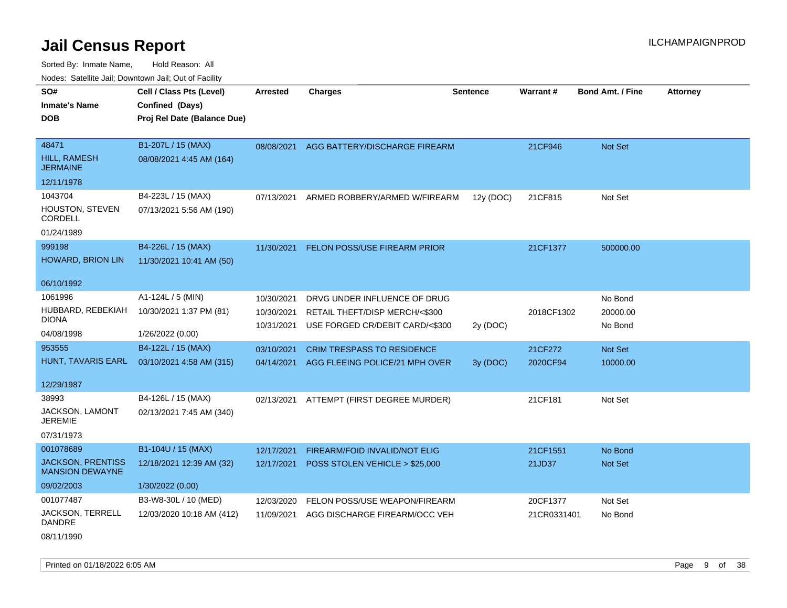Sorted By: Inmate Name, Hold Reason: All Nodes: Satellite Jail; Downtown Jail; Out of Facility

| vouco. Odichite Jail, Downtown Jail, Out of Facility |                             |                 |                                          |                 |                 |                         |                 |
|------------------------------------------------------|-----------------------------|-----------------|------------------------------------------|-----------------|-----------------|-------------------------|-----------------|
| SO#                                                  | Cell / Class Pts (Level)    | <b>Arrested</b> | <b>Charges</b>                           | <b>Sentence</b> | <b>Warrant#</b> | <b>Bond Amt. / Fine</b> | <b>Attorney</b> |
| <b>Inmate's Name</b>                                 | Confined (Days)             |                 |                                          |                 |                 |                         |                 |
| DOB                                                  | Proj Rel Date (Balance Due) |                 |                                          |                 |                 |                         |                 |
|                                                      |                             |                 |                                          |                 |                 |                         |                 |
| 48471                                                | B1-207L / 15 (MAX)          | 08/08/2021      | AGG BATTERY/DISCHARGE FIREARM            |                 | 21CF946         | Not Set                 |                 |
| HILL, RAMESH<br><b>JERMAINE</b>                      | 08/08/2021 4:45 AM (164)    |                 |                                          |                 |                 |                         |                 |
| 12/11/1978                                           |                             |                 |                                          |                 |                 |                         |                 |
| 1043704                                              | B4-223L / 15 (MAX)          | 07/13/2021      | ARMED ROBBERY/ARMED W/FIREARM            | 12y (DOC)       | 21CF815         | Not Set                 |                 |
| HOUSTON, STEVEN<br>CORDELL                           | 07/13/2021 5:56 AM (190)    |                 |                                          |                 |                 |                         |                 |
| 01/24/1989                                           |                             |                 |                                          |                 |                 |                         |                 |
| 999198                                               | B4-226L / 15 (MAX)          | 11/30/2021      | FELON POSS/USE FIREARM PRIOR             |                 | 21CF1377        | 500000.00               |                 |
| <b>HOWARD, BRION LIN</b>                             | 11/30/2021 10:41 AM (50)    |                 |                                          |                 |                 |                         |                 |
| 06/10/1992                                           |                             |                 |                                          |                 |                 |                         |                 |
| 1061996                                              | A1-124L / 5 (MIN)           | 10/30/2021      | DRVG UNDER INFLUENCE OF DRUG             |                 |                 | No Bond                 |                 |
| HUBBARD, REBEKIAH                                    | 10/30/2021 1:37 PM (81)     | 10/30/2021      | RETAIL THEFT/DISP MERCH/<\$300           |                 | 2018CF1302      | 20000.00                |                 |
| DIONA                                                |                             | 10/31/2021      | USE FORGED CR/DEBIT CARD/<\$300          | 2y (DOC)        |                 | No Bond                 |                 |
| 04/08/1998                                           | 1/26/2022 (0.00)            |                 |                                          |                 |                 |                         |                 |
| 953555                                               | B4-122L / 15 (MAX)          | 03/10/2021      | <b>CRIM TRESPASS TO RESIDENCE</b>        |                 | 21CF272         | Not Set                 |                 |
| HUNT, TAVARIS EARL                                   | 03/10/2021 4:58 AM (315)    | 04/14/2021      | AGG FLEEING POLICE/21 MPH OVER           | 3y (DOC)        | 2020CF94        | 10000.00                |                 |
| 12/29/1987                                           |                             |                 |                                          |                 |                 |                         |                 |
| 38993                                                | B4-126L / 15 (MAX)          |                 | 02/13/2021 ATTEMPT (FIRST DEGREE MURDER) |                 | 21CF181         | Not Set                 |                 |
| <b>JACKSON, LAMONT</b><br><b>JEREMIE</b>             | 02/13/2021 7:45 AM (340)    |                 |                                          |                 |                 |                         |                 |
| 07/31/1973                                           |                             |                 |                                          |                 |                 |                         |                 |
| 001078689                                            | B1-104U / 15 (MAX)          | 12/17/2021      | <b>FIREARM/FOID INVALID/NOT ELIG</b>     |                 | 21CF1551        | No Bond                 |                 |
| <b>JACKSON, PRENTISS</b><br><b>MANSION DEWAYNE</b>   | 12/18/2021 12:39 AM (32)    | 12/17/2021      | POSS STOLEN VEHICLE > \$25,000           |                 | 21JD37          | Not Set                 |                 |
| 09/02/2003                                           | 1/30/2022 (0.00)            |                 |                                          |                 |                 |                         |                 |
| 001077487                                            | B3-W8-30L / 10 (MED)        | 12/03/2020      | FELON POSS/USE WEAPON/FIREARM            |                 | 20CF1377        | Not Set                 |                 |
| JACKSON, TERRELL<br><b>DANDRE</b>                    | 12/03/2020 10:18 AM (412)   | 11/09/2021      | AGG DISCHARGE FIREARM/OCC VEH            |                 | 21CR0331401     | No Bond                 |                 |

08/11/1990

Printed on 01/18/2022 6:05 AM **Page 9 of 38**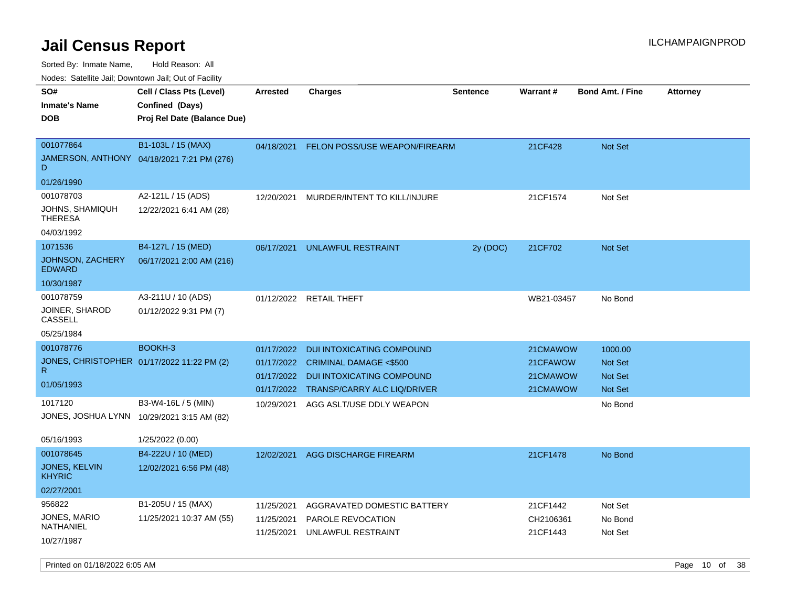Sorted By: Inmate Name, Hold Reason: All

Nodes: Satellite Jail; Downtown Jail; Out of Facility

| roaco. Oatomto dan, Downtown dan, Oat or Fability |                                             |                 |                                      |                 |                 |                         |                 |
|---------------------------------------------------|---------------------------------------------|-----------------|--------------------------------------|-----------------|-----------------|-------------------------|-----------------|
| SO#<br><b>Inmate's Name</b>                       | Cell / Class Pts (Level)<br>Confined (Days) | <b>Arrested</b> | <b>Charges</b>                       | <b>Sentence</b> | <b>Warrant#</b> | <b>Bond Amt. / Fine</b> | <b>Attorney</b> |
| <b>DOB</b>                                        | Proj Rel Date (Balance Due)                 |                 |                                      |                 |                 |                         |                 |
|                                                   |                                             |                 |                                      |                 |                 |                         |                 |
| 001077864                                         | B1-103L / 15 (MAX)                          | 04/18/2021      | <b>FELON POSS/USE WEAPON/FIREARM</b> |                 | 21CF428         | <b>Not Set</b>          |                 |
| D                                                 | JAMERSON, ANTHONY 04/18/2021 7:21 PM (276)  |                 |                                      |                 |                 |                         |                 |
| 01/26/1990                                        |                                             |                 |                                      |                 |                 |                         |                 |
| 001078703                                         | A2-121L / 15 (ADS)                          | 12/20/2021      | MURDER/INTENT TO KILL/INJURE         |                 | 21CF1574        | Not Set                 |                 |
| JOHNS, SHAMIQUH<br><b>THERESA</b>                 | 12/22/2021 6:41 AM (28)                     |                 |                                      |                 |                 |                         |                 |
| 04/03/1992                                        |                                             |                 |                                      |                 |                 |                         |                 |
| 1071536                                           | B4-127L / 15 (MED)                          | 06/17/2021      | UNLAWFUL RESTRAINT                   | 2y (DOC)        | 21CF702         | <b>Not Set</b>          |                 |
| JOHNSON, ZACHERY<br><b>EDWARD</b>                 | 06/17/2021 2:00 AM (216)                    |                 |                                      |                 |                 |                         |                 |
| 10/30/1987                                        |                                             |                 |                                      |                 |                 |                         |                 |
| 001078759                                         | A3-211U / 10 (ADS)                          |                 | 01/12/2022 RETAIL THEFT              |                 | WB21-03457      | No Bond                 |                 |
| JOINER, SHAROD<br>CASSELL                         | 01/12/2022 9:31 PM (7)                      |                 |                                      |                 |                 |                         |                 |
| 05/25/1984                                        |                                             |                 |                                      |                 |                 |                         |                 |
| 001078776                                         | BOOKH-3                                     | 01/17/2022      | <b>DUI INTOXICATING COMPOUND</b>     |                 | 21CMAWOW        | 1000.00                 |                 |
|                                                   | JONES, CHRISTOPHER 01/17/2022 11:22 PM (2)  | 01/17/2022      | <b>CRIMINAL DAMAGE &lt;\$500</b>     |                 | 21CFAWOW        | <b>Not Set</b>          |                 |
| R.                                                |                                             | 01/17/2022      | DUI INTOXICATING COMPOUND            |                 | 21CMAWOW        | <b>Not Set</b>          |                 |
| 01/05/1993                                        |                                             | 01/17/2022      | TRANSP/CARRY ALC LIQ/DRIVER          |                 | 21CMAWOW        | Not Set                 |                 |
| 1017120                                           | B3-W4-16L / 5 (MIN)                         | 10/29/2021      | AGG ASLT/USE DDLY WEAPON             |                 |                 | No Bond                 |                 |
| JONES, JOSHUA LYNN 10/29/2021 3:15 AM (82)        |                                             |                 |                                      |                 |                 |                         |                 |
|                                                   |                                             |                 |                                      |                 |                 |                         |                 |
| 05/16/1993                                        | 1/25/2022 (0.00)                            |                 |                                      |                 |                 |                         |                 |
| 001078645<br>JONES, KELVIN                        | B4-222U / 10 (MED)                          | 12/02/2021      | AGG DISCHARGE FIREARM                |                 | 21CF1478        | No Bond                 |                 |
| <b>KHYRIC</b>                                     | 12/02/2021 6:56 PM (48)                     |                 |                                      |                 |                 |                         |                 |
| 02/27/2001                                        |                                             |                 |                                      |                 |                 |                         |                 |
| 956822                                            | B1-205U / 15 (MAX)                          | 11/25/2021      | AGGRAVATED DOMESTIC BATTERY          |                 | 21CF1442        | Not Set                 |                 |
| JONES, MARIO                                      | 11/25/2021 10:37 AM (55)                    | 11/25/2021      | PAROLE REVOCATION                    |                 | CH2106361       | No Bond                 |                 |
| NATHANIEL                                         |                                             | 11/25/2021      | UNLAWFUL RESTRAINT                   |                 | 21CF1443        | Not Set                 |                 |
| 10/27/1987                                        |                                             |                 |                                      |                 |                 |                         |                 |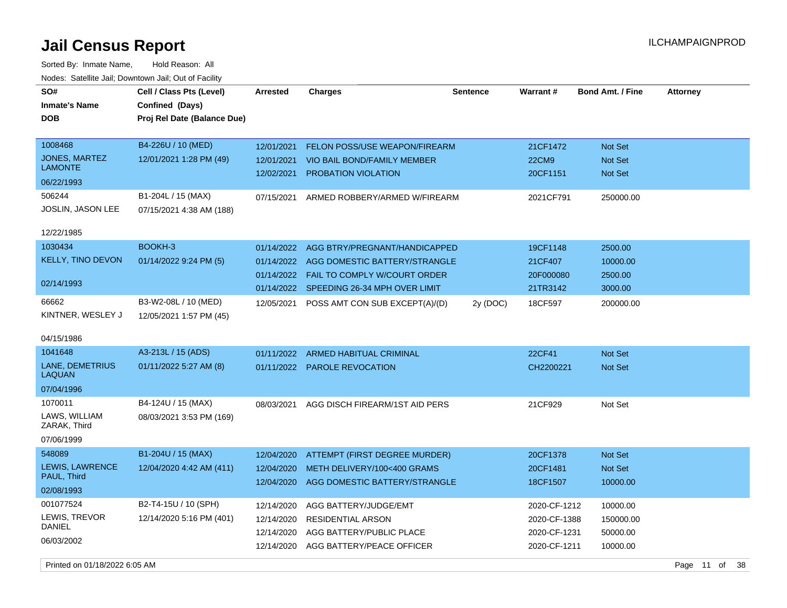| SO#<br><b>Inmate's Name</b><br><b>DOB</b>                                           | Cell / Class Pts (Level)<br>Confined (Days)<br>Proj Rel Date (Balance Due) | <b>Arrested</b>                                      | <b>Charges</b>                                                                                                                         | <b>Sentence</b> | Warrant#                                                     | <b>Bond Amt. / Fine</b>                       | <b>Attorney</b> |
|-------------------------------------------------------------------------------------|----------------------------------------------------------------------------|------------------------------------------------------|----------------------------------------------------------------------------------------------------------------------------------------|-----------------|--------------------------------------------------------------|-----------------------------------------------|-----------------|
| 1008468<br><b>JONES, MARTEZ</b><br><b>LAMONTE</b>                                   | B4-226U / 10 (MED)<br>12/01/2021 1:28 PM (49)                              | 12/01/2021<br>12/01/2021<br>12/02/2021               | FELON POSS/USE WEAPON/FIREARM<br><b>VIO BAIL BOND/FAMILY MEMBER</b><br>PROBATION VIOLATION                                             |                 | 21CF1472<br><b>22CM9</b><br>20CF1151                         | Not Set<br><b>Not Set</b><br><b>Not Set</b>   |                 |
| 06/22/1993<br>506244<br>JOSLIN, JASON LEE<br>12/22/1985                             | B1-204L / 15 (MAX)<br>07/15/2021 4:38 AM (188)                             | 07/15/2021                                           | ARMED ROBBERY/ARMED W/FIREARM                                                                                                          |                 | 2021CF791                                                    | 250000.00                                     |                 |
| 1030434<br><b>KELLY, TINO DEVON</b><br>02/14/1993                                   | BOOKH-3<br>01/14/2022 9:24 PM (5)                                          | 01/14/2022<br>01/14/2022<br>01/14/2022<br>01/14/2022 | AGG BTRY/PREGNANT/HANDICAPPED<br>AGG DOMESTIC BATTERY/STRANGLE<br><b>FAIL TO COMPLY W/COURT ORDER</b><br>SPEEDING 26-34 MPH OVER LIMIT |                 | 19CF1148<br>21CF407<br>20F000080<br>21TR3142                 | 2500.00<br>10000.00<br>2500.00<br>3000.00     |                 |
| 66662<br>KINTNER, WESLEY J<br>04/15/1986                                            | B3-W2-08L / 10 (MED)<br>12/05/2021 1:57 PM (45)                            | 12/05/2021                                           | POSS AMT CON SUB EXCEPT(A)/(D)                                                                                                         | 2y (DOC)        | 18CF597                                                      | 200000.00                                     |                 |
| 1041648<br>LANE, DEMETRIUS<br><b>LAQUAN</b><br>07/04/1996                           | A3-213L / 15 (ADS)<br>01/11/2022 5:27 AM (8)                               | 01/11/2022                                           | <b>ARMED HABITUAL CRIMINAL</b><br>01/11/2022 PAROLE REVOCATION                                                                         |                 | 22CF41<br>CH2200221                                          | <b>Not Set</b><br>Not Set                     |                 |
| 1070011<br>LAWS, WILLIAM<br>ZARAK, Third<br>07/06/1999                              | B4-124U / 15 (MAX)<br>08/03/2021 3:53 PM (169)                             | 08/03/2021                                           | AGG DISCH FIREARM/1ST AID PERS                                                                                                         |                 | 21CF929                                                      | Not Set                                       |                 |
| 548089<br>LEWIS, LAWRENCE<br>PAUL, Third<br>02/08/1993                              | B1-204U / 15 (MAX)<br>12/04/2020 4:42 AM (411)                             | 12/04/2020<br>12/04/2020<br>12/04/2020               | ATTEMPT (FIRST DEGREE MURDER)<br>METH DELIVERY/100<400 GRAMS<br>AGG DOMESTIC BATTERY/STRANGLE                                          |                 | 20CF1378<br>20CF1481<br>18CF1507                             | <b>Not Set</b><br>Not Set<br>10000.00         |                 |
| 001077524<br>LEWIS, TREVOR<br>DANIEL<br>06/03/2002<br>Printed on 01/18/2022 6:05 AM | B2-T4-15U / 10 (SPH)<br>12/14/2020 5:16 PM (401)                           | 12/14/2020<br>12/14/2020<br>12/14/2020<br>12/14/2020 | AGG BATTERY/JUDGE/EMT<br><b>RESIDENTIAL ARSON</b><br>AGG BATTERY/PUBLIC PLACE<br>AGG BATTERY/PEACE OFFICER                             |                 | 2020-CF-1212<br>2020-CF-1388<br>2020-CF-1231<br>2020-CF-1211 | 10000.00<br>150000.00<br>50000.00<br>10000.00 | Page 11 of 38   |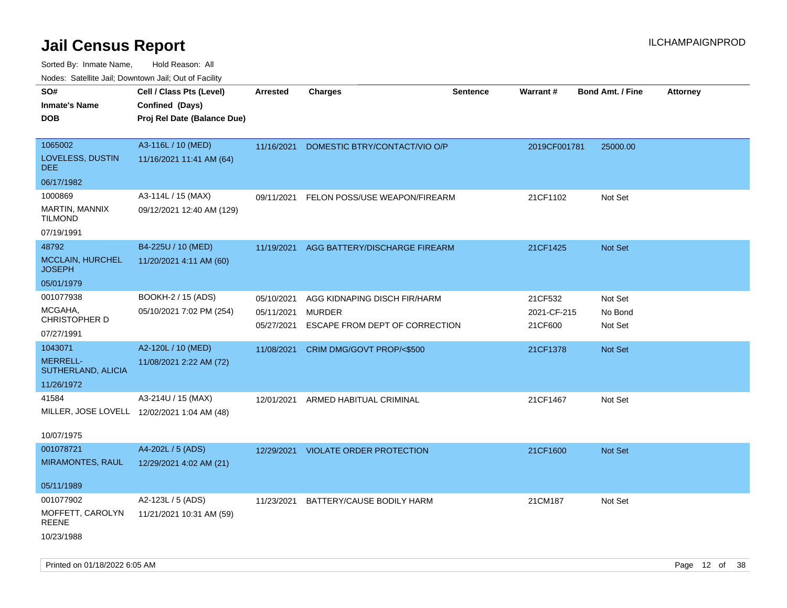| Nodes. Satellite Jali, Downtown Jali, Out of Facility |                                             |                          |                                                 |                 |                        |                         |                 |
|-------------------------------------------------------|---------------------------------------------|--------------------------|-------------------------------------------------|-----------------|------------------------|-------------------------|-----------------|
| SO#                                                   | Cell / Class Pts (Level)                    | <b>Arrested</b>          | <b>Charges</b>                                  | <b>Sentence</b> | <b>Warrant#</b>        | <b>Bond Amt. / Fine</b> | <b>Attorney</b> |
| <b>Inmate's Name</b>                                  | Confined (Days)                             |                          |                                                 |                 |                        |                         |                 |
| <b>DOB</b>                                            | Proj Rel Date (Balance Due)                 |                          |                                                 |                 |                        |                         |                 |
|                                                       |                                             |                          |                                                 |                 |                        |                         |                 |
| 1065002                                               | A3-116L / 10 (MED)                          | 11/16/2021               | DOMESTIC BTRY/CONTACT/VIO O/P                   |                 | 2019CF001781           | 25000.00                |                 |
| LOVELESS, DUSTIN<br><b>DEE</b>                        | 11/16/2021 11:41 AM (64)                    |                          |                                                 |                 |                        |                         |                 |
| 06/17/1982                                            |                                             |                          |                                                 |                 |                        |                         |                 |
| 1000869                                               | A3-114L / 15 (MAX)                          | 09/11/2021               | FELON POSS/USE WEAPON/FIREARM                   |                 | 21CF1102               | Not Set                 |                 |
| MARTIN, MANNIX<br><b>TILMOND</b>                      | 09/12/2021 12:40 AM (129)                   |                          |                                                 |                 |                        |                         |                 |
| 07/19/1991                                            |                                             |                          |                                                 |                 |                        |                         |                 |
| 48792                                                 | B4-225U / 10 (MED)                          | 11/19/2021               | AGG BATTERY/DISCHARGE FIREARM                   |                 | 21CF1425               | Not Set                 |                 |
| MCCLAIN, HURCHEL<br><b>JOSEPH</b>                     | 11/20/2021 4:11 AM (60)                     |                          |                                                 |                 |                        |                         |                 |
| 05/01/1979                                            |                                             |                          |                                                 |                 |                        |                         |                 |
| 001077938                                             | BOOKH-2 / 15 (ADS)                          | 05/10/2021               | AGG KIDNAPING DISCH FIR/HARM                    |                 | 21CF532                | Not Set                 |                 |
| MCGAHA,<br>CHRISTOPHER D                              | 05/10/2021 7:02 PM (254)                    | 05/11/2021<br>05/27/2021 | <b>MURDER</b><br>ESCAPE FROM DEPT OF CORRECTION |                 | 2021-CF-215<br>21CF600 | No Bond<br>Not Set      |                 |
| 07/27/1991                                            |                                             |                          |                                                 |                 |                        |                         |                 |
| 1043071                                               | A2-120L / 10 (MED)                          | 11/08/2021               | CRIM DMG/GOVT PROP/<\$500                       |                 | 21CF1378               | Not Set                 |                 |
| <b>MERRELL-</b><br>SUTHERLAND, ALICIA                 | 11/08/2021 2:22 AM (72)                     |                          |                                                 |                 |                        |                         |                 |
| 11/26/1972                                            |                                             |                          |                                                 |                 |                        |                         |                 |
| 41584                                                 | A3-214U / 15 (MAX)                          | 12/01/2021               | ARMED HABITUAL CRIMINAL                         |                 | 21CF1467               | Not Set                 |                 |
|                                                       | MILLER, JOSE LOVELL 12/02/2021 1:04 AM (48) |                          |                                                 |                 |                        |                         |                 |
|                                                       |                                             |                          |                                                 |                 |                        |                         |                 |
| 10/07/1975                                            |                                             |                          |                                                 |                 |                        |                         |                 |
| 001078721                                             | A4-202L / 5 (ADS)                           | 12/29/2021               | <b>VIOLATE ORDER PROTECTION</b>                 |                 | 21CF1600               | Not Set                 |                 |
| <b>MIRAMONTES, RAUL</b>                               | 12/29/2021 4:02 AM (21)                     |                          |                                                 |                 |                        |                         |                 |
| 05/11/1989                                            |                                             |                          |                                                 |                 |                        |                         |                 |
| 001077902                                             | A2-123L / 5 (ADS)                           |                          |                                                 |                 |                        |                         |                 |
| MOFFETT, CAROLYN                                      | 11/21/2021 10:31 AM (59)                    | 11/23/2021               | BATTERY/CAUSE BODILY HARM                       |                 | 21CM187                | Not Set                 |                 |
| REENE                                                 |                                             |                          |                                                 |                 |                        |                         |                 |
| 10/23/1988                                            |                                             |                          |                                                 |                 |                        |                         |                 |
|                                                       |                                             |                          |                                                 |                 |                        |                         |                 |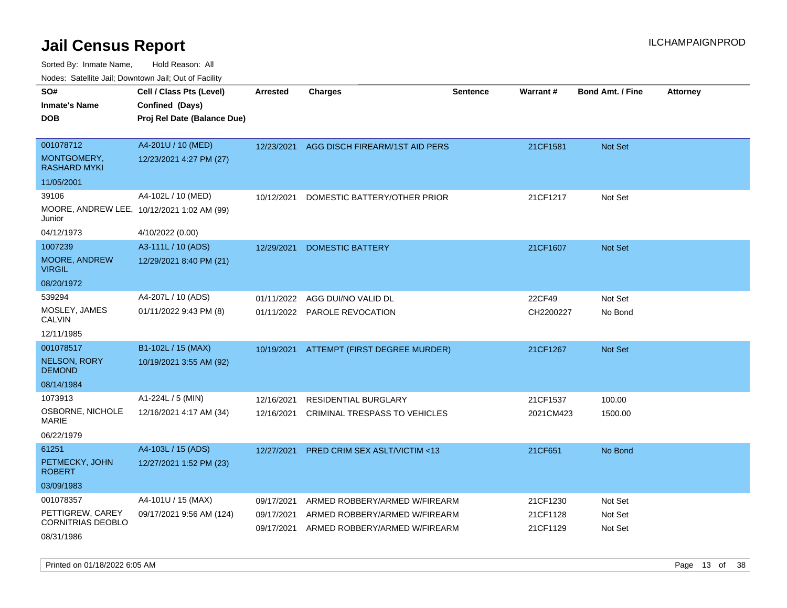| Nuuts. Saltiille Jali, Duwilluwii Jali, Oul of Facility |                                            |                 |                                          |          |           |                         |                 |
|---------------------------------------------------------|--------------------------------------------|-----------------|------------------------------------------|----------|-----------|-------------------------|-----------------|
| SO#                                                     | Cell / Class Pts (Level)                   | <b>Arrested</b> | <b>Charges</b>                           | Sentence | Warrant#  | <b>Bond Amt. / Fine</b> | <b>Attorney</b> |
| <b>Inmate's Name</b>                                    | Confined (Days)                            |                 |                                          |          |           |                         |                 |
| <b>DOB</b>                                              | Proj Rel Date (Balance Due)                |                 |                                          |          |           |                         |                 |
|                                                         |                                            |                 |                                          |          |           |                         |                 |
| 001078712                                               | A4-201U / 10 (MED)                         | 12/23/2021      | AGG DISCH FIREARM/1ST AID PERS           |          | 21CF1581  | <b>Not Set</b>          |                 |
| MONTGOMERY,<br><b>RASHARD MYKI</b>                      | 12/23/2021 4:27 PM (27)                    |                 |                                          |          |           |                         |                 |
| 11/05/2001                                              |                                            |                 |                                          |          |           |                         |                 |
| 39106                                                   | A4-102L / 10 (MED)                         | 10/12/2021      | DOMESTIC BATTERY/OTHER PRIOR             |          | 21CF1217  | Not Set                 |                 |
| Junior                                                  | MOORE, ANDREW LEE, 10/12/2021 1:02 AM (99) |                 |                                          |          |           |                         |                 |
| 04/12/1973                                              | 4/10/2022 (0.00)                           |                 |                                          |          |           |                         |                 |
| 1007239                                                 | A3-111L / 10 (ADS)                         | 12/29/2021      | <b>DOMESTIC BATTERY</b>                  |          | 21CF1607  | <b>Not Set</b>          |                 |
| MOORE, ANDREW<br><b>VIRGIL</b>                          | 12/29/2021 8:40 PM (21)                    |                 |                                          |          |           |                         |                 |
| 08/20/1972                                              |                                            |                 |                                          |          |           |                         |                 |
| 539294                                                  | A4-207L / 10 (ADS)                         | 01/11/2022      | AGG DUI/NO VALID DL                      |          | 22CF49    | Not Set                 |                 |
| MOSLEY, JAMES<br>CALVIN                                 | 01/11/2022 9:43 PM (8)                     |                 | 01/11/2022 PAROLE REVOCATION             |          | CH2200227 | No Bond                 |                 |
| 12/11/1985                                              |                                            |                 |                                          |          |           |                         |                 |
| 001078517                                               | B1-102L / 15 (MAX)                         |                 | 10/19/2021 ATTEMPT (FIRST DEGREE MURDER) |          | 21CF1267  | <b>Not Set</b>          |                 |
| <b>NELSON, RORY</b><br><b>DEMOND</b>                    | 10/19/2021 3:55 AM (92)                    |                 |                                          |          |           |                         |                 |
| 08/14/1984                                              |                                            |                 |                                          |          |           |                         |                 |
| 1073913                                                 | A1-224L / 5 (MIN)                          | 12/16/2021      | RESIDENTIAL BURGLARY                     |          | 21CF1537  | 100.00                  |                 |
| OSBORNE, NICHOLE<br>MARIE                               | 12/16/2021 4:17 AM (34)                    | 12/16/2021      | CRIMINAL TRESPASS TO VEHICLES            |          | 2021CM423 | 1500.00                 |                 |
| 06/22/1979                                              |                                            |                 |                                          |          |           |                         |                 |
| 61251                                                   | A4-103L / 15 (ADS)                         | 12/27/2021      | <b>PRED CRIM SEX ASLT/VICTIM &lt;13</b>  |          | 21CF651   | No Bond                 |                 |
| PETMECKY, JOHN<br><b>ROBERT</b>                         | 12/27/2021 1:52 PM (23)                    |                 |                                          |          |           |                         |                 |
| 03/09/1983                                              |                                            |                 |                                          |          |           |                         |                 |
| 001078357                                               | A4-101U / 15 (MAX)                         | 09/17/2021      | ARMED ROBBERY/ARMED W/FIREARM            |          | 21CF1230  | Not Set                 |                 |
| PETTIGREW, CAREY<br><b>CORNITRIAS DEOBLO</b>            | 09/17/2021 9:56 AM (124)                   | 09/17/2021      | ARMED ROBBERY/ARMED W/FIREARM            |          | 21CF1128  | Not Set                 |                 |
| 08/31/1986                                              |                                            | 09/17/2021      | ARMED ROBBERY/ARMED W/FIREARM            |          | 21CF1129  | Not Set                 |                 |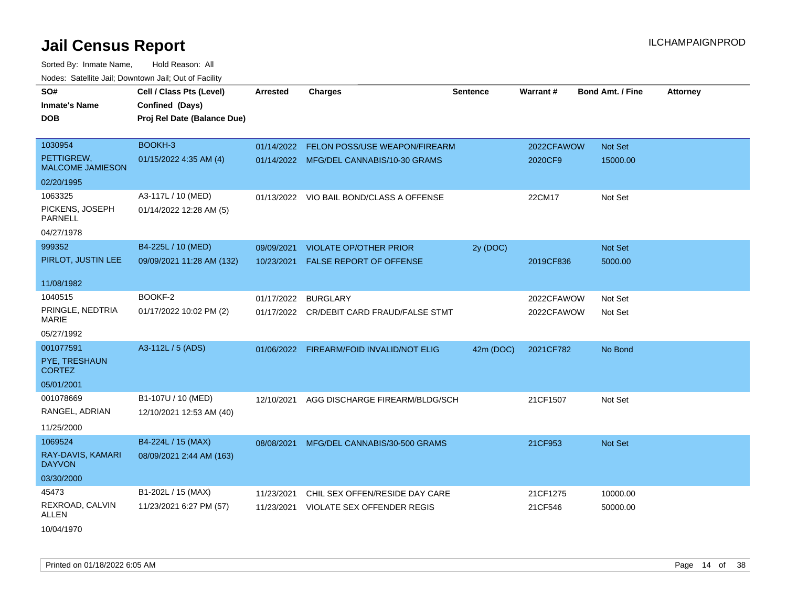| roado. Catolino call, Bowntown call, Cat of Fability |                             |                 |                                           |                 |                 |                         |                 |
|------------------------------------------------------|-----------------------------|-----------------|-------------------------------------------|-----------------|-----------------|-------------------------|-----------------|
| SO#                                                  | Cell / Class Pts (Level)    | <b>Arrested</b> | <b>Charges</b>                            | <b>Sentence</b> | <b>Warrant#</b> | <b>Bond Amt. / Fine</b> | <b>Attorney</b> |
| <b>Inmate's Name</b>                                 | Confined (Days)             |                 |                                           |                 |                 |                         |                 |
| <b>DOB</b>                                           | Proj Rel Date (Balance Due) |                 |                                           |                 |                 |                         |                 |
|                                                      |                             |                 |                                           |                 |                 |                         |                 |
| 1030954                                              | BOOKH-3                     |                 | 01/14/2022 FELON POSS/USE WEAPON/FIREARM  |                 | 2022CFAWOW      | Not Set                 |                 |
| PETTIGREW.<br><b>MALCOME JAMIESON</b>                | 01/15/2022 4:35 AM (4)      |                 | 01/14/2022 MFG/DEL CANNABIS/10-30 GRAMS   |                 | 2020CF9         | 15000.00                |                 |
| 02/20/1995                                           |                             |                 |                                           |                 |                 |                         |                 |
| 1063325                                              | A3-117L / 10 (MED)          |                 | 01/13/2022 VIO BAIL BOND/CLASS A OFFENSE  |                 | 22CM17          | Not Set                 |                 |
| PICKENS, JOSEPH<br><b>PARNELL</b>                    | 01/14/2022 12:28 AM (5)     |                 |                                           |                 |                 |                         |                 |
| 04/27/1978                                           |                             |                 |                                           |                 |                 |                         |                 |
| 999352                                               | B4-225L / 10 (MED)          | 09/09/2021      | <b>VIOLATE OP/OTHER PRIOR</b>             | 2y (DOC)        |                 | <b>Not Set</b>          |                 |
| PIRLOT, JUSTIN LEE                                   | 09/09/2021 11:28 AM (132)   | 10/23/2021      | FALSE REPORT OF OFFENSE                   |                 | 2019CF836       | 5000.00                 |                 |
|                                                      |                             |                 |                                           |                 |                 |                         |                 |
| 11/08/1982                                           |                             |                 |                                           |                 |                 |                         |                 |
| 1040515                                              | BOOKF-2                     | 01/17/2022      | <b>BURGLARY</b>                           |                 | 2022CFAWOW      | Not Set                 |                 |
| PRINGLE, NEDTRIA<br><b>MARIE</b>                     | 01/17/2022 10:02 PM (2)     |                 | 01/17/2022 CR/DEBIT CARD FRAUD/FALSE STMT |                 | 2022CFAWOW      | Not Set                 |                 |
| 05/27/1992                                           |                             |                 |                                           |                 |                 |                         |                 |
| 001077591                                            | A3-112L / 5 (ADS)           |                 | 01/06/2022 FIREARM/FOID INVALID/NOT ELIG  | 42m (DOC)       | 2021CF782       | No Bond                 |                 |
| PYE, TRESHAUN<br><b>CORTEZ</b>                       |                             |                 |                                           |                 |                 |                         |                 |
| 05/01/2001                                           |                             |                 |                                           |                 |                 |                         |                 |
| 001078669                                            | B1-107U / 10 (MED)          | 12/10/2021      | AGG DISCHARGE FIREARM/BLDG/SCH            |                 | 21CF1507        | Not Set                 |                 |
| RANGEL, ADRIAN                                       | 12/10/2021 12:53 AM (40)    |                 |                                           |                 |                 |                         |                 |
| 11/25/2000                                           |                             |                 |                                           |                 |                 |                         |                 |
| 1069524                                              | B4-224L / 15 (MAX)          | 08/08/2021      | MFG/DEL CANNABIS/30-500 GRAMS             |                 | 21CF953         | Not Set                 |                 |
| RAY-DAVIS, KAMARI                                    | 08/09/2021 2:44 AM (163)    |                 |                                           |                 |                 |                         |                 |
| <b>DAYVON</b>                                        |                             |                 |                                           |                 |                 |                         |                 |
| 03/30/2000                                           |                             |                 |                                           |                 |                 |                         |                 |
| 45473                                                | B1-202L / 15 (MAX)          | 11/23/2021      | CHIL SEX OFFEN/RESIDE DAY CARE            |                 | 21CF1275        | 10000.00                |                 |
| REXROAD, CALVIN                                      | 11/23/2021 6:27 PM (57)     | 11/23/2021      | VIOLATE SEX OFFENDER REGIS                |                 | 21CF546         | 50000.00                |                 |
| ALLEN                                                |                             |                 |                                           |                 |                 |                         |                 |
| 10/04/1970                                           |                             |                 |                                           |                 |                 |                         |                 |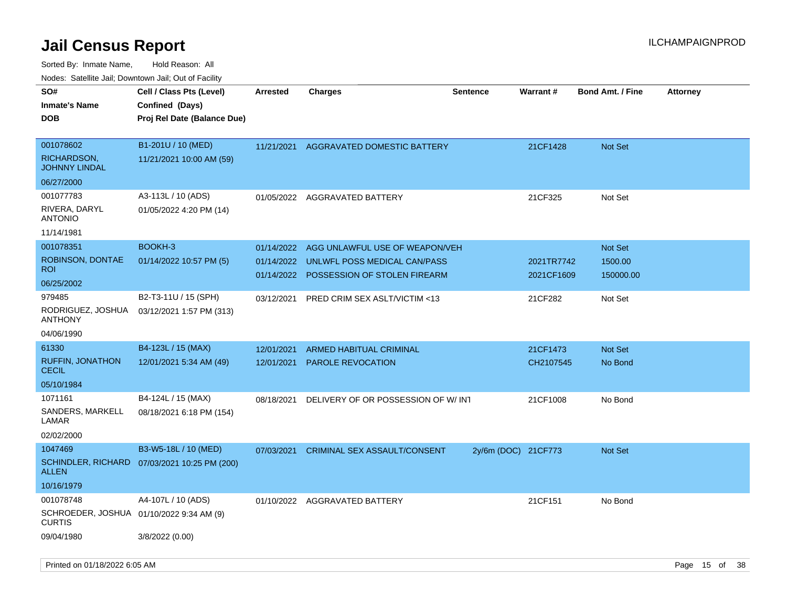| rouco. Calcinic Jan, Downtown Jan, Out of Facility              |                                                                            |                          |                                                              |                     |                          |                         |                 |
|-----------------------------------------------------------------|----------------------------------------------------------------------------|--------------------------|--------------------------------------------------------------|---------------------|--------------------------|-------------------------|-----------------|
| SO#<br>Inmate's Name<br><b>DOB</b>                              | Cell / Class Pts (Level)<br>Confined (Days)<br>Proj Rel Date (Balance Due) | <b>Arrested</b>          | <b>Charges</b>                                               | <b>Sentence</b>     | <b>Warrant#</b>          | <b>Bond Amt. / Fine</b> | <b>Attorney</b> |
| 001078602<br>RICHARDSON,<br>JOHNNY LINDAL                       | B1-201U / 10 (MED)<br>11/21/2021 10:00 AM (59)                             | 11/21/2021               | AGGRAVATED DOMESTIC BATTERY                                  |                     | 21CF1428                 | <b>Not Set</b>          |                 |
| 06/27/2000<br>001077783                                         | A3-113L / 10 (ADS)                                                         |                          | 01/05/2022 AGGRAVATED BATTERY                                |                     | 21CF325                  | Not Set                 |                 |
| RIVERA, DARYL<br>ANTONIO                                        | 01/05/2022 4:20 PM (14)                                                    |                          |                                                              |                     |                          |                         |                 |
| 11/14/1981                                                      |                                                                            |                          |                                                              |                     |                          |                         |                 |
| 001078351                                                       | BOOKH-3                                                                    | 01/14/2022               | AGG UNLAWFUL USE OF WEAPON/VEH                               |                     |                          | Not Set                 |                 |
| ROBINSON, DONTAE<br>ROI.                                        | 01/14/2022 10:57 PM (5)                                                    | 01/14/2022<br>01/14/2022 | UNLWFL POSS MEDICAL CAN/PASS<br>POSSESSION OF STOLEN FIREARM |                     | 2021TR7742<br>2021CF1609 | 1500.00<br>150000.00    |                 |
| 06/25/2002                                                      |                                                                            |                          |                                                              |                     |                          |                         |                 |
| 979485                                                          | B2-T3-11U / 15 (SPH)                                                       | 03/12/2021               | PRED CRIM SEX ASLT/VICTIM <13                                |                     | 21CF282                  | Not Set                 |                 |
| RODRIGUEZ, JOSHUA<br>ANTHONY                                    | 03/12/2021 1:57 PM (313)                                                   |                          |                                                              |                     |                          |                         |                 |
| 04/06/1990                                                      |                                                                            |                          |                                                              |                     |                          |                         |                 |
| 61330                                                           | B4-123L / 15 (MAX)                                                         | 12/01/2021               | <b>ARMED HABITUAL CRIMINAL</b>                               |                     | 21CF1473                 | Not Set                 |                 |
| <b>RUFFIN, JONATHON</b><br>CECIL                                | 12/01/2021 5:34 AM (49)                                                    | 12/01/2021               | PAROLE REVOCATION                                            |                     | CH2107545                | No Bond                 |                 |
| 05/10/1984                                                      |                                                                            |                          |                                                              |                     |                          |                         |                 |
| 1071161                                                         | B4-124L / 15 (MAX)                                                         | 08/18/2021               | DELIVERY OF OR POSSESSION OF W/INT                           |                     | 21CF1008                 | No Bond                 |                 |
| SANDERS, MARKELL<br>LAMAR                                       | 08/18/2021 6:18 PM (154)                                                   |                          |                                                              |                     |                          |                         |                 |
| 02/02/2000                                                      |                                                                            |                          |                                                              |                     |                          |                         |                 |
| 1047469                                                         | B3-W5-18L / 10 (MED)                                                       | 07/03/2021               | <b>CRIMINAL SEX ASSAULT/CONSENT</b>                          | 2y/6m (DOC) 21CF773 |                          | <b>Not Set</b>          |                 |
| ALLEN                                                           | SCHINDLER, RICHARD 07/03/2021 10:25 PM (200)                               |                          |                                                              |                     |                          |                         |                 |
| 10/16/1979                                                      |                                                                            |                          |                                                              |                     |                          |                         |                 |
| 001078748<br>SCHROEDER, JOSHUA 01/10/2022 9:34 AM (9)<br>CURTIS | A4-107L / 10 (ADS)                                                         | 01/10/2022               | AGGRAVATED BATTERY                                           |                     | 21CF151                  | No Bond                 |                 |
| 09/04/1980                                                      | 3/8/2022 (0.00)                                                            |                          |                                                              |                     |                          |                         |                 |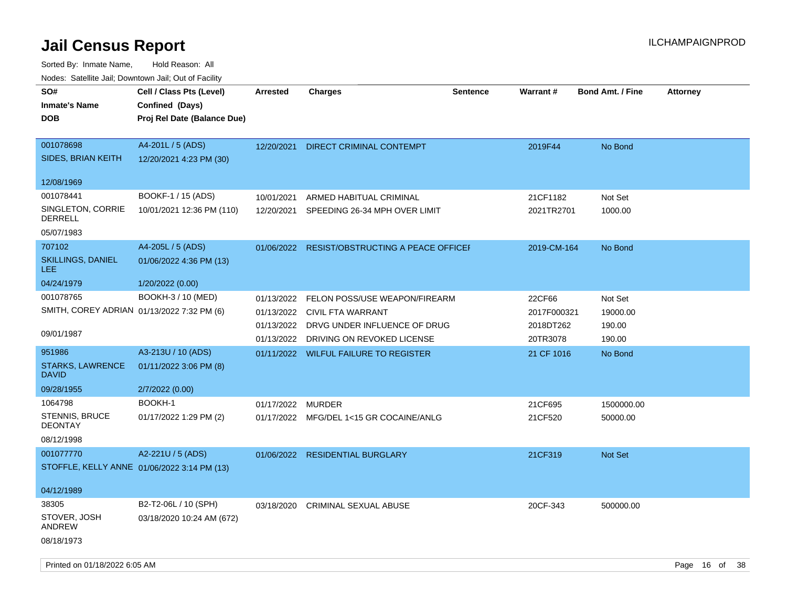| rouco. Calcinic Jan, Downtown Jan, Out of Facility |                                                                            |                 |                                         |                 |             |                         |                 |
|----------------------------------------------------|----------------------------------------------------------------------------|-----------------|-----------------------------------------|-----------------|-------------|-------------------------|-----------------|
| SO#<br><b>Inmate's Name</b><br><b>DOB</b>          | Cell / Class Pts (Level)<br>Confined (Days)<br>Proj Rel Date (Balance Due) | <b>Arrested</b> | <b>Charges</b>                          | <b>Sentence</b> | Warrant#    | <b>Bond Amt. / Fine</b> | <b>Attorney</b> |
|                                                    |                                                                            |                 |                                         |                 |             |                         |                 |
| 001078698<br>SIDES, BRIAN KEITH                    | A4-201L / 5 (ADS)<br>12/20/2021 4:23 PM (30)                               | 12/20/2021      | <b>DIRECT CRIMINAL CONTEMPT</b>         |                 | 2019F44     | No Bond                 |                 |
| 12/08/1969                                         |                                                                            |                 |                                         |                 |             |                         |                 |
| 001078441                                          | BOOKF-1 / 15 (ADS)                                                         | 10/01/2021      | ARMED HABITUAL CRIMINAL                 |                 | 21CF1182    | Not Set                 |                 |
| SINGLETON, CORRIE<br>DERRELL                       | 10/01/2021 12:36 PM (110)                                                  | 12/20/2021      | SPEEDING 26-34 MPH OVER LIMIT           |                 | 2021TR2701  | 1000.00                 |                 |
| 05/07/1983                                         |                                                                            |                 |                                         |                 |             |                         |                 |
| 707102                                             | A4-205L / 5 (ADS)                                                          | 01/06/2022      | RESIST/OBSTRUCTING A PEACE OFFICEF      |                 | 2019-CM-164 | No Bond                 |                 |
| SKILLINGS, DANIEL<br>LEE.                          | 01/06/2022 4:36 PM (13)                                                    |                 |                                         |                 |             |                         |                 |
| 04/24/1979                                         | 1/20/2022 (0.00)                                                           |                 |                                         |                 |             |                         |                 |
| 001078765                                          | BOOKH-3 / 10 (MED)                                                         | 01/13/2022      | FELON POSS/USE WEAPON/FIREARM           |                 | 22CF66      | Not Set                 |                 |
| SMITH, COREY ADRIAN 01/13/2022 7:32 PM (6)         |                                                                            | 01/13/2022      | CIVIL FTA WARRANT                       |                 | 2017F000321 | 19000.00                |                 |
|                                                    |                                                                            | 01/13/2022      | DRVG UNDER INFLUENCE OF DRUG            |                 | 2018DT262   | 190.00                  |                 |
| 09/01/1987                                         |                                                                            | 01/13/2022      | DRIVING ON REVOKED LICENSE              |                 | 20TR3078    | 190.00                  |                 |
| 951986                                             | A3-213U / 10 (ADS)                                                         |                 | 01/11/2022 WILFUL FAILURE TO REGISTER   |                 | 21 CF 1016  | No Bond                 |                 |
| <b>STARKS, LAWRENCE</b><br><b>DAVID</b>            | 01/11/2022 3:06 PM (8)                                                     |                 |                                         |                 |             |                         |                 |
| 09/28/1955                                         | 2/7/2022 (0.00)                                                            |                 |                                         |                 |             |                         |                 |
| 1064798                                            | BOOKH-1                                                                    | 01/17/2022      | MURDER                                  |                 | 21CF695     | 1500000.00              |                 |
| <b>STENNIS, BRUCE</b><br><b>DEONTAY</b>            | 01/17/2022 1:29 PM (2)                                                     |                 | 01/17/2022 MFG/DEL 1<15 GR COCAINE/ANLG |                 | 21CF520     | 50000.00                |                 |
| 08/12/1998                                         |                                                                            |                 |                                         |                 |             |                         |                 |
| 001077770                                          | A2-221U / 5 (ADS)                                                          |                 | 01/06/2022 RESIDENTIAL BURGLARY         |                 | 21CF319     | <b>Not Set</b>          |                 |
| STOFFLE, KELLY ANNE 01/06/2022 3:14 PM (13)        |                                                                            |                 |                                         |                 |             |                         |                 |
| 04/12/1989                                         |                                                                            |                 |                                         |                 |             |                         |                 |
| 38305                                              | B2-T2-06L / 10 (SPH)                                                       | 03/18/2020      | <b>CRIMINAL SEXUAL ABUSE</b>            |                 | 20CF-343    | 500000.00               |                 |
| STOVER, JOSH<br>ANDREW                             | 03/18/2020 10:24 AM (672)                                                  |                 |                                         |                 |             |                         |                 |
| 08/18/1973                                         |                                                                            |                 |                                         |                 |             |                         |                 |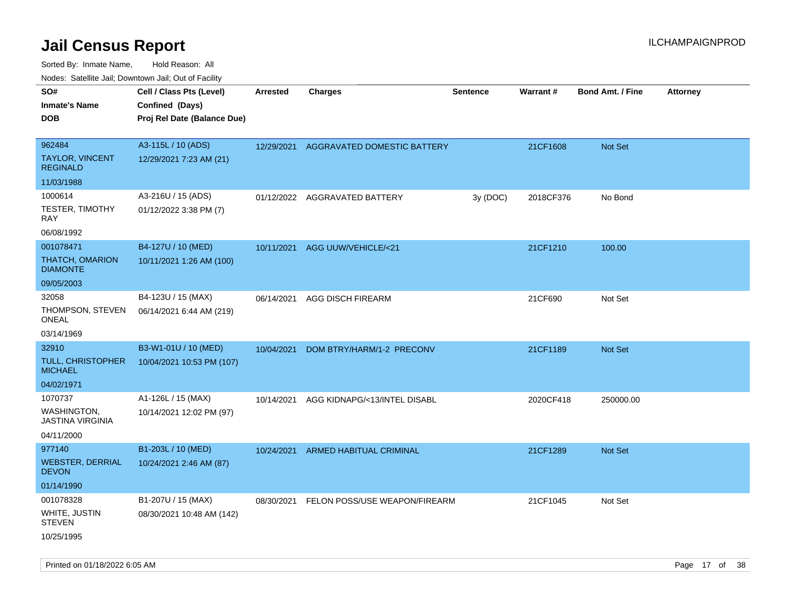Sorted By: Inmate Name, Hold Reason: All

| Nodes: Satellite Jail; Downtown Jail; Out of Facility |                             |                 |                                        |                 |           |                         |                 |  |
|-------------------------------------------------------|-----------------------------|-----------------|----------------------------------------|-----------------|-----------|-------------------------|-----------------|--|
| SO#                                                   | Cell / Class Pts (Level)    | <b>Arrested</b> | <b>Charges</b>                         | <b>Sentence</b> | Warrant#  | <b>Bond Amt. / Fine</b> | <b>Attorney</b> |  |
| <b>Inmate's Name</b>                                  | Confined (Days)             |                 |                                        |                 |           |                         |                 |  |
| <b>DOB</b>                                            | Proj Rel Date (Balance Due) |                 |                                        |                 |           |                         |                 |  |
|                                                       |                             |                 |                                        |                 |           |                         |                 |  |
| 962484                                                | A3-115L / 10 (ADS)          |                 | 12/29/2021 AGGRAVATED DOMESTIC BATTERY |                 | 21CF1608  | Not Set                 |                 |  |
| TAYLOR, VINCENT<br><b>REGINALD</b>                    | 12/29/2021 7:23 AM (21)     |                 |                                        |                 |           |                         |                 |  |
| 11/03/1988                                            |                             |                 |                                        |                 |           |                         |                 |  |
| 1000614                                               | A3-216U / 15 (ADS)          |                 | 01/12/2022 AGGRAVATED BATTERY          | 3y (DOC)        | 2018CF376 | No Bond                 |                 |  |
| TESTER, TIMOTHY<br>RAY                                | 01/12/2022 3:38 PM (7)      |                 |                                        |                 |           |                         |                 |  |
| 06/08/1992                                            |                             |                 |                                        |                 |           |                         |                 |  |
| 001078471                                             | B4-127U / 10 (MED)          | 10/11/2021      | AGG UUW/VEHICLE/<21                    |                 | 21CF1210  | 100.00                  |                 |  |
| THATCH, OMARION<br><b>DIAMONTE</b>                    | 10/11/2021 1:26 AM (100)    |                 |                                        |                 |           |                         |                 |  |
| 09/05/2003                                            |                             |                 |                                        |                 |           |                         |                 |  |
| 32058                                                 | B4-123U / 15 (MAX)          | 06/14/2021      | AGG DISCH FIREARM                      |                 | 21CF690   | Not Set                 |                 |  |
| THOMPSON, STEVEN<br><b>ONEAL</b>                      | 06/14/2021 6:44 AM (219)    |                 |                                        |                 |           |                         |                 |  |
| 03/14/1969                                            |                             |                 |                                        |                 |           |                         |                 |  |
| 32910                                                 | B3-W1-01U / 10 (MED)        | 10/04/2021      | DOM BTRY/HARM/1-2 PRECONV              |                 | 21CF1189  | <b>Not Set</b>          |                 |  |
| TULL, CHRISTOPHER<br><b>MICHAEL</b>                   | 10/04/2021 10:53 PM (107)   |                 |                                        |                 |           |                         |                 |  |
| 04/02/1971                                            |                             |                 |                                        |                 |           |                         |                 |  |
| 1070737                                               | A1-126L / 15 (MAX)          | 10/14/2021      | AGG KIDNAPG/<13/INTEL DISABL           |                 | 2020CF418 | 250000.00               |                 |  |
| <b>WASHINGTON,</b><br>JASTINA VIRGINIA                | 10/14/2021 12:02 PM (97)    |                 |                                        |                 |           |                         |                 |  |
| 04/11/2000                                            |                             |                 |                                        |                 |           |                         |                 |  |
| 977140                                                | B1-203L / 10 (MED)          | 10/24/2021      | ARMED HABITUAL CRIMINAL                |                 | 21CF1289  | Not Set                 |                 |  |
| <b>WEBSTER, DERRIAL</b><br><b>DEVON</b>               | 10/24/2021 2:46 AM (87)     |                 |                                        |                 |           |                         |                 |  |
| 01/14/1990                                            |                             |                 |                                        |                 |           |                         |                 |  |
| 001078328                                             | B1-207U / 15 (MAX)          | 08/30/2021      | FELON POSS/USE WEAPON/FIREARM          |                 | 21CF1045  | Not Set                 |                 |  |
| WHITE, JUSTIN<br><b>STEVEN</b>                        | 08/30/2021 10:48 AM (142)   |                 |                                        |                 |           |                         |                 |  |
| 10/25/1995                                            |                             |                 |                                        |                 |           |                         |                 |  |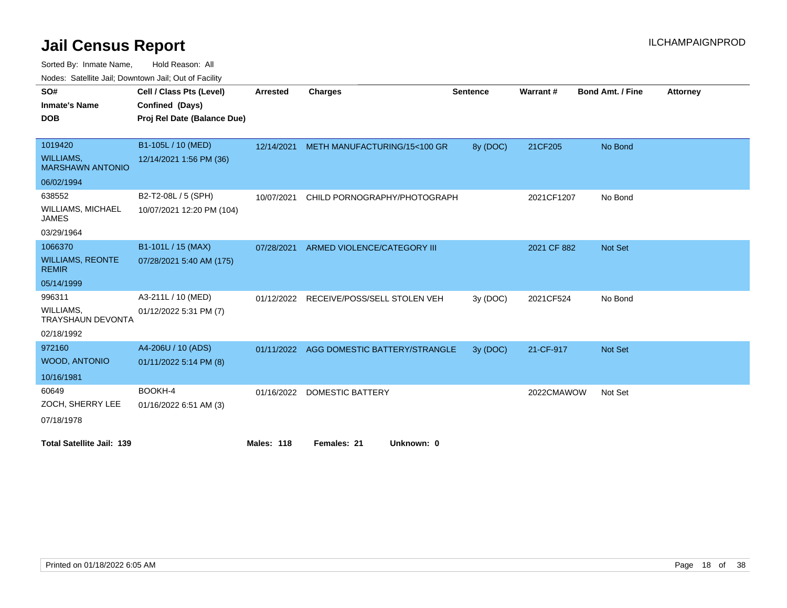Sorted By: Inmate Name, Hold Reason: All

Nodes: Satellite Jail; Downtown Jail; Out of Facility

| SO#                                         | Cell / Class Pts (Level)    | <b>Arrested</b> | <b>Charges</b>                | <b>Sentence</b> | Warrant#    | <b>Bond Amt. / Fine</b> | <b>Attorney</b> |
|---------------------------------------------|-----------------------------|-----------------|-------------------------------|-----------------|-------------|-------------------------|-----------------|
| <b>Inmate's Name</b>                        | Confined (Days)             |                 |                               |                 |             |                         |                 |
| <b>DOB</b>                                  | Proj Rel Date (Balance Due) |                 |                               |                 |             |                         |                 |
|                                             |                             |                 |                               |                 |             |                         |                 |
| 1019420                                     | B1-105L / 10 (MED)          | 12/14/2021      | METH MANUFACTURING/15<100 GR  | 8y (DOC)        | 21CF205     | No Bond                 |                 |
| <b>WILLIAMS,</b><br><b>MARSHAWN ANTONIO</b> | 12/14/2021 1:56 PM (36)     |                 |                               |                 |             |                         |                 |
| 06/02/1994                                  |                             |                 |                               |                 |             |                         |                 |
| 638552                                      | B2-T2-08L / 5 (SPH)         | 10/07/2021      | CHILD PORNOGRAPHY/PHOTOGRAPH  |                 | 2021CF1207  | No Bond                 |                 |
| <b>WILLIAMS, MICHAEL</b><br><b>JAMES</b>    | 10/07/2021 12:20 PM (104)   |                 |                               |                 |             |                         |                 |
| 03/29/1964                                  |                             |                 |                               |                 |             |                         |                 |
| 1066370                                     | B1-101L / 15 (MAX)          | 07/28/2021      | ARMED VIOLENCE/CATEGORY III   |                 | 2021 CF 882 | Not Set                 |                 |
| <b>WILLIAMS, REONTE</b><br><b>REMIR</b>     | 07/28/2021 5:40 AM (175)    |                 |                               |                 |             |                         |                 |
| 05/14/1999                                  |                             |                 |                               |                 |             |                         |                 |
| 996311                                      | A3-211L / 10 (MED)          | 01/12/2022      | RECEIVE/POSS/SELL STOLEN VEH  | 3y(DOC)         | 2021CF524   | No Bond                 |                 |
| WILLIAMS,<br><b>TRAYSHAUN DEVONTA</b>       | 01/12/2022 5:31 PM (7)      |                 |                               |                 |             |                         |                 |
| 02/18/1992                                  |                             |                 |                               |                 |             |                         |                 |
| 972160                                      | A4-206U / 10 (ADS)          | 01/11/2022      | AGG DOMESTIC BATTERY/STRANGLE | 3y (DOC)        | 21-CF-917   | Not Set                 |                 |
| <b>WOOD, ANTONIO</b>                        | 01/11/2022 5:14 PM (8)      |                 |                               |                 |             |                         |                 |
| 10/16/1981                                  |                             |                 |                               |                 |             |                         |                 |
| 60649                                       | BOOKH-4                     | 01/16/2022      | <b>DOMESTIC BATTERY</b>       |                 | 2022CMAWOW  | Not Set                 |                 |
| ZOCH, SHERRY LEE                            | 01/16/2022 6:51 AM (3)      |                 |                               |                 |             |                         |                 |
| 07/18/1978                                  |                             |                 |                               |                 |             |                         |                 |
| <b>Total Satellite Jail: 139</b>            |                             | Males: 118      | Females: 21<br>Unknown: 0     |                 |             |                         |                 |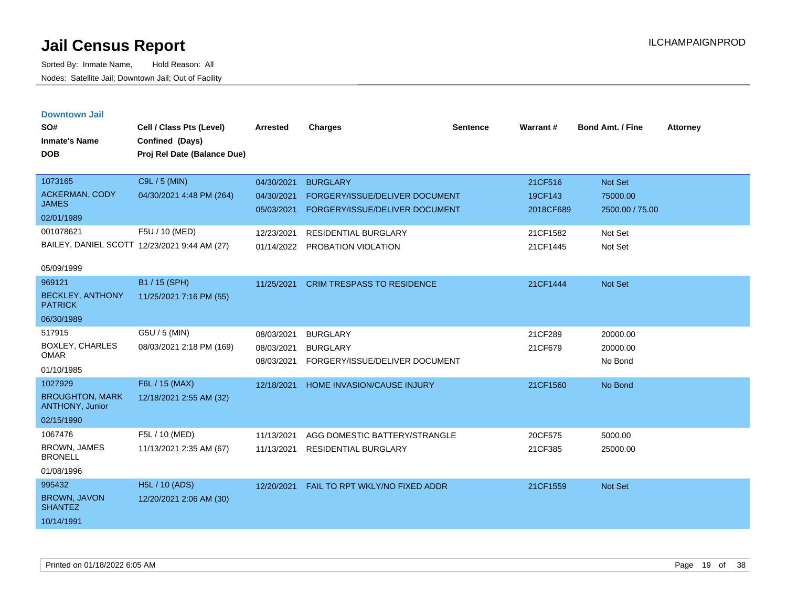| <b>Downtown Jail</b><br>SO#<br><b>Inmate's Name</b><br><b>DOB</b> | Cell / Class Pts (Level)<br>Confined (Days)<br>Proj Rel Date (Balance Due) | Arrested                 | <b>Charges</b>                                                   | <b>Sentence</b> | Warrant#             | <b>Bond Amt. / Fine</b>     | <b>Attorney</b> |
|-------------------------------------------------------------------|----------------------------------------------------------------------------|--------------------------|------------------------------------------------------------------|-----------------|----------------------|-----------------------------|-----------------|
| 1073165                                                           | C9L / 5 (MIN)                                                              | 04/30/2021               | <b>BURGLARY</b>                                                  |                 | 21CF516              | <b>Not Set</b>              |                 |
| ACKERMAN, CODY<br><b>JAMES</b>                                    | 04/30/2021 4:48 PM (264)                                                   | 04/30/2021<br>05/03/2021 | FORGERY/ISSUE/DELIVER DOCUMENT<br>FORGERY/ISSUE/DELIVER DOCUMENT |                 | 19CF143<br>2018CF689 | 75000.00<br>2500.00 / 75.00 |                 |
| 02/01/1989                                                        |                                                                            |                          |                                                                  |                 |                      |                             |                 |
| 001078621                                                         | F5U / 10 (MED)                                                             | 12/23/2021               | RESIDENTIAL BURGLARY                                             |                 | 21CF1582             | Not Set                     |                 |
| BAILEY, DANIEL SCOTT 12/23/2021 9:44 AM (27)                      |                                                                            | 01/14/2022               | PROBATION VIOLATION                                              |                 | 21CF1445             | Not Set                     |                 |
| 05/09/1999                                                        |                                                                            |                          |                                                                  |                 |                      |                             |                 |
| 969121                                                            | B1 / 15 (SPH)                                                              | 11/25/2021               | <b>CRIM TRESPASS TO RESIDENCE</b>                                |                 | 21CF1444             | <b>Not Set</b>              |                 |
| <b>BECKLEY, ANTHONY</b><br><b>PATRICK</b>                         | 11/25/2021 7:16 PM (55)                                                    |                          |                                                                  |                 |                      |                             |                 |
| 06/30/1989                                                        |                                                                            |                          |                                                                  |                 |                      |                             |                 |
| 517915                                                            | G5U / 5 (MIN)                                                              | 08/03/2021               | <b>BURGLARY</b>                                                  |                 | 21CF289              | 20000.00                    |                 |
| <b>BOXLEY, CHARLES</b><br><b>OMAR</b>                             | 08/03/2021 2:18 PM (169)                                                   | 08/03/2021<br>08/03/2021 | <b>BURGLARY</b><br>FORGERY/ISSUE/DELIVER DOCUMENT                |                 | 21CF679              | 20000.00<br>No Bond         |                 |
| 01/10/1985                                                        |                                                                            |                          |                                                                  |                 |                      |                             |                 |
| 1027929                                                           | F6L / 15 (MAX)                                                             | 12/18/2021               | HOME INVASION/CAUSE INJURY                                       |                 | 21CF1560             | No Bond                     |                 |
| <b>BROUGHTON, MARK</b><br>ANTHONY, Junior                         | 12/18/2021 2:55 AM (32)                                                    |                          |                                                                  |                 |                      |                             |                 |
| 02/15/1990                                                        |                                                                            |                          |                                                                  |                 |                      |                             |                 |
| 1067476                                                           | F5L / 10 (MED)                                                             | 11/13/2021               | AGG DOMESTIC BATTERY/STRANGLE                                    |                 | 20CF575              | 5000.00                     |                 |
| <b>BROWN, JAMES</b><br><b>BRONELL</b>                             | 11/13/2021 2:35 AM (67)                                                    | 11/13/2021               | <b>RESIDENTIAL BURGLARY</b>                                      |                 | 21CF385              | 25000.00                    |                 |
| 01/08/1996                                                        |                                                                            |                          |                                                                  |                 |                      |                             |                 |
| 995432                                                            | H5L / 10 (ADS)                                                             | 12/20/2021               | FAIL TO RPT WKLY/NO FIXED ADDR                                   |                 | 21CF1559             | <b>Not Set</b>              |                 |
| <b>BROWN, JAVON</b><br><b>SHANTEZ</b>                             | 12/20/2021 2:06 AM (30)                                                    |                          |                                                                  |                 |                      |                             |                 |
| 10/14/1991                                                        |                                                                            |                          |                                                                  |                 |                      |                             |                 |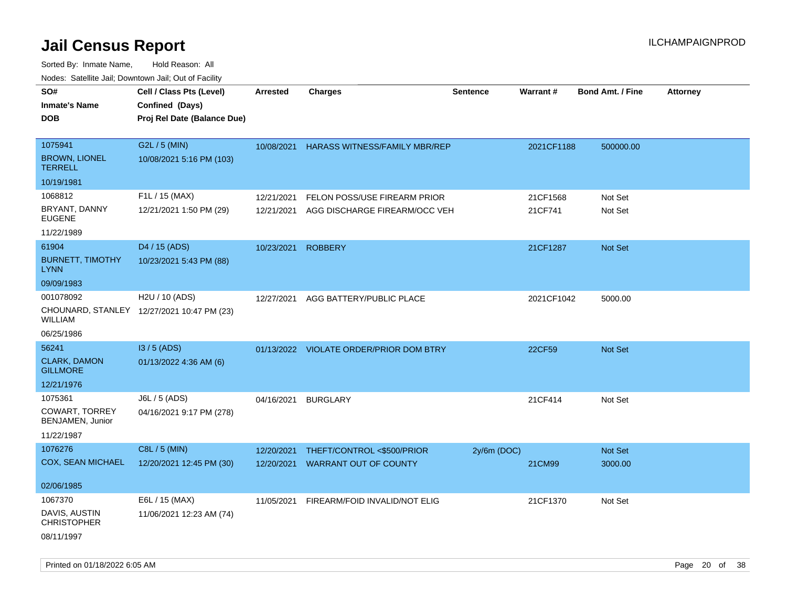| rouco. Calcinic Jan, Downtown Jan, Out of Facility |                                             |                 |                                         |                 |            |                         |                 |
|----------------------------------------------------|---------------------------------------------|-----------------|-----------------------------------------|-----------------|------------|-------------------------|-----------------|
| SO#<br>Inmate's Name                               | Cell / Class Pts (Level)<br>Confined (Days) | <b>Arrested</b> | <b>Charges</b>                          | <b>Sentence</b> | Warrant#   | <b>Bond Amt. / Fine</b> | <b>Attorney</b> |
| DOB                                                | Proj Rel Date (Balance Due)                 |                 |                                         |                 |            |                         |                 |
|                                                    |                                             |                 |                                         |                 |            |                         |                 |
| 1075941                                            | G2L / 5 (MIN)                               | 10/08/2021      | <b>HARASS WITNESS/FAMILY MBR/REP</b>    |                 | 2021CF1188 | 500000.00               |                 |
| <b>BROWN, LIONEL</b><br><b>TERRELL</b>             | 10/08/2021 5:16 PM (103)                    |                 |                                         |                 |            |                         |                 |
| 10/19/1981                                         |                                             |                 |                                         |                 |            |                         |                 |
| 1068812                                            | F1L / 15 (MAX)                              | 12/21/2021      | FELON POSS/USE FIREARM PRIOR            |                 | 21CF1568   | Not Set                 |                 |
| BRYANT, DANNY<br><b>EUGENE</b>                     | 12/21/2021 1:50 PM (29)                     | 12/21/2021      | AGG DISCHARGE FIREARM/OCC VEH           |                 | 21CF741    | Not Set                 |                 |
| 11/22/1989                                         |                                             |                 |                                         |                 |            |                         |                 |
| 61904                                              | D4 / 15 (ADS)                               | 10/23/2021      | <b>ROBBERY</b>                          |                 | 21CF1287   | Not Set                 |                 |
| <b>BURNETT, TIMOTHY</b><br>LYNN                    | 10/23/2021 5:43 PM (88)                     |                 |                                         |                 |            |                         |                 |
| 09/09/1983                                         |                                             |                 |                                         |                 |            |                         |                 |
| 001078092                                          | H <sub>2</sub> U / 10 (ADS)                 | 12/27/2021      | AGG BATTERY/PUBLIC PLACE                |                 | 2021CF1042 | 5000.00                 |                 |
| WILLIAM                                            | CHOUNARD, STANLEY 12/27/2021 10:47 PM (23)  |                 |                                         |                 |            |                         |                 |
| 06/25/1986                                         |                                             |                 |                                         |                 |            |                         |                 |
| 56241                                              | $13/5$ (ADS)                                |                 | 01/13/2022 VIOLATE ORDER/PRIOR DOM BTRY |                 | 22CF59     | Not Set                 |                 |
| <b>CLARK, DAMON</b><br><b>GILLMORE</b>             | 01/13/2022 4:36 AM (6)                      |                 |                                         |                 |            |                         |                 |
| 12/21/1976                                         |                                             |                 |                                         |                 |            |                         |                 |
| 1075361                                            | J6L / 5 (ADS)                               | 04/16/2021      | <b>BURGLARY</b>                         |                 | 21CF414    | Not Set                 |                 |
| COWART, TORREY<br>BENJAMEN, Junior                 | 04/16/2021 9:17 PM (278)                    |                 |                                         |                 |            |                         |                 |
| 11/22/1987                                         |                                             |                 |                                         |                 |            |                         |                 |
| 1076276                                            | C8L / 5 (MIN)                               | 12/20/2021      | THEFT/CONTROL <\$500/PRIOR              | $2y/6m$ (DOC)   |            | <b>Not Set</b>          |                 |
| COX, SEAN MICHAEL                                  | 12/20/2021 12:45 PM (30)                    | 12/20/2021      | <b>WARRANT OUT OF COUNTY</b>            |                 | 21CM99     | 3000.00                 |                 |
| 02/06/1985                                         |                                             |                 |                                         |                 |            |                         |                 |
| 1067370                                            | E6L / 15 (MAX)                              | 11/05/2021      | FIREARM/FOID INVALID/NOT ELIG           |                 | 21CF1370   | Not Set                 |                 |
| DAVIS, AUSTIN<br>CHRISTOPHER                       | 11/06/2021 12:23 AM (74)                    |                 |                                         |                 |            |                         |                 |
| 08/11/1997                                         |                                             |                 |                                         |                 |            |                         |                 |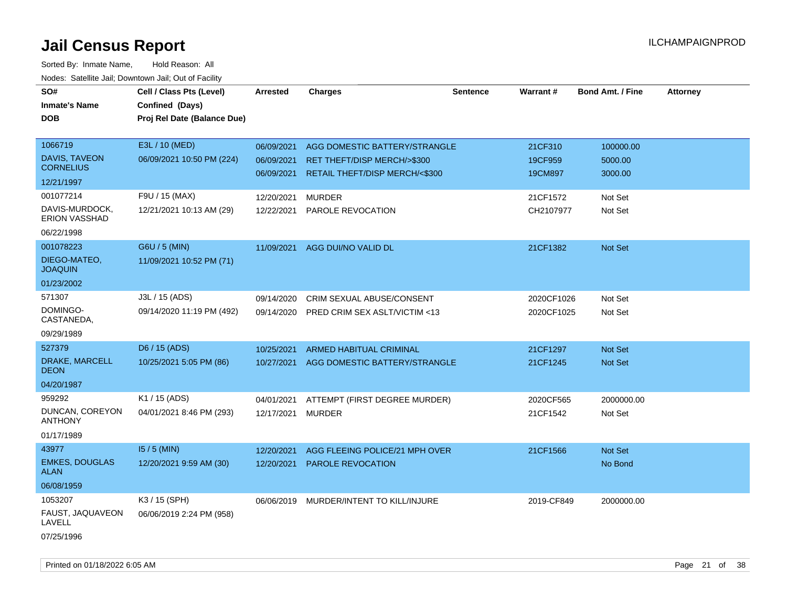| SO#<br><b>Inmate's Name</b><br><b>DOB</b> | Cell / Class Pts (Level)<br>Confined (Days)<br>Proj Rel Date (Balance Due) | <b>Arrested</b> | <b>Charges</b>                           | <b>Sentence</b> | <b>Warrant#</b> | <b>Bond Amt. / Fine</b> | <b>Attorney</b> |
|-------------------------------------------|----------------------------------------------------------------------------|-----------------|------------------------------------------|-----------------|-----------------|-------------------------|-----------------|
|                                           |                                                                            |                 |                                          |                 |                 |                         |                 |
| 1066719                                   | E3L / 10 (MED)                                                             | 06/09/2021      | AGG DOMESTIC BATTERY/STRANGLE            |                 | 21CF310         | 100000.00               |                 |
| DAVIS, TAVEON                             | 06/09/2021 10:50 PM (224)                                                  | 06/09/2021      | RET THEFT/DISP MERCH/>\$300              |                 | 19CF959         | 5000.00                 |                 |
| <b>CORNELIUS</b>                          |                                                                            | 06/09/2021      | RETAIL THEFT/DISP MERCH/<\$300           |                 | 19CM897         | 3000.00                 |                 |
| 12/21/1997                                |                                                                            |                 |                                          |                 |                 |                         |                 |
| 001077214                                 | F9U / 15 (MAX)                                                             | 12/20/2021      | <b>MURDER</b>                            |                 | 21CF1572        | Not Set                 |                 |
| DAVIS-MURDOCK,<br><b>ERION VASSHAD</b>    | 12/21/2021 10:13 AM (29)                                                   |                 | 12/22/2021 PAROLE REVOCATION             |                 | CH2107977       | Not Set                 |                 |
| 06/22/1998                                |                                                                            |                 |                                          |                 |                 |                         |                 |
| 001078223                                 | G6U / 5 (MIN)                                                              | 11/09/2021      | AGG DUI/NO VALID DL                      |                 | 21CF1382        | Not Set                 |                 |
| DIEGO-MATEO,<br><b>JOAQUIN</b>            | 11/09/2021 10:52 PM (71)                                                   |                 |                                          |                 |                 |                         |                 |
| 01/23/2002                                |                                                                            |                 |                                          |                 |                 |                         |                 |
| 571307                                    | J3L / 15 (ADS)                                                             | 09/14/2020      | CRIM SEXUAL ABUSE/CONSENT                |                 | 2020CF1026      | Not Set                 |                 |
| DOMINGO-<br>CASTANEDA,                    | 09/14/2020 11:19 PM (492)                                                  | 09/14/2020      | PRED CRIM SEX ASLT/VICTIM <13            |                 | 2020CF1025      | Not Set                 |                 |
| 09/29/1989                                |                                                                            |                 |                                          |                 |                 |                         |                 |
| 527379                                    | D6 / 15 (ADS)                                                              | 10/25/2021      | <b>ARMED HABITUAL CRIMINAL</b>           |                 | 21CF1297        | <b>Not Set</b>          |                 |
| DRAKE, MARCELL<br><b>DEON</b>             | 10/25/2021 5:05 PM (86)                                                    |                 | 10/27/2021 AGG DOMESTIC BATTERY/STRANGLE |                 | 21CF1245        | Not Set                 |                 |
| 04/20/1987                                |                                                                            |                 |                                          |                 |                 |                         |                 |
| 959292                                    | K1 / 15 (ADS)                                                              | 04/01/2021      | ATTEMPT (FIRST DEGREE MURDER)            |                 | 2020CF565       | 2000000.00              |                 |
| DUNCAN, COREYON<br><b>ANTHONY</b>         | 04/01/2021 8:46 PM (293)                                                   | 12/17/2021      | <b>MURDER</b>                            |                 | 21CF1542        | Not Set                 |                 |
| 01/17/1989                                |                                                                            |                 |                                          |                 |                 |                         |                 |
| 43977                                     | $15/5$ (MIN)                                                               | 12/20/2021      | AGG FLEEING POLICE/21 MPH OVER           |                 | 21CF1566        | Not Set                 |                 |
| <b>EMKES, DOUGLAS</b><br><b>ALAN</b>      | 12/20/2021 9:59 AM (30)                                                    | 12/20/2021      | PAROLE REVOCATION                        |                 |                 | No Bond                 |                 |
| 06/08/1959                                |                                                                            |                 |                                          |                 |                 |                         |                 |
| 1053207                                   | K3 / 15 (SPH)                                                              |                 | 06/06/2019 MURDER/INTENT TO KILL/INJURE  |                 | 2019-CF849      | 2000000.00              |                 |
| FAUST, JAQUAVEON<br>LAVELL                | 06/06/2019 2:24 PM (958)                                                   |                 |                                          |                 |                 |                         |                 |
| 07/25/1996                                |                                                                            |                 |                                          |                 |                 |                         |                 |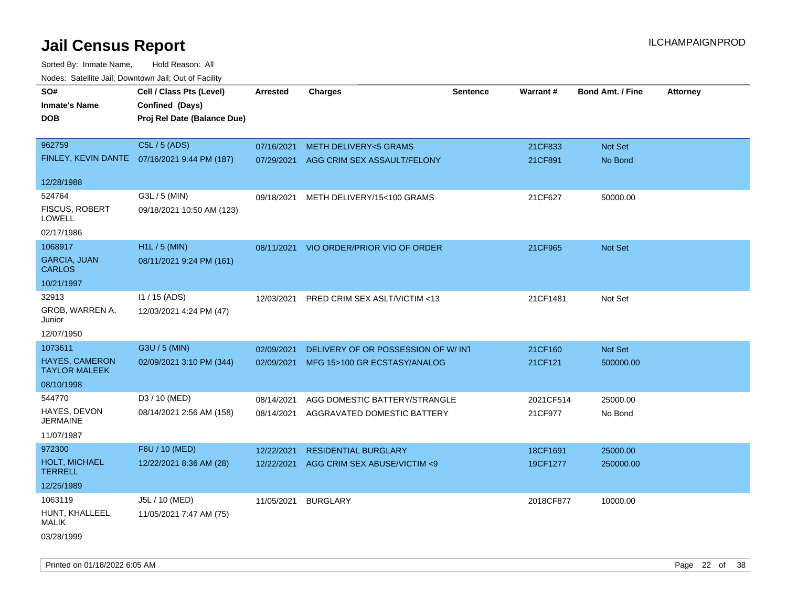| rougs. Calcing Jan, Downtown Jan, Out of Facinty |                                              |            |                                         |                 |           |                         |          |
|--------------------------------------------------|----------------------------------------------|------------|-----------------------------------------|-----------------|-----------|-------------------------|----------|
| SO#                                              | Cell / Class Pts (Level)                     | Arrested   | <b>Charges</b>                          | <b>Sentence</b> | Warrant#  | <b>Bond Amt. / Fine</b> | Attorney |
| <b>Inmate's Name</b>                             | Confined (Days)                              |            |                                         |                 |           |                         |          |
| <b>DOB</b>                                       | Proj Rel Date (Balance Due)                  |            |                                         |                 |           |                         |          |
|                                                  |                                              |            |                                         |                 |           |                         |          |
| 962759                                           | C5L / 5 (ADS)                                | 07/16/2021 | <b>METH DELIVERY&lt;5 GRAMS</b>         |                 | 21CF833   | Not Set                 |          |
|                                                  | FINLEY, KEVIN DANTE 07/16/2021 9:44 PM (187) | 07/29/2021 | AGG CRIM SEX ASSAULT/FELONY             |                 | 21CF891   | No Bond                 |          |
|                                                  |                                              |            |                                         |                 |           |                         |          |
| 12/28/1988                                       |                                              |            |                                         |                 |           |                         |          |
| 524764                                           | G3L / 5 (MIN)                                | 09/18/2021 | METH DELIVERY/15<100 GRAMS              |                 | 21CF627   | 50000.00                |          |
| <b>FISCUS, ROBERT</b><br><b>LOWELL</b>           | 09/18/2021 10:50 AM (123)                    |            |                                         |                 |           |                         |          |
| 02/17/1986                                       |                                              |            |                                         |                 |           |                         |          |
| 1068917                                          | H1L / 5 (MIN)                                |            | 08/11/2021 VIO ORDER/PRIOR VIO OF ORDER |                 | 21CF965   | Not Set                 |          |
| <b>GARCIA, JUAN</b><br><b>CARLOS</b>             | 08/11/2021 9:24 PM (161)                     |            |                                         |                 |           |                         |          |
| 10/21/1997                                       |                                              |            |                                         |                 |           |                         |          |
| 32913                                            | $11/15$ (ADS)                                | 12/03/2021 | PRED CRIM SEX ASLT/VICTIM <13           |                 | 21CF1481  | Not Set                 |          |
| GROB, WARREN A,<br>Junior                        | 12/03/2021 4:24 PM (47)                      |            |                                         |                 |           |                         |          |
| 12/07/1950                                       |                                              |            |                                         |                 |           |                         |          |
| 1073611                                          | G3U / 5 (MIN)                                | 02/09/2021 | DELIVERY OF OR POSSESSION OF W/INT      |                 | 21CF160   | Not Set                 |          |
| <b>HAYES, CAMERON</b><br><b>TAYLOR MALEEK</b>    | 02/09/2021 3:10 PM (344)                     |            | 02/09/2021 MFG 15>100 GR ECSTASY/ANALOG |                 | 21CF121   | 500000.00               |          |
| 08/10/1998                                       |                                              |            |                                         |                 |           |                         |          |
| 544770                                           | D3 / 10 (MED)                                | 08/14/2021 | AGG DOMESTIC BATTERY/STRANGLE           |                 | 2021CF514 | 25000.00                |          |
| HAYES, DEVON<br><b>JERMAINE</b>                  | 08/14/2021 2:56 AM (158)                     | 08/14/2021 | AGGRAVATED DOMESTIC BATTERY             |                 | 21CF977   | No Bond                 |          |
| 11/07/1987                                       |                                              |            |                                         |                 |           |                         |          |
| 972300                                           | F6U / 10 (MED)                               | 12/22/2021 | <b>RESIDENTIAL BURGLARY</b>             |                 | 18CF1691  | 25000.00                |          |
| HOLT, MICHAEL<br><b>TERRELL</b>                  | 12/22/2021 8:36 AM (28)                      | 12/22/2021 | AGG CRIM SEX ABUSE/VICTIM <9            |                 | 19CF1277  | 250000.00               |          |
| 12/25/1989                                       |                                              |            |                                         |                 |           |                         |          |
| 1063119                                          | J5L / 10 (MED)                               | 11/05/2021 | <b>BURGLARY</b>                         |                 | 2018CF877 | 10000.00                |          |
| HUNT, KHALLEEL<br>MALIK                          | 11/05/2021 7:47 AM (75)                      |            |                                         |                 |           |                         |          |
| 03/28/1999                                       |                                              |            |                                         |                 |           |                         |          |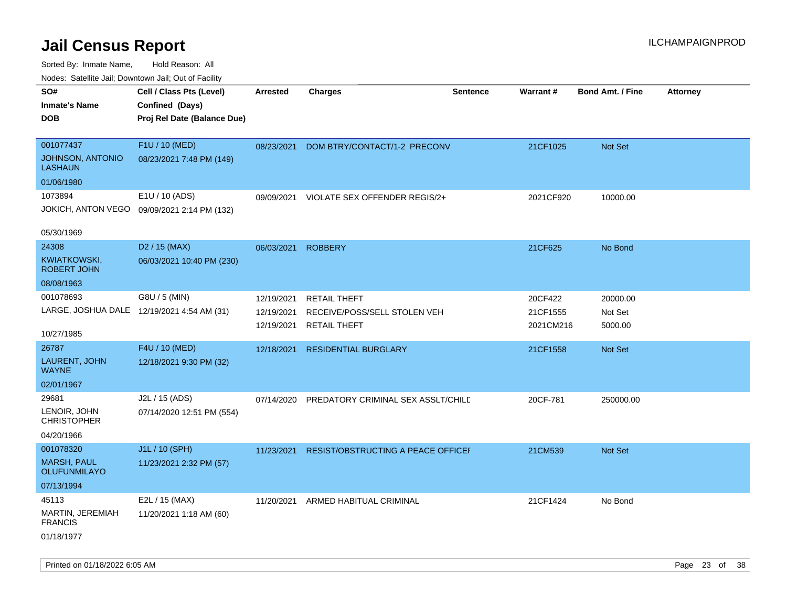| indues. Satellite Jali, Downtown Jali, Out of Facility |                                             |                 |                                           |                 |           |                         |                 |
|--------------------------------------------------------|---------------------------------------------|-----------------|-------------------------------------------|-----------------|-----------|-------------------------|-----------------|
| SO#                                                    | Cell / Class Pts (Level)                    | <b>Arrested</b> | <b>Charges</b>                            | <b>Sentence</b> | Warrant#  | <b>Bond Amt. / Fine</b> | <b>Attorney</b> |
| <b>Inmate's Name</b>                                   | Confined (Days)                             |                 |                                           |                 |           |                         |                 |
| <b>DOB</b>                                             | Proj Rel Date (Balance Due)                 |                 |                                           |                 |           |                         |                 |
|                                                        |                                             |                 |                                           |                 |           |                         |                 |
| 001077437                                              | F1U / 10 (MED)                              | 08/23/2021      | DOM BTRY/CONTACT/1-2 PRECONV              |                 | 21CF1025  | Not Set                 |                 |
| JOHNSON, ANTONIO<br><b>LASHAUN</b>                     | 08/23/2021 7:48 PM (149)                    |                 |                                           |                 |           |                         |                 |
| 01/06/1980                                             |                                             |                 |                                           |                 |           |                         |                 |
| 1073894                                                | E1U / 10 (ADS)                              | 09/09/2021      | VIOLATE SEX OFFENDER REGIS/2+             |                 | 2021CF920 | 10000.00                |                 |
|                                                        | JOKICH, ANTON VEGO 09/09/2021 2:14 PM (132) |                 |                                           |                 |           |                         |                 |
|                                                        |                                             |                 |                                           |                 |           |                         |                 |
| 05/30/1969                                             |                                             |                 |                                           |                 |           |                         |                 |
| 24308                                                  | D <sub>2</sub> / 15 (MAX)                   | 06/03/2021      | <b>ROBBERY</b>                            |                 | 21CF625   | No Bond                 |                 |
| KWIATKOWSKI,<br><b>ROBERT JOHN</b>                     | 06/03/2021 10:40 PM (230)                   |                 |                                           |                 |           |                         |                 |
| 08/08/1963                                             |                                             |                 |                                           |                 |           |                         |                 |
| 001078693                                              | G8U / 5 (MIN)                               | 12/19/2021      | <b>RETAIL THEFT</b>                       |                 | 20CF422   | 20000.00                |                 |
| LARGE, JOSHUA DALE 12/19/2021 4:54 AM (31)             |                                             | 12/19/2021      | RECEIVE/POSS/SELL STOLEN VEH              |                 | 21CF1555  | Not Set                 |                 |
|                                                        |                                             | 12/19/2021      | <b>RETAIL THEFT</b>                       |                 | 2021CM216 | 5000.00                 |                 |
| 10/27/1985                                             |                                             |                 |                                           |                 |           |                         |                 |
| 26787                                                  | F4U / 10 (MED)                              | 12/18/2021      | <b>RESIDENTIAL BURGLARY</b>               |                 | 21CF1558  | Not Set                 |                 |
| LAURENT, JOHN<br><b>WAYNE</b>                          | 12/18/2021 9:30 PM (32)                     |                 |                                           |                 |           |                         |                 |
| 02/01/1967                                             |                                             |                 |                                           |                 |           |                         |                 |
| 29681                                                  | J2L / 15 (ADS)                              | 07/14/2020      | <b>PREDATORY CRIMINAL SEX ASSLT/CHILE</b> |                 | 20CF-781  | 250000.00               |                 |
| LENOIR, JOHN<br><b>CHRISTOPHER</b>                     | 07/14/2020 12:51 PM (554)                   |                 |                                           |                 |           |                         |                 |
| 04/20/1966                                             |                                             |                 |                                           |                 |           |                         |                 |
| 001078320                                              | J1L / 10 (SPH)                              | 11/23/2021      | RESIST/OBSTRUCTING A PEACE OFFICEF        |                 | 21CM539   | <b>Not Set</b>          |                 |
| <b>MARSH, PAUL</b><br><b>OLUFUNMILAYO</b>              | 11/23/2021 2:32 PM (57)                     |                 |                                           |                 |           |                         |                 |
| 07/13/1994                                             |                                             |                 |                                           |                 |           |                         |                 |
| 45113                                                  | E2L / 15 (MAX)                              | 11/20/2021      | ARMED HABITUAL CRIMINAL                   |                 | 21CF1424  | No Bond                 |                 |
| MARTIN, JEREMIAH<br><b>FRANCIS</b>                     | 11/20/2021 1:18 AM (60)                     |                 |                                           |                 |           |                         |                 |
| 01/18/1977                                             |                                             |                 |                                           |                 |           |                         |                 |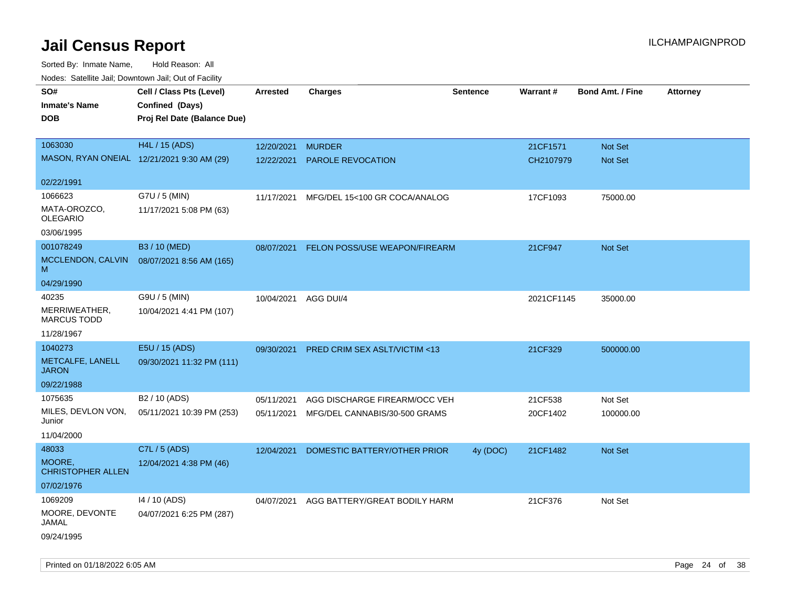Sorted By: Inmate Name, Hold Reason: All Nodes: Satellite Jail; Downtown Jail; Out of Facility

| ivouss. Satellite Jall, Downtown Jall, Out of Facility |                             |                      |                                          |                 |            |                         |                 |
|--------------------------------------------------------|-----------------------------|----------------------|------------------------------------------|-----------------|------------|-------------------------|-----------------|
| SO#                                                    | Cell / Class Pts (Level)    | Arrested             | <b>Charges</b>                           | <b>Sentence</b> | Warrant#   | <b>Bond Amt. / Fine</b> | <b>Attorney</b> |
| <b>Inmate's Name</b>                                   | Confined (Days)             |                      |                                          |                 |            |                         |                 |
| <b>DOB</b>                                             | Proj Rel Date (Balance Due) |                      |                                          |                 |            |                         |                 |
|                                                        |                             |                      |                                          |                 |            |                         |                 |
| 1063030                                                | H4L / 15 (ADS)              | 12/20/2021           | <b>MURDER</b>                            |                 | 21CF1571   | Not Set                 |                 |
| MASON, RYAN ONEIAL 12/21/2021 9:30 AM (29)             |                             | 12/22/2021           | <b>PAROLE REVOCATION</b>                 |                 | CH2107979  | <b>Not Set</b>          |                 |
|                                                        |                             |                      |                                          |                 |            |                         |                 |
| 02/22/1991                                             |                             |                      |                                          |                 |            |                         |                 |
| 1066623                                                | G7U / 5 (MIN)               | 11/17/2021           | MFG/DEL 15<100 GR COCA/ANALOG            |                 | 17CF1093   | 75000.00                |                 |
| MATA-OROZCO,<br><b>OLEGARIO</b>                        | 11/17/2021 5:08 PM (63)     |                      |                                          |                 |            |                         |                 |
|                                                        |                             |                      |                                          |                 |            |                         |                 |
| 03/06/1995                                             |                             |                      |                                          |                 |            |                         |                 |
| 001078249                                              | B3 / 10 (MED)               | 08/07/2021           | FELON POSS/USE WEAPON/FIREARM            |                 | 21CF947    | Not Set                 |                 |
| MCCLENDON, CALVIN<br>м                                 | 08/07/2021 8:56 AM (165)    |                      |                                          |                 |            |                         |                 |
| 04/29/1990                                             |                             |                      |                                          |                 |            |                         |                 |
| 40235                                                  | G9U / 5 (MIN)               | 10/04/2021 AGG DUI/4 |                                          |                 | 2021CF1145 | 35000.00                |                 |
| MERRIWEATHER,<br><b>MARCUS TODD</b>                    | 10/04/2021 4:41 PM (107)    |                      |                                          |                 |            |                         |                 |
| 11/28/1967                                             |                             |                      |                                          |                 |            |                         |                 |
| 1040273                                                | E5U / 15 (ADS)              | 09/30/2021           | PRED CRIM SEX ASLT/VICTIM <13            |                 | 21CF329    | 500000.00               |                 |
| METCALFE, LANELL<br><b>JARON</b>                       | 09/30/2021 11:32 PM (111)   |                      |                                          |                 |            |                         |                 |
| 09/22/1988                                             |                             |                      |                                          |                 |            |                         |                 |
| 1075635                                                | B2 / 10 (ADS)               | 05/11/2021           | AGG DISCHARGE FIREARM/OCC VEH            |                 | 21CF538    | Not Set                 |                 |
| MILES, DEVLON VON,<br>Junior                           | 05/11/2021 10:39 PM (253)   | 05/11/2021           | MFG/DEL CANNABIS/30-500 GRAMS            |                 | 20CF1402   | 100000.00               |                 |
| 11/04/2000                                             |                             |                      |                                          |                 |            |                         |                 |
| 48033                                                  | C7L / 5 (ADS)               | 12/04/2021           | DOMESTIC BATTERY/OTHER PRIOR             | 4y (DOC)        | 21CF1482   | <b>Not Set</b>          |                 |
| MOORE,<br><b>CHRISTOPHER ALLEN</b>                     | 12/04/2021 4:38 PM (46)     |                      |                                          |                 |            |                         |                 |
| 07/02/1976                                             |                             |                      |                                          |                 |            |                         |                 |
| 1069209                                                | 14 / 10 (ADS)               |                      | 04/07/2021 AGG BATTERY/GREAT BODILY HARM |                 | 21CF376    | Not Set                 |                 |
| MOORE, DEVONTE<br>JAMAL                                | 04/07/2021 6:25 PM (287)    |                      |                                          |                 |            |                         |                 |
| 09/24/1995                                             |                             |                      |                                          |                 |            |                         |                 |

Printed on 01/18/2022 6:05 AM **Page 24 of 38** Page 24 of 38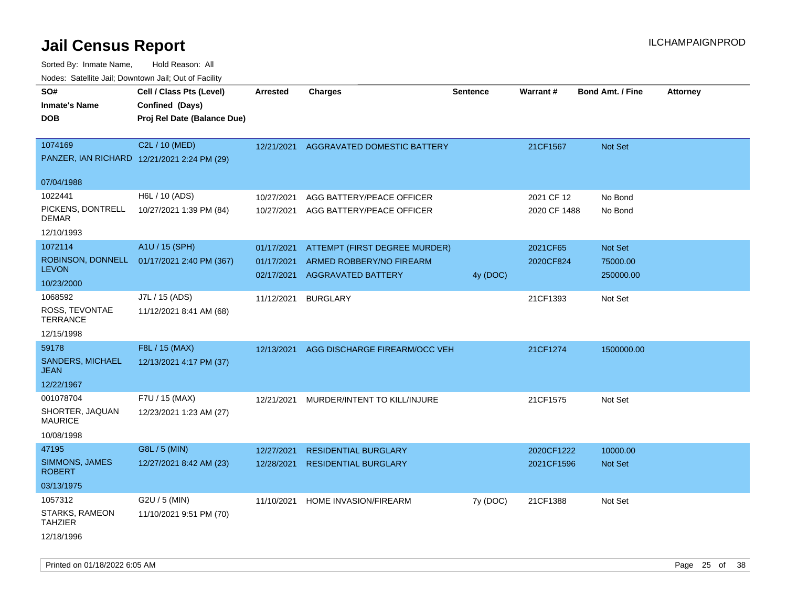Sorted By: Inmate Name, Hold Reason: All Nodes: Satellite Jail; Downtown Jail; Out of Facility

| ivodes. Satellite Jali, Downtown Jali, Out of Facility |                                             |                 |                                          |                 |              |                         |                 |
|--------------------------------------------------------|---------------------------------------------|-----------------|------------------------------------------|-----------------|--------------|-------------------------|-----------------|
| SO#                                                    | Cell / Class Pts (Level)                    | <b>Arrested</b> | <b>Charges</b>                           | <b>Sentence</b> | Warrant#     | <b>Bond Amt. / Fine</b> | <b>Attorney</b> |
| <b>Inmate's Name</b>                                   | Confined (Days)                             |                 |                                          |                 |              |                         |                 |
| <b>DOB</b>                                             | Proj Rel Date (Balance Due)                 |                 |                                          |                 |              |                         |                 |
|                                                        |                                             |                 |                                          |                 |              |                         |                 |
| 1074169                                                | C2L / 10 (MED)                              |                 | 12/21/2021 AGGRAVATED DOMESTIC BATTERY   |                 | 21CF1567     | <b>Not Set</b>          |                 |
|                                                        | PANZER, IAN RICHARD 12/21/2021 2:24 PM (29) |                 |                                          |                 |              |                         |                 |
| 07/04/1988                                             |                                             |                 |                                          |                 |              |                         |                 |
| 1022441                                                | H6L / 10 (ADS)                              | 10/27/2021      | AGG BATTERY/PEACE OFFICER                |                 | 2021 CF 12   | No Bond                 |                 |
| PICKENS, DONTRELL<br>DEMAR                             | 10/27/2021 1:39 PM (84)                     | 10/27/2021      | AGG BATTERY/PEACE OFFICER                |                 | 2020 CF 1488 | No Bond                 |                 |
| 12/10/1993                                             |                                             |                 |                                          |                 |              |                         |                 |
| 1072114                                                | A1U / 15 (SPH)                              | 01/17/2021      | ATTEMPT (FIRST DEGREE MURDER)            |                 | 2021CF65     | <b>Not Set</b>          |                 |
|                                                        | ROBINSON, DONNELL 01/17/2021 2:40 PM (367)  | 01/17/2021      | ARMED ROBBERY/NO FIREARM                 |                 | 2020CF824    | 75000.00                |                 |
| <b>LEVON</b>                                           |                                             | 02/17/2021      | <b>AGGRAVATED BATTERY</b>                | 4y (DOC)        |              | 250000.00               |                 |
| 10/23/2000                                             |                                             |                 |                                          |                 |              |                         |                 |
| 1068592                                                | J7L / 15 (ADS)                              | 11/12/2021      | <b>BURGLARY</b>                          |                 | 21CF1393     | Not Set                 |                 |
| ROSS, TEVONTAE<br>TERRANCE                             | 11/12/2021 8:41 AM (68)                     |                 |                                          |                 |              |                         |                 |
| 12/15/1998                                             |                                             |                 |                                          |                 |              |                         |                 |
| 59178                                                  | F8L / 15 (MAX)                              |                 | 12/13/2021 AGG DISCHARGE FIREARM/OCC VEH |                 | 21CF1274     | 1500000.00              |                 |
| <b>SANDERS, MICHAEL</b><br>JEAN                        | 12/13/2021 4:17 PM (37)                     |                 |                                          |                 |              |                         |                 |
| 12/22/1967                                             |                                             |                 |                                          |                 |              |                         |                 |
| 001078704                                              | F7U / 15 (MAX)                              | 12/21/2021      | MURDER/INTENT TO KILL/INJURE             |                 | 21CF1575     | Not Set                 |                 |
| SHORTER, JAQUAN<br>MAURICE                             | 12/23/2021 1:23 AM (27)                     |                 |                                          |                 |              |                         |                 |
| 10/08/1998                                             |                                             |                 |                                          |                 |              |                         |                 |
| 47195                                                  | G8L / 5 (MIN)                               | 12/27/2021      | <b>RESIDENTIAL BURGLARY</b>              |                 | 2020CF1222   | 10000.00                |                 |
| SIMMONS, JAMES<br>ROBERT                               | 12/27/2021 8:42 AM (23)                     | 12/28/2021      | <b>RESIDENTIAL BURGLARY</b>              |                 | 2021CF1596   | Not Set                 |                 |
| 03/13/1975                                             |                                             |                 |                                          |                 |              |                         |                 |
| 1057312                                                | $G2U / 5$ (MIN)                             | 11/10/2021      | HOME INVASION/FIREARM                    | 7y (DOC)        | 21CF1388     | Not Set                 |                 |
| STARKS, RAMEON<br>TAHZIER                              | 11/10/2021 9:51 PM (70)                     |                 |                                          |                 |              |                         |                 |
| 12/18/1996                                             |                                             |                 |                                          |                 |              |                         |                 |

Printed on 01/18/2022 6:05 AM Page 25 of 38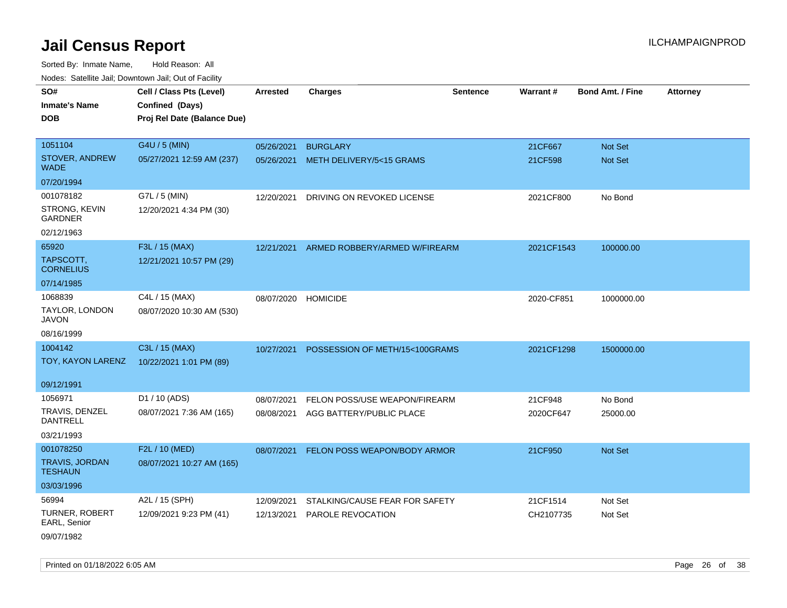Sorted By: Inmate Name, Hold Reason: All Nodes: Satellite Jail; Downtown Jail; Out of Facility

| ivouss. Saleling Jali, Downtown Jali, Out of Facility |                             |                 |                                |                 |            |                         |                 |
|-------------------------------------------------------|-----------------------------|-----------------|--------------------------------|-----------------|------------|-------------------------|-----------------|
| SO#                                                   | Cell / Class Pts (Level)    | <b>Arrested</b> | <b>Charges</b>                 | <b>Sentence</b> | Warrant#   | <b>Bond Amt. / Fine</b> | <b>Attorney</b> |
| <b>Inmate's Name</b>                                  | Confined (Days)             |                 |                                |                 |            |                         |                 |
| <b>DOB</b>                                            | Proj Rel Date (Balance Due) |                 |                                |                 |            |                         |                 |
|                                                       |                             |                 |                                |                 |            |                         |                 |
| 1051104                                               | G4U / 5 (MIN)               | 05/26/2021      | <b>BURGLARY</b>                |                 | 21CF667    | Not Set                 |                 |
| STOVER, ANDREW<br><b>WADE</b>                         | 05/27/2021 12:59 AM (237)   | 05/26/2021      | METH DELIVERY/5<15 GRAMS       |                 | 21CF598    | Not Set                 |                 |
| 07/20/1994                                            |                             |                 |                                |                 |            |                         |                 |
| 001078182                                             | G7L / 5 (MIN)               | 12/20/2021      | DRIVING ON REVOKED LICENSE     |                 | 2021CF800  | No Bond                 |                 |
| STRONG, KEVIN<br><b>GARDNER</b>                       | 12/20/2021 4:34 PM (30)     |                 |                                |                 |            |                         |                 |
| 02/12/1963                                            |                             |                 |                                |                 |            |                         |                 |
| 65920                                                 | F3L / 15 (MAX)              | 12/21/2021      | ARMED ROBBERY/ARMED W/FIREARM  |                 | 2021CF1543 | 100000.00               |                 |
| TAPSCOTT,<br><b>CORNELIUS</b>                         | 12/21/2021 10:57 PM (29)    |                 |                                |                 |            |                         |                 |
| 07/14/1985                                            |                             |                 |                                |                 |            |                         |                 |
| 1068839                                               | C4L / 15 (MAX)              | 08/07/2020      | <b>HOMICIDE</b>                |                 | 2020-CF851 | 1000000.00              |                 |
| TAYLOR, LONDON<br>JAVON                               | 08/07/2020 10:30 AM (530)   |                 |                                |                 |            |                         |                 |
| 08/16/1999                                            |                             |                 |                                |                 |            |                         |                 |
| 1004142                                               | C3L / 15 (MAX)              | 10/27/2021      | POSSESSION OF METH/15<100GRAMS |                 | 2021CF1298 | 1500000.00              |                 |
| TOY, KAYON LARENZ                                     | 10/22/2021 1:01 PM (89)     |                 |                                |                 |            |                         |                 |
| 09/12/1991                                            |                             |                 |                                |                 |            |                         |                 |
| 1056971                                               | D1 / 10 (ADS)               | 08/07/2021      | FELON POSS/USE WEAPON/FIREARM  |                 | 21CF948    | No Bond                 |                 |
| TRAVIS, DENZEL<br><b>DANTRELL</b>                     | 08/07/2021 7:36 AM (165)    | 08/08/2021      | AGG BATTERY/PUBLIC PLACE       |                 | 2020CF647  | 25000.00                |                 |
| 03/21/1993                                            |                             |                 |                                |                 |            |                         |                 |
| 001078250                                             | F2L / 10 (MED)              | 08/07/2021      | FELON POSS WEAPON/BODY ARMOR   |                 | 21CF950    | Not Set                 |                 |
| <b>TRAVIS, JORDAN</b><br><b>TESHAUN</b>               | 08/07/2021 10:27 AM (165)   |                 |                                |                 |            |                         |                 |
| 03/03/1996                                            |                             |                 |                                |                 |            |                         |                 |
| 56994                                                 | A2L / 15 (SPH)              | 12/09/2021      | STALKING/CAUSE FEAR FOR SAFETY |                 | 21CF1514   | Not Set                 |                 |
| <b>TURNER, ROBERT</b><br>EARL, Senior                 | 12/09/2021 9:23 PM (41)     | 12/13/2021      | <b>PAROLE REVOCATION</b>       |                 | CH2107735  | Not Set                 |                 |
| 09/07/1982                                            |                             |                 |                                |                 |            |                         |                 |

Printed on 01/18/2022 6:05 AM Page 26 of 38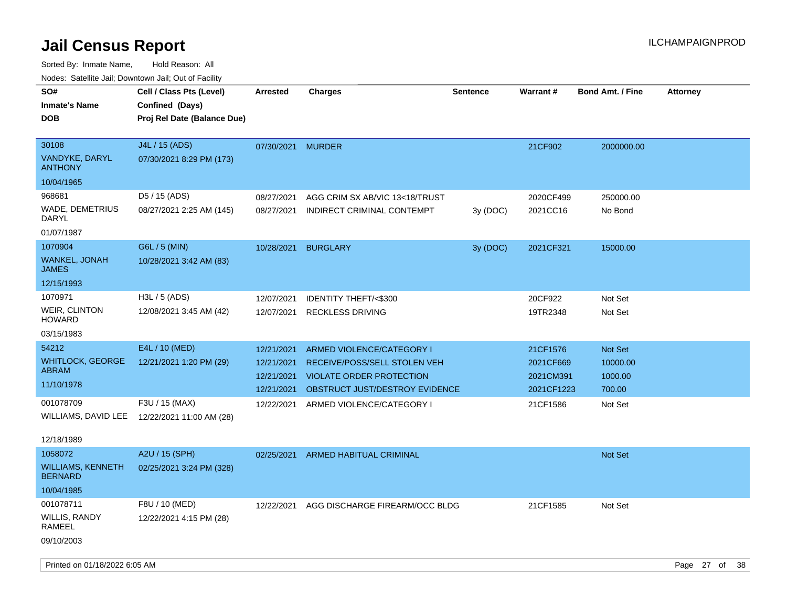Sorted By: Inmate Name, Hold Reason: All Nodes: Satellite Jail; Downtown Jail; Out of Facility

| Nodes: Satellite Jali, Downtown Jali, Out of Facility |                                              |                   |                                 |                 |            |                         |                 |
|-------------------------------------------------------|----------------------------------------------|-------------------|---------------------------------|-----------------|------------|-------------------------|-----------------|
| SO#                                                   | Cell / Class Pts (Level)                     | <b>Arrested</b>   | <b>Charges</b>                  | <b>Sentence</b> | Warrant#   | <b>Bond Amt. / Fine</b> | <b>Attorney</b> |
| <b>Inmate's Name</b>                                  | Confined (Days)                              |                   |                                 |                 |            |                         |                 |
| <b>DOB</b>                                            | Proj Rel Date (Balance Due)                  |                   |                                 |                 |            |                         |                 |
|                                                       |                                              |                   |                                 |                 |            |                         |                 |
| 30108                                                 | J4L / 15 (ADS)                               | 07/30/2021 MURDER |                                 |                 | 21CF902    | 2000000.00              |                 |
| <b>VANDYKE, DARYL</b><br><b>ANTHONY</b>               | 07/30/2021 8:29 PM (173)                     |                   |                                 |                 |            |                         |                 |
| 10/04/1965                                            |                                              |                   |                                 |                 |            |                         |                 |
| 968681                                                | D5 / 15 (ADS)                                | 08/27/2021        | AGG CRIM SX AB/VIC 13<18/TRUST  |                 | 2020CF499  | 250000.00               |                 |
| WADE, DEMETRIUS<br>DARYL                              | 08/27/2021 2:25 AM (145)                     | 08/27/2021        | INDIRECT CRIMINAL CONTEMPT      | 3y (DOC)        | 2021CC16   | No Bond                 |                 |
| 01/07/1987                                            |                                              |                   |                                 |                 |            |                         |                 |
| 1070904                                               | G6L / 5 (MIN)                                | 10/28/2021        | <b>BURGLARY</b>                 | 3y (DOC)        | 2021CF321  | 15000.00                |                 |
| WANKEL, JONAH<br><b>JAMES</b>                         | 10/28/2021 3:42 AM (83)                      |                   |                                 |                 |            |                         |                 |
| 12/15/1993                                            |                                              |                   |                                 |                 |            |                         |                 |
| 1070971                                               | H3L / 5 (ADS)                                | 12/07/2021        | <b>IDENTITY THEFT/&lt;\$300</b> |                 | 20CF922    | Not Set                 |                 |
| <b>WEIR, CLINTON</b><br><b>HOWARD</b>                 | 12/08/2021 3:45 AM (42)                      | 12/07/2021        | <b>RECKLESS DRIVING</b>         |                 | 19TR2348   | Not Set                 |                 |
| 03/15/1983                                            |                                              |                   |                                 |                 |            |                         |                 |
| 54212                                                 | E4L / 10 (MED)                               | 12/21/2021        | ARMED VIOLENCE/CATEGORY I       |                 | 21CF1576   | <b>Not Set</b>          |                 |
| <b>WHITLOCK, GEORGE</b>                               | 12/21/2021 1:20 PM (29)                      | 12/21/2021        | RECEIVE/POSS/SELL STOLEN VEH    |                 | 2021CF669  | 10000.00                |                 |
| <b>ABRAM</b>                                          |                                              | 12/21/2021        | <b>VIOLATE ORDER PROTECTION</b> |                 | 2021CM391  | 1000.00                 |                 |
| 11/10/1978                                            |                                              | 12/21/2021        | OBSTRUCT JUST/DESTROY EVIDENCE  |                 | 2021CF1223 | 700.00                  |                 |
| 001078709                                             | F3U / 15 (MAX)                               | 12/22/2021        | ARMED VIOLENCE/CATEGORY I       |                 | 21CF1586   | Not Set                 |                 |
|                                                       | WILLIAMS, DAVID LEE 12/22/2021 11:00 AM (28) |                   |                                 |                 |            |                         |                 |
| 12/18/1989                                            |                                              |                   |                                 |                 |            |                         |                 |
| 1058072                                               | A2U / 15 (SPH)                               | 02/25/2021        | ARMED HABITUAL CRIMINAL         |                 |            | <b>Not Set</b>          |                 |
| <b>WILLIAMS, KENNETH</b><br><b>BERNARD</b>            | 02/25/2021 3:24 PM (328)                     |                   |                                 |                 |            |                         |                 |
| 10/04/1985                                            |                                              |                   |                                 |                 |            |                         |                 |
| 001078711                                             | F8U / 10 (MED)                               | 12/22/2021        | AGG DISCHARGE FIREARM/OCC BLDG  |                 | 21CF1585   | Not Set                 |                 |
| WILLIS, RANDY                                         | 12/22/2021 4:15 PM (28)                      |                   |                                 |                 |            |                         |                 |

RAMEEL

09/10/2003

Printed on 01/18/2022 6:05 AM Page 27 of 38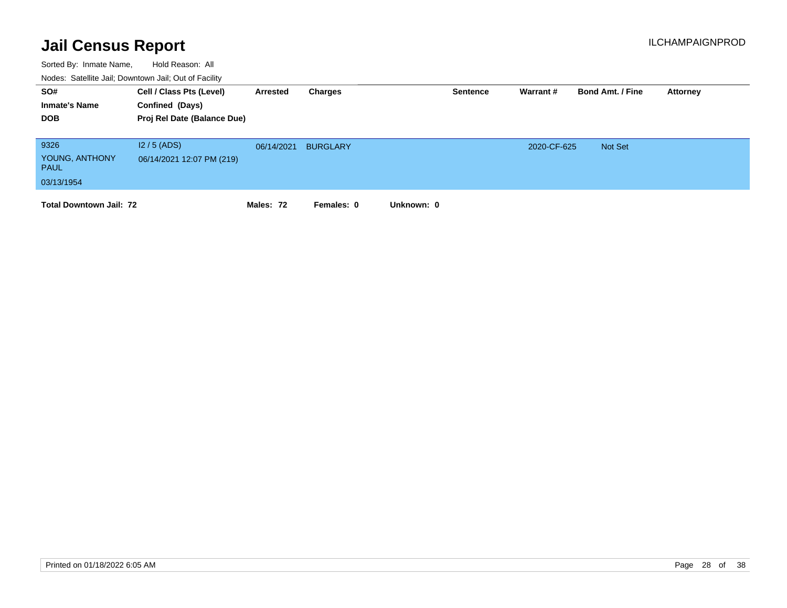| SO#<br><b>Inmate's Name</b><br><b>DOB</b>           | Cell / Class Pts (Level)<br>Confined (Days)<br>Proj Rel Date (Balance Due) | Arrested   | Charges         |            | <b>Sentence</b> | Warrant#    | <b>Bond Amt. / Fine</b> | Attorney |
|-----------------------------------------------------|----------------------------------------------------------------------------|------------|-----------------|------------|-----------------|-------------|-------------------------|----------|
| 9326<br>YOUNG, ANTHONY<br><b>PAUL</b><br>03/13/1954 | $12/5$ (ADS)<br>06/14/2021 12:07 PM (219)                                  | 06/14/2021 | <b>BURGLARY</b> |            |                 | 2020-CF-625 | Not Set                 |          |
| <b>Total Downtown Jail: 72</b>                      |                                                                            | Males: 72  | Females: 0      | Unknown: 0 |                 |             |                         |          |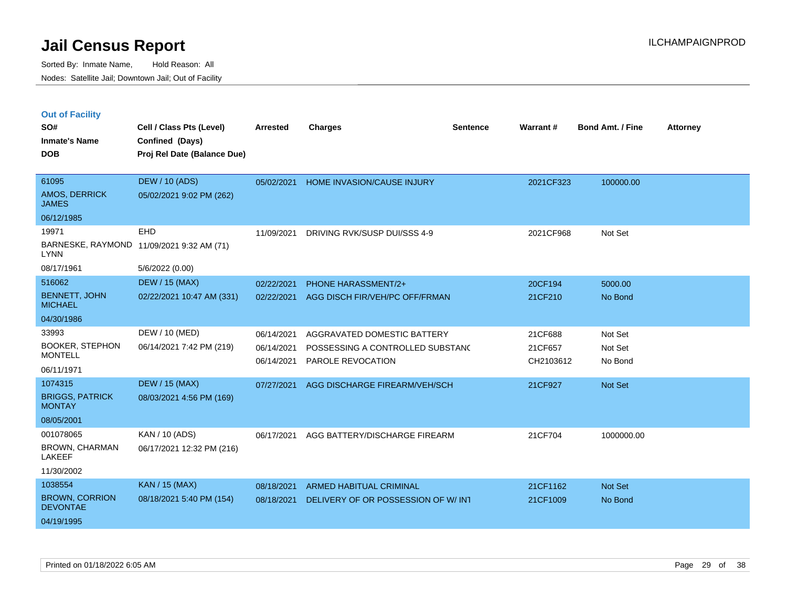|  |  | <b>Out of Facility</b> |
|--|--|------------------------|
|  |  |                        |

| SO#<br><b>Inmate's Name</b><br><b>DOB</b>                         | Cell / Class Pts (Level)<br>Confined (Days)<br>Proj Rel Date (Balance Due) | <b>Arrested</b>                        | <b>Charges</b>                                                                       | <b>Sentence</b> | <b>Warrant#</b>                 | <b>Bond Amt. / Fine</b>       | <b>Attorney</b> |
|-------------------------------------------------------------------|----------------------------------------------------------------------------|----------------------------------------|--------------------------------------------------------------------------------------|-----------------|---------------------------------|-------------------------------|-----------------|
| 61095<br>AMOS, DERRICK<br><b>JAMES</b>                            | <b>DEW / 10 (ADS)</b><br>05/02/2021 9:02 PM (262)                          | 05/02/2021                             | <b>HOME INVASION/CAUSE INJURY</b>                                                    |                 | 2021CF323                       | 100000.00                     |                 |
| 06/12/1985<br>19971<br><b>LYNN</b><br>08/17/1961                  | EHD<br>BARNESKE, RAYMOND 11/09/2021 9:32 AM (71)<br>5/6/2022 (0.00)        | 11/09/2021                             | DRIVING RVK/SUSP DUI/SSS 4-9                                                         |                 | 2021CF968                       | Not Set                       |                 |
| 516062<br><b>BENNETT, JOHN</b><br><b>MICHAEL</b><br>04/30/1986    | <b>DEW / 15 (MAX)</b><br>02/22/2021 10:47 AM (331)                         | 02/22/2021<br>02/22/2021               | PHONE HARASSMENT/2+<br>AGG DISCH FIR/VEH/PC OFF/FRMAN                                |                 | 20CF194<br>21CF210              | 5000.00<br>No Bond            |                 |
| 33993<br><b>BOOKER, STEPHON</b><br><b>MONTELL</b><br>06/11/1971   | DEW / 10 (MED)<br>06/14/2021 7:42 PM (219)                                 | 06/14/2021<br>06/14/2021<br>06/14/2021 | AGGRAVATED DOMESTIC BATTERY<br>POSSESSING A CONTROLLED SUBSTAND<br>PAROLE REVOCATION |                 | 21CF688<br>21CF657<br>CH2103612 | Not Set<br>Not Set<br>No Bond |                 |
| 1074315<br><b>BRIGGS, PATRICK</b><br><b>MONTAY</b><br>08/05/2001  | <b>DEW / 15 (MAX)</b><br>08/03/2021 4:56 PM (169)                          | 07/27/2021                             | AGG DISCHARGE FIREARM/VEH/SCH                                                        |                 | 21CF927                         | Not Set                       |                 |
| 001078065<br><b>BROWN, CHARMAN</b><br><b>LAKEEF</b><br>11/30/2002 | KAN / 10 (ADS)<br>06/17/2021 12:32 PM (216)                                | 06/17/2021                             | AGG BATTERY/DISCHARGE FIREARM                                                        |                 | 21CF704                         | 1000000.00                    |                 |
| 1038554<br><b>BROWN, CORRION</b><br><b>DEVONTAE</b><br>04/19/1995 | KAN / 15 (MAX)<br>08/18/2021 5:40 PM (154)                                 | 08/18/2021<br>08/18/2021               | <b>ARMED HABITUAL CRIMINAL</b><br>DELIVERY OF OR POSSESSION OF W/ INT                |                 | 21CF1162<br>21CF1009            | Not Set<br>No Bond            |                 |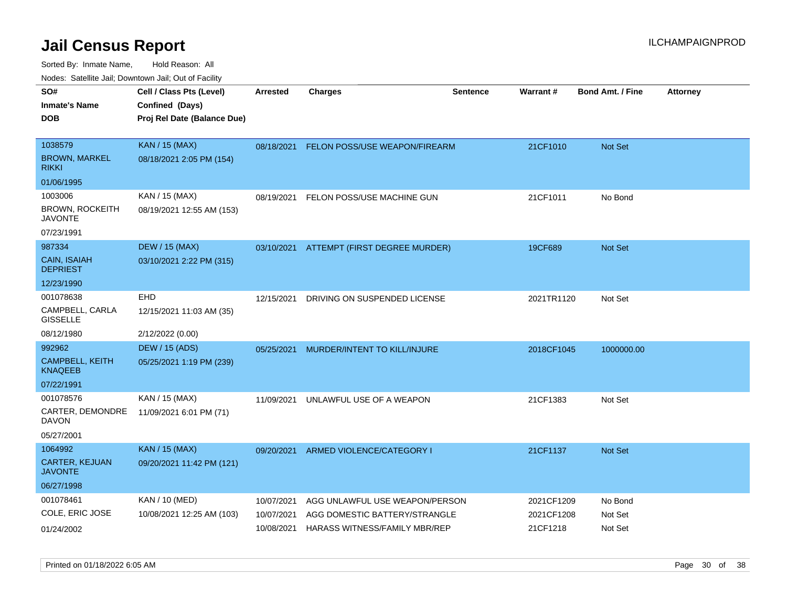| rouco. Calcillo Jali, Downtown Jali, Out of Facility |                             |                 |                                          |                 |            |                         |                 |
|------------------------------------------------------|-----------------------------|-----------------|------------------------------------------|-----------------|------------|-------------------------|-----------------|
| SO#                                                  | Cell / Class Pts (Level)    | <b>Arrested</b> | <b>Charges</b>                           | <b>Sentence</b> | Warrant#   | <b>Bond Amt. / Fine</b> | <b>Attorney</b> |
| Inmate's Name                                        | Confined (Days)             |                 |                                          |                 |            |                         |                 |
| DOB                                                  | Proj Rel Date (Balance Due) |                 |                                          |                 |            |                         |                 |
|                                                      |                             |                 |                                          |                 |            |                         |                 |
| 1038579                                              | <b>KAN / 15 (MAX)</b>       |                 | 08/18/2021 FELON POSS/USE WEAPON/FIREARM |                 | 21CF1010   | <b>Not Set</b>          |                 |
| BROWN, MARKEL<br>rikki                               | 08/18/2021 2:05 PM (154)    |                 |                                          |                 |            |                         |                 |
| 01/06/1995                                           |                             |                 |                                          |                 |            |                         |                 |
| 1003006                                              | KAN / 15 (MAX)              | 08/19/2021      | FELON POSS/USE MACHINE GUN               |                 | 21CF1011   | No Bond                 |                 |
| <b>BROWN, ROCKEITH</b><br>JAVONTE                    | 08/19/2021 12:55 AM (153)   |                 |                                          |                 |            |                         |                 |
| 07/23/1991                                           |                             |                 |                                          |                 |            |                         |                 |
| 987334                                               | <b>DEW / 15 (MAX)</b>       |                 | 03/10/2021 ATTEMPT (FIRST DEGREE MURDER) |                 | 19CF689    | <b>Not Set</b>          |                 |
| CAIN, ISAIAH<br><b>DEPRIEST</b>                      | 03/10/2021 2:22 PM (315)    |                 |                                          |                 |            |                         |                 |
| 12/23/1990                                           |                             |                 |                                          |                 |            |                         |                 |
| 001078638                                            | <b>EHD</b>                  | 12/15/2021      | DRIVING ON SUSPENDED LICENSE             |                 | 2021TR1120 | Not Set                 |                 |
| CAMPBELL, CARLA<br><b>GISSELLE</b>                   | 12/15/2021 11:03 AM (35)    |                 |                                          |                 |            |                         |                 |
| 08/12/1980                                           | 2/12/2022 (0.00)            |                 |                                          |                 |            |                         |                 |
| 992962                                               | <b>DEW / 15 (ADS)</b>       | 05/25/2021      | MURDER/INTENT TO KILL/INJURE             |                 | 2018CF1045 | 1000000.00              |                 |
| <b>CAMPBELL, KEITH</b><br>KNAQEEB                    | 05/25/2021 1:19 PM (239)    |                 |                                          |                 |            |                         |                 |
| 07/22/1991                                           |                             |                 |                                          |                 |            |                         |                 |
| 001078576                                            | KAN / 15 (MAX)              | 11/09/2021      | UNLAWFUL USE OF A WEAPON                 |                 | 21CF1383   | Not Set                 |                 |
| CARTER, DEMONDRE<br>DAVON                            | 11/09/2021 6:01 PM (71)     |                 |                                          |                 |            |                         |                 |
| 05/27/2001                                           |                             |                 |                                          |                 |            |                         |                 |
| 1064992                                              | <b>KAN / 15 (MAX)</b>       | 09/20/2021      | ARMED VIOLENCE/CATEGORY I                |                 | 21CF1137   | <b>Not Set</b>          |                 |
| CARTER, KEJUAN<br>JAVONTE                            | 09/20/2021 11:42 PM (121)   |                 |                                          |                 |            |                         |                 |
| 06/27/1998                                           |                             |                 |                                          |                 |            |                         |                 |
| 001078461                                            | KAN / 10 (MED)              | 10/07/2021      | AGG UNLAWFUL USE WEAPON/PERSON           |                 | 2021CF1209 | No Bond                 |                 |
| COLE, ERIC JOSE                                      | 10/08/2021 12:25 AM (103)   | 10/07/2021      | AGG DOMESTIC BATTERY/STRANGLE            |                 | 2021CF1208 | Not Set                 |                 |
| 01/24/2002                                           |                             | 10/08/2021      | HARASS WITNESS/FAMILY MBR/REP            |                 | 21CF1218   | Not Set                 |                 |
|                                                      |                             |                 |                                          |                 |            |                         |                 |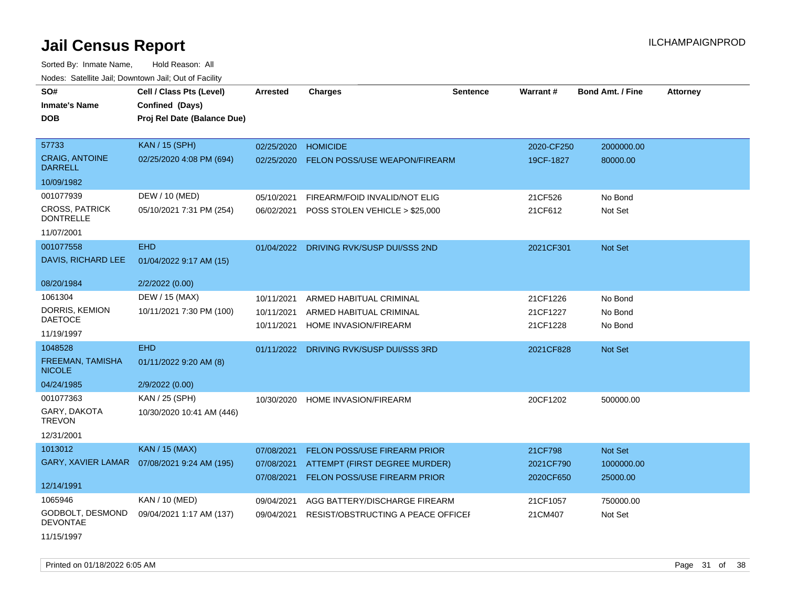Sorted By: Inmate Name, Hold Reason: All Nodes: Satellite Jail; Downtown Jail; Out of Facility

| rouce. Calcinic Jan, Downtown Jan, Out or Facility |                                              |                 |                                           |                 |                 |                         |                 |
|----------------------------------------------------|----------------------------------------------|-----------------|-------------------------------------------|-----------------|-----------------|-------------------------|-----------------|
| SO#                                                | Cell / Class Pts (Level)                     | <b>Arrested</b> | <b>Charges</b>                            | <b>Sentence</b> | <b>Warrant#</b> | <b>Bond Amt. / Fine</b> | <b>Attorney</b> |
| <b>Inmate's Name</b>                               | Confined (Days)                              |                 |                                           |                 |                 |                         |                 |
| <b>DOB</b>                                         | Proj Rel Date (Balance Due)                  |                 |                                           |                 |                 |                         |                 |
|                                                    |                                              |                 |                                           |                 |                 |                         |                 |
| 57733                                              | <b>KAN / 15 (SPH)</b>                        | 02/25/2020      | <b>HOMICIDE</b>                           |                 | 2020-CF250      | 2000000.00              |                 |
| <b>CRAIG, ANTOINE</b><br><b>DARRELL</b>            | 02/25/2020 4:08 PM (694)                     | 02/25/2020      | <b>FELON POSS/USE WEAPON/FIREARM</b>      |                 | 19CF-1827       | 80000.00                |                 |
| 10/09/1982                                         |                                              |                 |                                           |                 |                 |                         |                 |
| 001077939                                          | DEW / 10 (MED)                               | 05/10/2021      | FIREARM/FOID INVALID/NOT ELIG             |                 | 21CF526         | No Bond                 |                 |
| <b>CROSS, PATRICK</b><br><b>DONTRELLE</b>          | 05/10/2021 7:31 PM (254)                     | 06/02/2021      | POSS STOLEN VEHICLE > \$25,000            |                 | 21CF612         | Not Set                 |                 |
| 11/07/2001                                         |                                              |                 |                                           |                 |                 |                         |                 |
| 001077558                                          | <b>EHD</b>                                   |                 | 01/04/2022 DRIVING RVK/SUSP DUI/SSS 2ND   |                 | 2021CF301       | <b>Not Set</b>          |                 |
| DAVIS, RICHARD LEE                                 | 01/04/2022 9:17 AM (15)                      |                 |                                           |                 |                 |                         |                 |
| 08/20/1984                                         | 2/2/2022 (0.00)                              |                 |                                           |                 |                 |                         |                 |
| 1061304                                            | DEW / 15 (MAX)                               | 10/11/2021      | ARMED HABITUAL CRIMINAL                   |                 | 21CF1226        | No Bond                 |                 |
| DORRIS, KEMION                                     | 10/11/2021 7:30 PM (100)                     | 10/11/2021      | ARMED HABITUAL CRIMINAL                   |                 | 21CF1227        | No Bond                 |                 |
| <b>DAETOCE</b>                                     |                                              | 10/11/2021      | HOME INVASION/FIREARM                     |                 | 21CF1228        | No Bond                 |                 |
| 11/19/1997                                         |                                              |                 |                                           |                 |                 |                         |                 |
| 1048528                                            | <b>EHD</b>                                   | 01/11/2022      | DRIVING RVK/SUSP DUI/SSS 3RD              |                 | 2021CF828       | <b>Not Set</b>          |                 |
| FREEMAN, TAMISHA<br><b>NICOLE</b>                  | 01/11/2022 9:20 AM (8)                       |                 |                                           |                 |                 |                         |                 |
| 04/24/1985                                         | 2/9/2022 (0.00)                              |                 |                                           |                 |                 |                         |                 |
| 001077363                                          | KAN / 25 (SPH)                               | 10/30/2020      | <b>HOME INVASION/FIREARM</b>              |                 | 20CF1202        | 500000.00               |                 |
| GARY, DAKOTA<br><b>TREVON</b>                      | 10/30/2020 10:41 AM (446)                    |                 |                                           |                 |                 |                         |                 |
| 12/31/2001                                         |                                              |                 |                                           |                 |                 |                         |                 |
| 1013012                                            | <b>KAN / 15 (MAX)</b>                        | 07/08/2021      | <b>FELON POSS/USE FIREARM PRIOR</b>       |                 | 21CF798         | Not Set                 |                 |
|                                                    | GARY, XAVIER LAMAR  07/08/2021 9:24 AM (195) | 07/08/2021      | <b>ATTEMPT (FIRST DEGREE MURDER)</b>      |                 | 2021CF790       | 1000000.00              |                 |
|                                                    |                                              | 07/08/2021      | FELON POSS/USE FIREARM PRIOR              |                 | 2020CF650       | 25000.00                |                 |
| 12/14/1991                                         |                                              |                 |                                           |                 |                 |                         |                 |
| 1065946                                            | KAN / 10 (MED)                               | 09/04/2021      | AGG BATTERY/DISCHARGE FIREARM             |                 | 21CF1057        | 750000.00               |                 |
| GODBOLT, DESMOND<br><b>DEVONTAE</b>                | 09/04/2021 1:17 AM (137)                     | 09/04/2021      | <b>RESIST/OBSTRUCTING A PEACE OFFICEF</b> |                 | 21CM407         | Not Set                 |                 |
|                                                    |                                              |                 |                                           |                 |                 |                         |                 |

11/15/1997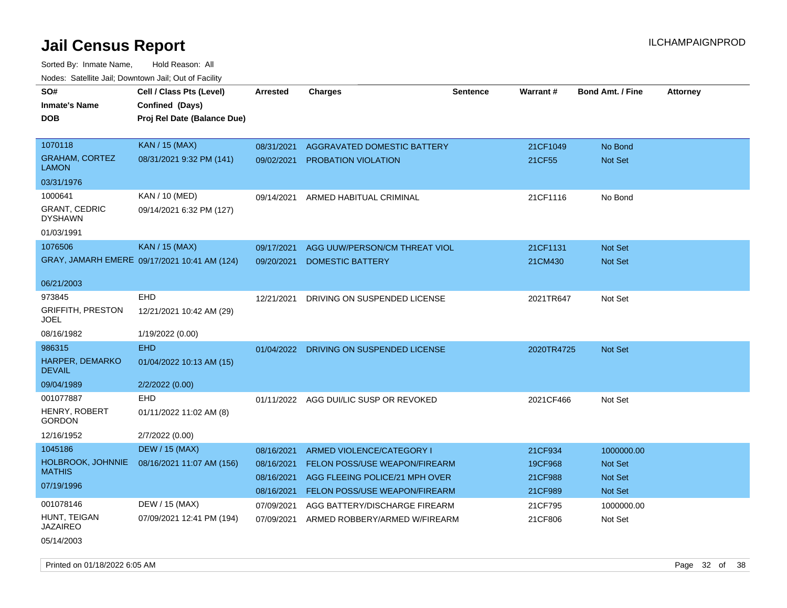| SO#                                    | Cell / Class Pts (Level)                     | Arrested   | <b>Charges</b>                          | Sentence | Warrant#   | <b>Bond Amt. / Fine</b> | <b>Attorney</b> |
|----------------------------------------|----------------------------------------------|------------|-----------------------------------------|----------|------------|-------------------------|-----------------|
| <b>Inmate's Name</b>                   | Confined (Days)                              |            |                                         |          |            |                         |                 |
| <b>DOB</b>                             | Proj Rel Date (Balance Due)                  |            |                                         |          |            |                         |                 |
|                                        |                                              |            |                                         |          |            |                         |                 |
| 1070118                                | KAN / 15 (MAX)                               | 08/31/2021 | AGGRAVATED DOMESTIC BATTERY             |          | 21CF1049   | No Bond                 |                 |
| <b>GRAHAM, CORTEZ</b><br><b>LAMON</b>  | 08/31/2021 9:32 PM (141)                     | 09/02/2021 | PROBATION VIOLATION                     |          | 21CF55     | Not Set                 |                 |
| 03/31/1976                             |                                              |            |                                         |          |            |                         |                 |
| 1000641                                | KAN / 10 (MED)                               | 09/14/2021 | ARMED HABITUAL CRIMINAL                 |          | 21CF1116   | No Bond                 |                 |
| <b>GRANT, CEDRIC</b><br><b>DYSHAWN</b> | 09/14/2021 6:32 PM (127)                     |            |                                         |          |            |                         |                 |
| 01/03/1991                             |                                              |            |                                         |          |            |                         |                 |
| 1076506                                | <b>KAN / 15 (MAX)</b>                        | 09/17/2021 | AGG UUW/PERSON/CM THREAT VIOL           |          | 21CF1131   | Not Set                 |                 |
|                                        | GRAY, JAMARH EMERE 09/17/2021 10:41 AM (124) | 09/20/2021 | <b>DOMESTIC BATTERY</b>                 |          | 21CM430    | Not Set                 |                 |
|                                        |                                              |            |                                         |          |            |                         |                 |
| 06/21/2003                             |                                              |            |                                         |          |            |                         |                 |
| 973845                                 | <b>EHD</b>                                   | 12/21/2021 | DRIVING ON SUSPENDED LICENSE            |          | 2021TR647  | Not Set                 |                 |
| <b>GRIFFITH, PRESTON</b><br>JOEL       | 12/21/2021 10:42 AM (29)                     |            |                                         |          |            |                         |                 |
| 08/16/1982                             | 1/19/2022 (0.00)                             |            |                                         |          |            |                         |                 |
| 986315                                 | <b>EHD</b>                                   |            | 01/04/2022 DRIVING ON SUSPENDED LICENSE |          | 2020TR4725 | Not Set                 |                 |
| HARPER, DEMARKO<br><b>DEVAIL</b>       | 01/04/2022 10:13 AM (15)                     |            |                                         |          |            |                         |                 |
| 09/04/1989                             | 2/2/2022 (0.00)                              |            |                                         |          |            |                         |                 |
| 001077887                              | <b>EHD</b>                                   |            | 01/11/2022 AGG DUI/LIC SUSP OR REVOKED  |          | 2021CF466  | Not Set                 |                 |
| HENRY, ROBERT<br><b>GORDON</b>         | 01/11/2022 11:02 AM (8)                      |            |                                         |          |            |                         |                 |
| 12/16/1952                             | 2/7/2022 (0.00)                              |            |                                         |          |            |                         |                 |
| 1045186                                | <b>DEW / 15 (MAX)</b>                        | 08/16/2021 | ARMED VIOLENCE/CATEGORY I               |          | 21CF934    | 1000000.00              |                 |
| HOLBROOK, JOHNNIE                      | 08/16/2021 11:07 AM (156)                    | 08/16/2021 | <b>FELON POSS/USE WEAPON/FIREARM</b>    |          | 19CF968    | <b>Not Set</b>          |                 |
| <b>MATHIS</b>                          |                                              | 08/16/2021 | AGG FLEEING POLICE/21 MPH OVER          |          | 21CF988    | Not Set                 |                 |
| 07/19/1996                             |                                              | 08/16/2021 | FELON POSS/USE WEAPON/FIREARM           |          | 21CF989    | Not Set                 |                 |
| 001078146                              | DEW / 15 (MAX)                               | 07/09/2021 | AGG BATTERY/DISCHARGE FIREARM           |          | 21CF795    | 1000000.00              |                 |
| HUNT, TEIGAN<br>JAZAIREO               | 07/09/2021 12:41 PM (194)                    | 07/09/2021 | ARMED ROBBERY/ARMED W/FIREARM           |          | 21CF806    | Not Set                 |                 |
| 05/14/2003                             |                                              |            |                                         |          |            |                         |                 |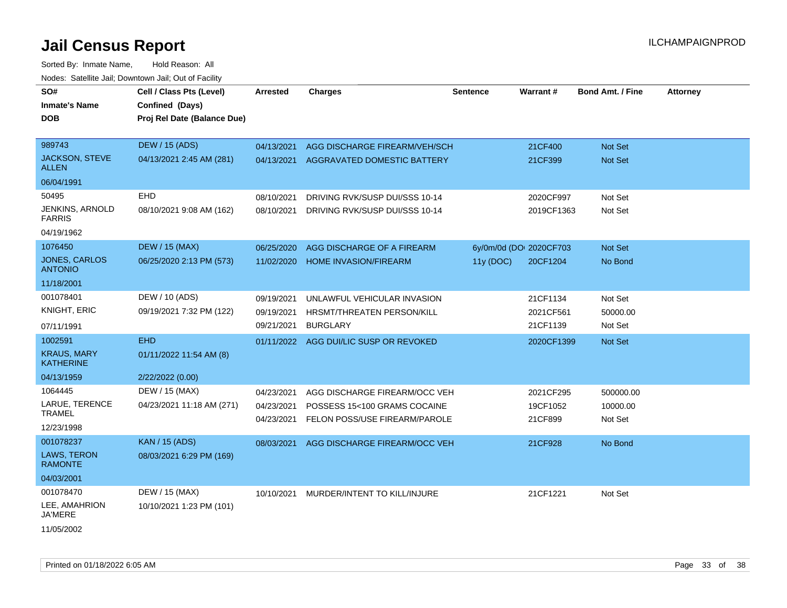Sorted By: Inmate Name, Hold Reason: All Nodes: Satellite Jail; Downtown Jail; Out of Facility

| SO#                                    | Cell / Class Pts (Level)    | Arrested   | <b>Charges</b>                 | <b>Sentence</b> | <b>Warrant#</b>         | <b>Bond Amt. / Fine</b> | <b>Attorney</b> |
|----------------------------------------|-----------------------------|------------|--------------------------------|-----------------|-------------------------|-------------------------|-----------------|
| <b>Inmate's Name</b>                   | Confined (Days)             |            |                                |                 |                         |                         |                 |
| <b>DOB</b>                             | Proj Rel Date (Balance Due) |            |                                |                 |                         |                         |                 |
|                                        |                             |            |                                |                 |                         |                         |                 |
| 989743                                 | <b>DEW / 15 (ADS)</b>       | 04/13/2021 | AGG DISCHARGE FIREARM/VEH/SCH  |                 | 21CF400                 | Not Set                 |                 |
| JACKSON, STEVE<br><b>ALLEN</b>         | 04/13/2021 2:45 AM (281)    | 04/13/2021 | AGGRAVATED DOMESTIC BATTERY    |                 | 21CF399                 | Not Set                 |                 |
| 06/04/1991                             |                             |            |                                |                 |                         |                         |                 |
| 50495                                  | <b>EHD</b>                  | 08/10/2021 | DRIVING RVK/SUSP DUI/SSS 10-14 |                 | 2020CF997               | Not Set                 |                 |
| JENKINS, ARNOLD<br><b>FARRIS</b>       | 08/10/2021 9:08 AM (162)    | 08/10/2021 | DRIVING RVK/SUSP DUI/SSS 10-14 |                 | 2019CF1363              | Not Set                 |                 |
| 04/19/1962                             |                             |            |                                |                 |                         |                         |                 |
| 1076450                                | <b>DEW / 15 (MAX)</b>       | 06/25/2020 | AGG DISCHARGE OF A FIREARM     |                 | 6y/0m/0d (DOI 2020CF703 | Not Set                 |                 |
| <b>JONES, CARLOS</b><br><b>ANTONIO</b> | 06/25/2020 2:13 PM (573)    | 11/02/2020 | <b>HOME INVASION/FIREARM</b>   | 11y(DOC)        | 20CF1204                | No Bond                 |                 |
| 11/18/2001                             |                             |            |                                |                 |                         |                         |                 |
| 001078401                              | DEW / 10 (ADS)              | 09/19/2021 | UNLAWFUL VEHICULAR INVASION    |                 | 21CF1134                | Not Set                 |                 |
| <b>KNIGHT, ERIC</b>                    | 09/19/2021 7:32 PM (122)    | 09/19/2021 | HRSMT/THREATEN PERSON/KILL     |                 | 2021CF561               | 50000.00                |                 |
| 07/11/1991                             |                             | 09/21/2021 | <b>BURGLARY</b>                |                 | 21CF1139                | Not Set                 |                 |
| 1002591                                | <b>EHD</b>                  | 01/11/2022 | AGG DUI/LIC SUSP OR REVOKED    |                 | 2020CF1399              | Not Set                 |                 |
| <b>KRAUS, MARY</b><br><b>KATHERINE</b> | 01/11/2022 11:54 AM (8)     |            |                                |                 |                         |                         |                 |
| 04/13/1959                             | 2/22/2022 (0.00)            |            |                                |                 |                         |                         |                 |
| 1064445                                | DEW / 15 (MAX)              | 04/23/2021 | AGG DISCHARGE FIREARM/OCC VEH  |                 | 2021CF295               | 500000.00               |                 |
| LARUE, TERENCE                         | 04/23/2021 11:18 AM (271)   | 04/23/2021 | POSSESS 15<100 GRAMS COCAINE   |                 | 19CF1052                | 10000.00                |                 |
| <b>TRAMEL</b><br>12/23/1998            |                             | 04/23/2021 | FELON POSS/USE FIREARM/PAROLE  |                 | 21CF899                 | Not Set                 |                 |
| 001078237                              | <b>KAN / 15 (ADS)</b>       |            | AGG DISCHARGE FIREARM/OCC VEH  |                 | 21CF928                 | No Bond                 |                 |
| LAWS, TERON<br><b>RAMONTE</b>          | 08/03/2021 6:29 PM (169)    | 08/03/2021 |                                |                 |                         |                         |                 |
| 04/03/2001                             |                             |            |                                |                 |                         |                         |                 |
| 001078470                              | DEW / 15 (MAX)              | 10/10/2021 | MURDER/INTENT TO KILL/INJURE   |                 | 21CF1221                | Not Set                 |                 |
| LEE, AMAHRION<br><b>JA'MERE</b>        | 10/10/2021 1:23 PM (101)    |            |                                |                 |                         |                         |                 |
|                                        |                             |            |                                |                 |                         |                         |                 |

11/05/2002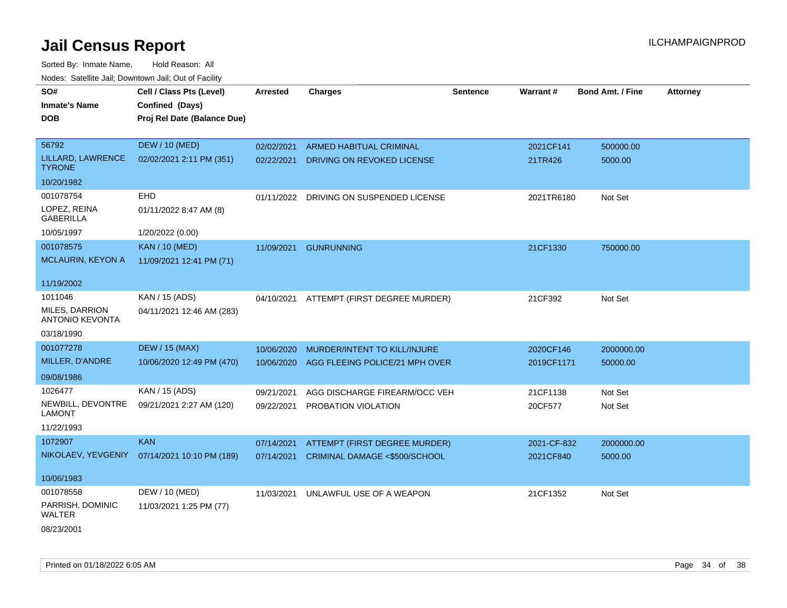| SO#<br><b>Inmate's Name</b><br><b>DOB</b> | Cell / Class Pts (Level)<br>Confined (Days)<br>Proj Rel Date (Balance Due) | Arrested   | <b>Charges</b>                           | <b>Sentence</b> | Warrant#    | <b>Bond Amt. / Fine</b> | <b>Attorney</b> |
|-------------------------------------------|----------------------------------------------------------------------------|------------|------------------------------------------|-----------------|-------------|-------------------------|-----------------|
| 56792                                     | <b>DEW / 10 (MED)</b>                                                      | 02/02/2021 | ARMED HABITUAL CRIMINAL                  |                 | 2021CF141   | 500000.00               |                 |
| LILLARD, LAWRENCE<br><b>TYRONE</b>        | 02/02/2021 2:11 PM (351)                                                   | 02/22/2021 | DRIVING ON REVOKED LICENSE               |                 | 21TR426     | 5000.00                 |                 |
| 10/20/1982                                |                                                                            |            |                                          |                 |             |                         |                 |
| 001078754                                 | <b>EHD</b>                                                                 |            | 01/11/2022 DRIVING ON SUSPENDED LICENSE  |                 | 2021TR6180  | Not Set                 |                 |
| LOPEZ, REINA<br>GABERILLA                 | 01/11/2022 8:47 AM (8)                                                     |            |                                          |                 |             |                         |                 |
| 10/05/1997                                | 1/20/2022 (0.00)                                                           |            |                                          |                 |             |                         |                 |
| 001078575                                 | <b>KAN / 10 (MED)</b>                                                      | 11/09/2021 | <b>GUNRUNNING</b>                        |                 | 21CF1330    | 750000.00               |                 |
| MCLAURIN, KEYON A                         | 11/09/2021 12:41 PM (71)                                                   |            |                                          |                 |             |                         |                 |
| 11/19/2002                                |                                                                            |            |                                          |                 |             |                         |                 |
| 1011046                                   | KAN / 15 (ADS)                                                             |            | 04/10/2021 ATTEMPT (FIRST DEGREE MURDER) |                 | 21CF392     | Not Set                 |                 |
| MILES, DARRION<br><b>ANTONIO KEVONTA</b>  | 04/11/2021 12:46 AM (283)                                                  |            |                                          |                 |             |                         |                 |
| 03/18/1990                                |                                                                            |            |                                          |                 |             |                         |                 |
| 001077278                                 | <b>DEW / 15 (MAX)</b>                                                      | 10/06/2020 | MURDER/INTENT TO KILL/INJURE             |                 | 2020CF146   | 2000000.00              |                 |
| MILLER, D'ANDRE                           | 10/06/2020 12:49 PM (470)                                                  | 10/06/2020 | AGG FLEEING POLICE/21 MPH OVER           |                 | 2019CF1171  | 50000.00                |                 |
| 09/08/1986                                |                                                                            |            |                                          |                 |             |                         |                 |
| 1026477                                   | KAN / 15 (ADS)                                                             | 09/21/2021 | AGG DISCHARGE FIREARM/OCC VEH            |                 | 21CF1138    | Not Set                 |                 |
| NEWBILL, DEVONTRE<br><b>LAMONT</b>        | 09/21/2021 2:27 AM (120)                                                   | 09/22/2021 | PROBATION VIOLATION                      |                 | 20CF577     | Not Set                 |                 |
| 11/22/1993                                |                                                                            |            |                                          |                 |             |                         |                 |
| 1072907                                   | <b>KAN</b>                                                                 | 07/14/2021 | ATTEMPT (FIRST DEGREE MURDER)            |                 | 2021-CF-832 | 2000000.00              |                 |
|                                           | NIKOLAEV, YEVGENIY 07/14/2021 10:10 PM (189)                               | 07/14/2021 | CRIMINAL DAMAGE <\$500/SCHOOL            |                 | 2021CF840   | 5000.00                 |                 |
| 10/06/1983                                |                                                                            |            |                                          |                 |             |                         |                 |
| 001078558                                 | DEW / 10 (MED)                                                             | 11/03/2021 | UNLAWFUL USE OF A WEAPON                 |                 | 21CF1352    | Not Set                 |                 |
| PARRISH, DOMINIC<br>WALTER                | 11/03/2021 1:25 PM (77)                                                    |            |                                          |                 |             |                         |                 |
| 08/23/2001                                |                                                                            |            |                                          |                 |             |                         |                 |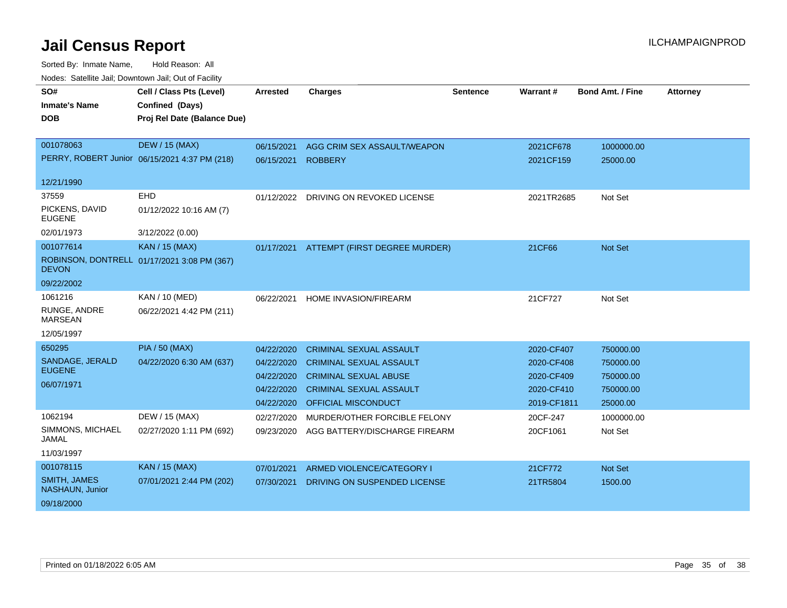| SO#<br><b>Inmate's Name</b>            | Cell / Class Pts (Level)<br>Confined (Days)   | <b>Arrested</b> | <b>Charges</b>                 | <b>Sentence</b> | Warrant#    | <b>Bond Amt. / Fine</b> | <b>Attorney</b> |
|----------------------------------------|-----------------------------------------------|-----------------|--------------------------------|-----------------|-------------|-------------------------|-----------------|
| <b>DOB</b>                             | Proj Rel Date (Balance Due)                   |                 |                                |                 |             |                         |                 |
| 001078063                              | <b>DEW / 15 (MAX)</b>                         | 06/15/2021      | AGG CRIM SEX ASSAULT/WEAPON    |                 | 2021CF678   | 1000000.00              |                 |
|                                        | PERRY, ROBERT Junior 06/15/2021 4:37 PM (218) | 06/15/2021      | <b>ROBBERY</b>                 |                 | 2021CF159   | 25000.00                |                 |
| 12/21/1990                             |                                               |                 |                                |                 |             |                         |                 |
| 37559                                  | <b>EHD</b>                                    | 01/12/2022      | DRIVING ON REVOKED LICENSE     |                 | 2021TR2685  | Not Set                 |                 |
| PICKENS, DAVID<br><b>EUGENE</b>        | 01/12/2022 10:16 AM (7)                       |                 |                                |                 |             |                         |                 |
| 02/01/1973                             | 3/12/2022 (0.00)                              |                 |                                |                 |             |                         |                 |
| 001077614                              | <b>KAN / 15 (MAX)</b>                         | 01/17/2021      | ATTEMPT (FIRST DEGREE MURDER)  |                 | 21CF66      | <b>Not Set</b>          |                 |
| <b>DEVON</b>                           | ROBINSON, DONTRELL 01/17/2021 3:08 PM (367)   |                 |                                |                 |             |                         |                 |
| 09/22/2002                             |                                               |                 |                                |                 |             |                         |                 |
| 1061216                                | KAN / 10 (MED)                                | 06/22/2021      | HOME INVASION/FIREARM          |                 | 21CF727     | Not Set                 |                 |
| RUNGE, ANDRE<br><b>MARSEAN</b>         | 06/22/2021 4:42 PM (211)                      |                 |                                |                 |             |                         |                 |
| 12/05/1997                             |                                               |                 |                                |                 |             |                         |                 |
| 650295                                 | <b>PIA / 50 (MAX)</b>                         | 04/22/2020      | <b>CRIMINAL SEXUAL ASSAULT</b> |                 | 2020-CF407  | 750000.00               |                 |
| SANDAGE, JERALD                        | 04/22/2020 6:30 AM (637)                      | 04/22/2020      | <b>CRIMINAL SEXUAL ASSAULT</b> |                 | 2020-CF408  | 750000.00               |                 |
| <b>EUGENE</b>                          |                                               | 04/22/2020      | <b>CRIMINAL SEXUAL ABUSE</b>   |                 | 2020-CF409  | 750000.00               |                 |
| 06/07/1971                             |                                               | 04/22/2020      | <b>CRIMINAL SEXUAL ASSAULT</b> |                 | 2020-CF410  | 750000.00               |                 |
|                                        |                                               | 04/22/2020      | <b>OFFICIAL MISCONDUCT</b>     |                 | 2019-CF1811 | 25000.00                |                 |
| 1062194                                | DEW / 15 (MAX)                                | 02/27/2020      | MURDER/OTHER FORCIBLE FELONY   |                 | 20CF-247    | 1000000.00              |                 |
| SIMMONS, MICHAEL<br>JAMAL              | 02/27/2020 1:11 PM (692)                      | 09/23/2020      | AGG BATTERY/DISCHARGE FIREARM  |                 | 20CF1061    | Not Set                 |                 |
| 11/03/1997                             |                                               |                 |                                |                 |             |                         |                 |
| 001078115                              | <b>KAN / 15 (MAX)</b>                         | 07/01/2021      | ARMED VIOLENCE/CATEGORY I      |                 | 21CF772     | Not Set                 |                 |
| <b>SMITH, JAMES</b><br>NASHAUN, Junior | 07/01/2021 2:44 PM (202)                      | 07/30/2021      | DRIVING ON SUSPENDED LICENSE   |                 | 21TR5804    | 1500.00                 |                 |
| 09/18/2000                             |                                               |                 |                                |                 |             |                         |                 |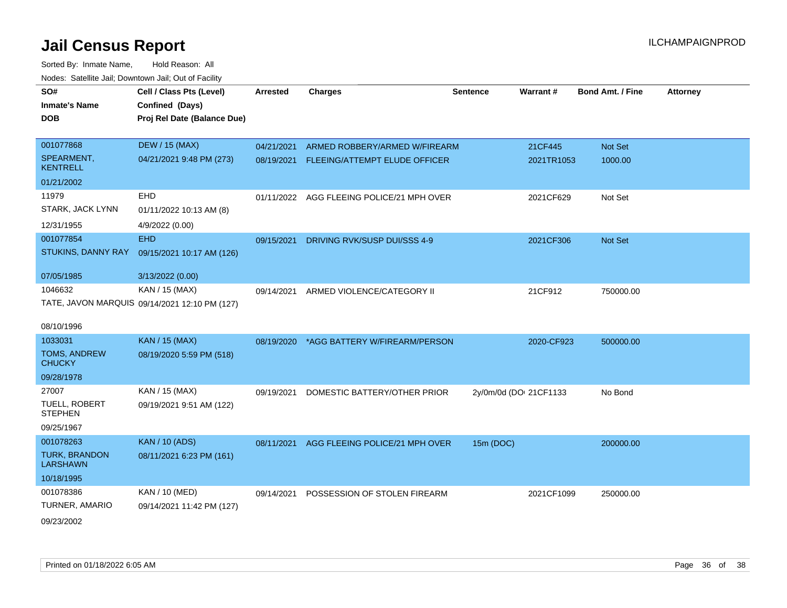| SO#                              | Cell / Class Pts (Level)                      | <b>Arrested</b> | <b>Charges</b>                            | <b>Sentence</b> | Warrant#               | <b>Bond Amt. / Fine</b> | <b>Attorney</b> |
|----------------------------------|-----------------------------------------------|-----------------|-------------------------------------------|-----------------|------------------------|-------------------------|-----------------|
| <b>Inmate's Name</b>             | Confined (Days)                               |                 |                                           |                 |                        |                         |                 |
| <b>DOB</b>                       | Proj Rel Date (Balance Due)                   |                 |                                           |                 |                        |                         |                 |
|                                  |                                               |                 |                                           |                 |                        |                         |                 |
| 001077868                        | <b>DEW / 15 (MAX)</b>                         | 04/21/2021      | ARMED ROBBERY/ARMED W/FIREARM             |                 | 21CF445                | Not Set                 |                 |
| SPEARMENT,<br><b>KENTRELL</b>    | 04/21/2021 9:48 PM (273)                      |                 | 08/19/2021 FLEEING/ATTEMPT ELUDE OFFICER  |                 | 2021TR1053             | 1000.00                 |                 |
| 01/21/2002                       |                                               |                 |                                           |                 |                        |                         |                 |
| 11979                            | <b>EHD</b>                                    |                 | 01/11/2022 AGG FLEEING POLICE/21 MPH OVER |                 | 2021CF629              | Not Set                 |                 |
| STARK, JACK LYNN                 | 01/11/2022 10:13 AM (8)                       |                 |                                           |                 |                        |                         |                 |
| 12/31/1955                       | 4/9/2022 (0.00)                               |                 |                                           |                 |                        |                         |                 |
| 001077854                        | <b>EHD</b>                                    | 09/15/2021      | DRIVING RVK/SUSP DUI/SSS 4-9              |                 | 2021CF306              | Not Set                 |                 |
| STUKINS, DANNY RAY               | 09/15/2021 10:17 AM (126)                     |                 |                                           |                 |                        |                         |                 |
| 07/05/1985                       | 3/13/2022 (0.00)                              |                 |                                           |                 |                        |                         |                 |
| 1046632                          | KAN / 15 (MAX)                                | 09/14/2021      | ARMED VIOLENCE/CATEGORY II                |                 | 21CF912                | 750000.00               |                 |
|                                  | TATE, JAVON MARQUIS 09/14/2021 12:10 PM (127) |                 |                                           |                 |                        |                         |                 |
|                                  |                                               |                 |                                           |                 |                        |                         |                 |
| 08/10/1996                       |                                               |                 |                                           |                 |                        |                         |                 |
| 1033031                          | <b>KAN / 15 (MAX)</b>                         |                 | 08/19/2020 *AGG BATTERY W/FIREARM/PERSON  |                 | 2020-CF923             | 500000.00               |                 |
| TOMS, ANDREW<br><b>CHUCKY</b>    | 08/19/2020 5:59 PM (518)                      |                 |                                           |                 |                        |                         |                 |
| 09/28/1978                       |                                               |                 |                                           |                 |                        |                         |                 |
| 27007                            | KAN / 15 (MAX)                                |                 |                                           |                 |                        |                         |                 |
| TUELL, ROBERT                    | 09/19/2021 9:51 AM (122)                      | 09/19/2021      | DOMESTIC BATTERY/OTHER PRIOR              |                 | 2y/0m/0d (DOI 21CF1133 | No Bond                 |                 |
| <b>STEPHEN</b>                   |                                               |                 |                                           |                 |                        |                         |                 |
| 09/25/1967                       |                                               |                 |                                           |                 |                        |                         |                 |
| 001078263                        | <b>KAN / 10 (ADS)</b>                         | 08/11/2021      | AGG FLEEING POLICE/21 MPH OVER            | 15m (DOC)       |                        | 200000.00               |                 |
| TURK, BRANDON<br><b>LARSHAWN</b> | 08/11/2021 6:23 PM (161)                      |                 |                                           |                 |                        |                         |                 |
| 10/18/1995                       |                                               |                 |                                           |                 |                        |                         |                 |
| 001078386                        | KAN / 10 (MED)                                | 09/14/2021      | POSSESSION OF STOLEN FIREARM              |                 | 2021CF1099             | 250000.00               |                 |
| TURNER, AMARIO                   | 09/14/2021 11:42 PM (127)                     |                 |                                           |                 |                        |                         |                 |
| 09/23/2002                       |                                               |                 |                                           |                 |                        |                         |                 |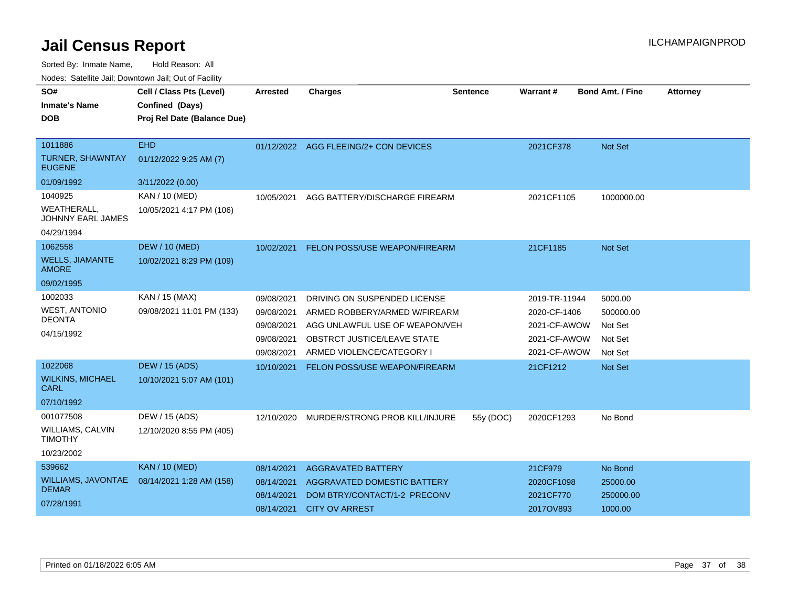Sorted By: Inmate Name, Hold Reason: All

Nodes: Satellite Jail; Downtown Jail; Out of Facility

| SO#<br><b>Inmate's Name</b><br><b>DOB</b><br>1011886 | Cell / Class Pts (Level)<br>Confined (Days)<br>Proj Rel Date (Balance Due)<br><b>EHD</b> | <b>Arrested</b> | <b>Charges</b>                        | <b>Sentence</b> | <b>Warrant#</b> | <b>Bond Amt. / Fine</b> | <b>Attorney</b> |
|------------------------------------------------------|------------------------------------------------------------------------------------------|-----------------|---------------------------------------|-----------------|-----------------|-------------------------|-----------------|
| <b>TURNER, SHAWNTAY</b><br><b>EUGENE</b>             | 01/12/2022 9:25 AM (7)                                                                   |                 | 01/12/2022 AGG FLEEING/2+ CON DEVICES |                 | 2021CF378       | Not Set                 |                 |
| 01/09/1992                                           | 3/11/2022 (0.00)                                                                         |                 |                                       |                 |                 |                         |                 |
| 1040925                                              | KAN / 10 (MED)                                                                           | 10/05/2021      | AGG BATTERY/DISCHARGE FIREARM         |                 | 2021CF1105      | 1000000.00              |                 |
| WEATHERALL.<br>JOHNNY EARL JAMES                     | 10/05/2021 4:17 PM (106)                                                                 |                 |                                       |                 |                 |                         |                 |
| 04/29/1994                                           |                                                                                          |                 |                                       |                 |                 |                         |                 |
| 1062558                                              | <b>DEW / 10 (MED)</b>                                                                    | 10/02/2021      | FELON POSS/USE WEAPON/FIREARM         |                 | 21CF1185        | <b>Not Set</b>          |                 |
| <b>WELLS, JIAMANTE</b><br><b>AMORE</b>               | 10/02/2021 8:29 PM (109)                                                                 |                 |                                       |                 |                 |                         |                 |
| 09/02/1995                                           |                                                                                          |                 |                                       |                 |                 |                         |                 |
| 1002033                                              | KAN / 15 (MAX)                                                                           | 09/08/2021      | DRIVING ON SUSPENDED LICENSE          |                 | 2019-TR-11944   | 5000.00                 |                 |
| <b>WEST, ANTONIO</b>                                 | 09/08/2021 11:01 PM (133)                                                                | 09/08/2021      | ARMED ROBBERY/ARMED W/FIREARM         |                 | 2020-CF-1406    | 500000.00               |                 |
| <b>DEONTA</b>                                        |                                                                                          | 09/08/2021      | AGG UNLAWFUL USE OF WEAPON/VEH        |                 | 2021-CF-AWOW    | Not Set                 |                 |
| 04/15/1992                                           |                                                                                          | 09/08/2021      | OBSTRCT JUSTICE/LEAVE STATE           |                 | 2021-CF-AWOW    | Not Set                 |                 |
|                                                      |                                                                                          | 09/08/2021      | ARMED VIOLENCE/CATEGORY I             |                 | 2021-CF-AWOW    | Not Set                 |                 |
| 1022068                                              | <b>DEW / 15 (ADS)</b>                                                                    | 10/10/2021      | FELON POSS/USE WEAPON/FIREARM         |                 | 21CF1212        | Not Set                 |                 |
| <b>WILKINS, MICHAEL</b><br><b>CARL</b>               | 10/10/2021 5:07 AM (101)                                                                 |                 |                                       |                 |                 |                         |                 |
| 07/10/1992                                           |                                                                                          |                 |                                       |                 |                 |                         |                 |
| 001077508                                            | DEW / 15 (ADS)                                                                           | 12/10/2020      | MURDER/STRONG PROB KILL/INJURE        | 55y (DOC)       | 2020CF1293      | No Bond                 |                 |
| <b>WILLIAMS, CALVIN</b><br><b>TIMOTHY</b>            | 12/10/2020 8:55 PM (405)                                                                 |                 |                                       |                 |                 |                         |                 |
| 10/23/2002                                           |                                                                                          |                 |                                       |                 |                 |                         |                 |
| 539662                                               | <b>KAN / 10 (MED)</b>                                                                    | 08/14/2021      | <b>AGGRAVATED BATTERY</b>             |                 | 21CF979         | No Bond                 |                 |
| <b>WILLIAMS, JAVONTAE</b><br><b>DEMAR</b>            | 08/14/2021 1:28 AM (158)                                                                 | 08/14/2021      | AGGRAVATED DOMESTIC BATTERY           |                 | 2020CF1098      | 25000.00                |                 |
|                                                      |                                                                                          | 08/14/2021      | DOM BTRY/CONTACT/1-2 PRECONV          |                 | 2021CF770       | 250000.00               |                 |
| 07/28/1991                                           |                                                                                          |                 | 08/14/2021 CITY OV ARREST             |                 | 2017OV893       | 1000.00                 |                 |